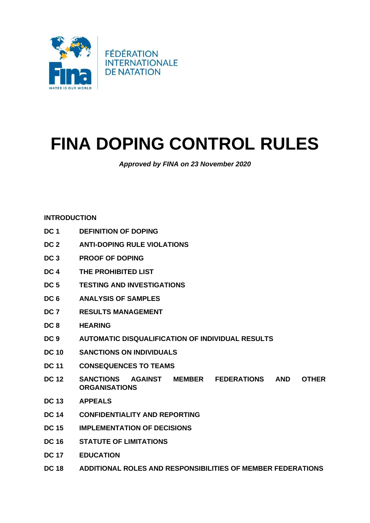

# **FINA DOPING CONTROL RULES**

*Approved by FINA on 23 November 2020*

## **[INTRODUCTION](#page-2-0)**

- **[DC 1 DEFINITION OF DOPING](#page-4-0)**
- **[DC 2 ANTI-DOPING RULE VIOLATIONS](#page-5-0)**
- **[DC 3 PROOF OF DOPING](#page-9-0)**
- **[DC 4 THE PROHIBITED LIST](#page-12-0)**
- **[DC 5 TESTING AND INVESTIGATIONS](#page-17-0)**
- **[DC 6 ANALYSIS OF SAMPLES](#page-22-0)**
- **[DC 7 RESULTS MANAGEMENT](#page-24-0)**
- **[DC 8 HEARING](#page-29-0)**
- **[DC 9 AUTOMATIC DISQUALIFICATION](#page-30-0) OF INDIVIDUAL RESULTS**
- **[DC 10 SANCTIONS ON INDIVIDUALS](#page-30-1)**
- **DC 11 [CONSEQUENCES TO TEAMS](#page-44-0)**
- **[DC 12 SANCTIONS AGAINST MEMBER FEDERATIONS AND OTHER](#page-45-0)  [ORGANISATIONS](#page-45-0)**
- **[DC 13 APPEALS](#page-45-1)**
- **[DC 14 CONFIDENTIALITY AND REPORTING](#page-50-0)**
- **[DC 15 IMPLEMENTATION OF DECISIONS](#page-55-0)**
- **DC 16 STATUTE OF LIMITATIONS**
- **[DC 17 E](#page-57-0)DUCATION**
- **DC 18 ADDITIONAL ROLES AND RESPONSIBILITIES OF MEMBER FEDERATIONS**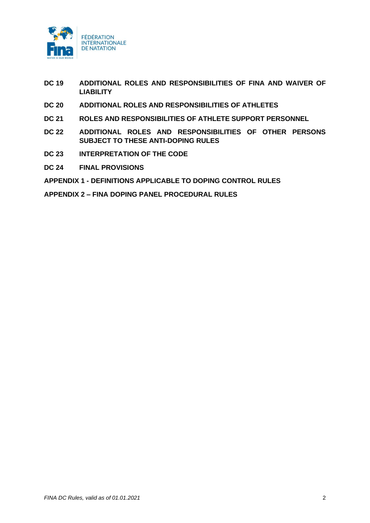

- **[DC 19 A](#page-57-1)DDITIONAL ROLES AND RESPONSIBILITIES OF FINA AND WAIVER OF LIABILITY**
- **DC 20 [ADDITIONAL ROLES AND RESPONSIBILITIES OF ATHLETES](#page-57-2)**
- **DC 21 ROLES AND RESPONSIBILITIES OF ATHLETE SUPPORT PERSONNEL**
- **DC 22 ADDITIONAL ROLES AND RESPONSIBILITIES OF OTHER PERSONS SUBJECT TO THESE ANTI-DOPING RULES**
- **[DC 23](#page-59-0) INTERPRETATION OF THE CODE**
- **DC 24 FINAL PROVISIONS**

**APPENDIX 1 - [DEFINITIONS APPLICABLE TO DOPING CONTROL RULES](#page-64-0)**

**[APPENDIX 2 –](#page-74-0) FINA DOPING PANEL PROCEDURAL RULES**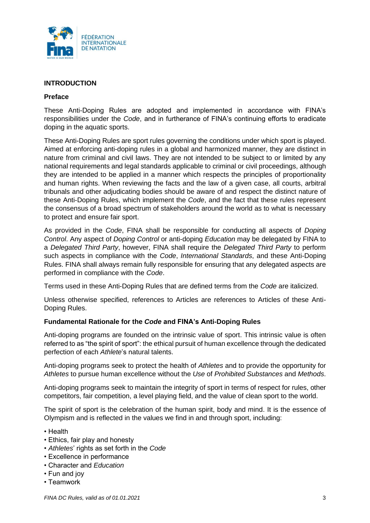

## <span id="page-2-0"></span>**INTRODUCTION**

#### **Preface**

These Anti-Doping Rules are adopted and implemented in accordance with FINA's responsibilities under the *Code*, and in furtherance of FINA's continuing efforts to eradicate doping in the aquatic sports.

These Anti-Doping Rules are sport rules governing the conditions under which sport is played. Aimed at enforcing anti-doping rules in a global and harmonized manner, they are distinct in nature from criminal and civil laws. They are not intended to be subject to or limited by any national requirements and legal standards applicable to criminal or civil proceedings, although they are intended to be applied in a manner which respects the principles of proportionality and human rights. When reviewing the facts and the law of a given case, all courts, arbitral tribunals and other adjudicating bodies should be aware of and respect the distinct nature of these Anti-Doping Rules, which implement the *Code*, and the fact that these rules represent the consensus of a broad spectrum of stakeholders around the world as to what is necessary to protect and ensure fair sport.

As provided in the *Code*, FINA shall be responsible for conducting all aspects of *Doping Control*. Any aspect of *Doping Control* or anti-doping *Education* may be delegated by FINA to a *Delegated Third Party*, however, FINA shall require the *Delegated Third Party* to perform such aspects in compliance with the *Code*, *International Standards*, and these Anti-Doping Rules. FINA shall always remain fully responsible for ensuring that any delegated aspects are performed in compliance with the *Code*.

Terms used in these Anti-Doping Rules that are defined terms from the *Code* are italicized.

Unless otherwise specified, references to Articles are references to Articles of these Anti-Doping Rules.

## **Fundamental Rationale for the** *Code* **and FINA's Anti-Doping Rules**

Anti-doping programs are founded on the intrinsic value of sport. This intrinsic value is often referred to as "the spirit of sport": the ethical pursuit of human excellence through the dedicated perfection of each *Athlete*'s natural talents.

Anti-doping programs seek to protect the health of *Athletes* and to provide the opportunity for *Athletes* to pursue human excellence without the *Use* of *Prohibited Substances* and *Methods*.

Anti-doping programs seek to maintain the integrity of sport in terms of respect for rules, other competitors, fair competition, a level playing field, and the value of clean sport to the world.

The spirit of sport is the celebration of the human spirit, body and mind. It is the essence of Olympism and is reflected in the values we find in and through sport, including:

- Health
- Ethics, fair play and honesty
- *Athletes*' rights as set forth in the *Code*
- Excellence in performance
- Character and *Education*
- Fun and joy
- Teamwork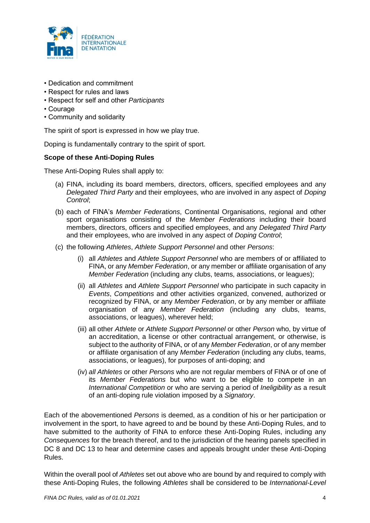

- Dedication and commitment
- Respect for rules and laws
- Respect for self and other *Participants*
- Courage
- Community and solidarity

The spirit of sport is expressed in how we play true.

Doping is fundamentally contrary to the spirit of sport.

#### **Scope of these Anti-Doping Rules**

These Anti-Doping Rules shall apply to:

- (a) FINA, including its board members, directors, officers, specified employees and any *Delegated Third Party* and their employees, who are involved in any aspect of *Doping Control*;
- (b) each of FINA's *Member Federations*, Continental Organisations, regional and other sport organisations consisting of the *Member Federations* including their board members, directors, officers and specified employees, and any *Delegated Third Party* and their employees, who are involved in any aspect of *Doping Control*;
- (c) the following *Athletes*, *Athlete Support Personnel* and other *Persons*:
	- (i) all *Athletes* and *Athlete Support Personnel* who are members of or affiliated to FINA, or any *Member Federation*, or any member or affiliate organisation of any *Member Federation* (including any clubs, teams, associations, or leagues);
	- (ii) all *Athletes* and *Athlete Support Personnel* who participate in such capacity in *Events*, *Competitions* and other activities organized, convened, authorized or recognized by FINA, or any *Member Federation*, or by any member or affiliate organisation of any *Member Federation* (including any clubs, teams, associations, or leagues), wherever held;
	- (iii) all other *Athlete* or *Athlete Support Personnel* or other *Person* who, by virtue of an accreditation, a license or other contractual arrangement, or otherwise, is subject to the authority of FINA, or of any *Member Federation*, or of any member or affiliate organisation of any *Member Federation* (including any clubs, teams, associations, or leagues), for purposes of anti-doping; and
	- (iv) *all Athletes* or other *Persons* who are not regular members of FINA or of one of its *Member Federations* but who want to be eligible to compete in an *International Competition* or who are serving a period of *Ineligibility* as a result of an anti-doping rule violation imposed by a *Signatory*.

Each of the abovementioned *Persons* is deemed, as a condition of his or her participation or involvement in the sport, to have agreed to and be bound by these Anti-Doping Rules, and to have submitted to the authority of FINA to enforce these Anti-Doping Rules, including any *Consequences* for the breach thereof, and to the jurisdiction of the hearing panels specified in DC 8 and DC 13 to hear and determine cases and appeals brought under these Anti-Doping Rules.

Within the overall pool of *Athletes* set out above who are bound by and required to comply with these Anti-Doping Rules, the following *Athletes* shall be considered to be *International-Level*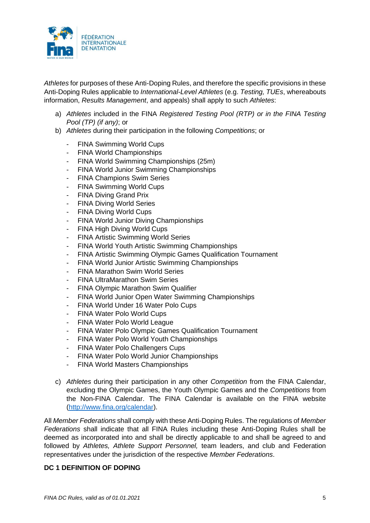

*Athletes* for purposes of these Anti-Doping Rules, and therefore the specific provisions in these Anti-Doping Rules applicable to *International-Level Athletes* (e.g. *Testing, TUEs*, whereabouts information, *Results Management*, and appeals) shall apply to such *Athletes*:

- a) *Athletes* included in the FINA *Registered Testing Pool (RTP) or in the FINA Testing Pool (TP) (if any)*; or
- b) *Athletes* during their participation in the following *Competitions*; or
	- FINA Swimming World Cups
	- FINA World Championships
	- FINA World Swimming Championships (25m)
	- FINA World Junior Swimming Championships
	- FINA Champions Swim Series
	- FINA Swimming World Cups
	- FINA Diving Grand Prix
	- FINA Diving World Series
	- FINA Diving World Cups
	- FINA World Junior Diving Championships
	- FINA High Diving World Cups
	- **FINA Artistic Swimming World Series**
	- FINA World Youth Artistic Swimming Championships
	- FINA Artistic Swimming Olympic Games Qualification Tournament
	- FINA World Junior Artistic Swimming Championships
	- FINA Marathon Swim World Series
	- FINA UltraMarathon Swim Series
	- **FINA Olympic Marathon Swim Qualifier**
	- FINA World Junior Open Water Swimming Championships
	- FINA World Under 16 Water Polo Cups
	- FINA Water Polo World Cups
	- FINA Water Polo World League
	- FINA Water Polo Olympic Games Qualification Tournament
	- FINA Water Polo World Youth Championships
	- FINA Water Polo Challengers Cups
	- FINA Water Polo World Junior Championships
	- FINA World Masters Championships
- c) *Athletes* during their participation in any other *Competition* from the FINA Calendar, excluding the Olympic Games, the Youth Olympic Games and the *Competitions* from the Non-FINA Calendar. The FINA Calendar is available on the FINA website [\(http://www.fina.org/calendar\)](https://linkprotect.cudasvc.com/url?a=http%3a%2f%2fwww.fina.org%2fcalendar&c=E,1,AbYzr7OHj-HCbHNHeaUs_5Kfyl9Hop6wnePgoECZBEm_K1a9xdwl4zU7m8-0Ly9a-iPMehNI0wbzkqujEZCAQKiZDsQAP_1u-sA6X6zOaFrdBEMd&typo=1).

All *Member Federations* shall comply with these Anti-Doping Rules. The regulations of *Member Federations* shall indicate that all FINA Rules including these Anti-Doping Rules shall be deemed as incorporated into and shall be directly applicable to and shall be agreed to and followed by *Athletes, Athlete Support Personnel,* team leaders, and club and Federation representatives under the jurisdiction of the respective *Member Federations*.

## <span id="page-4-0"></span>**DC 1 DEFINITION OF DOPING**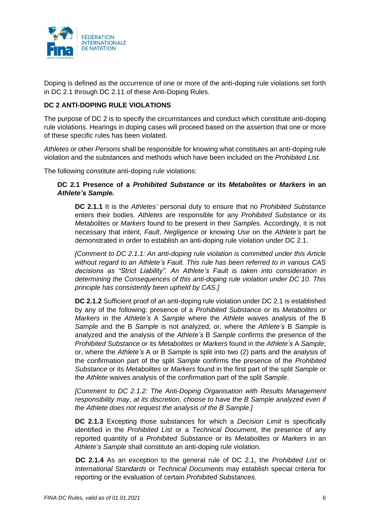

Doping is defined as the occurrence of one or more of the anti-doping rule violations set forth in DC 2.1 through DC 2.11 of these Anti-Doping Rules.

# <span id="page-5-0"></span>**DC 2 ANTI-DOPING RULE VIOLATIONS**

The purpose of DC 2 is to specify the circumstances and conduct which constitute anti-doping rule violations. Hearings in doping cases will proceed based on the assertion that one or more of these specific rules has been violated.

*Athletes* or other *Persons* shall be responsible for knowing what constitutes an anti-doping rule violation and the substances and methods which have been included on the *Prohibited List.*

The following constitute anti-doping rule violations:

## **DC 2.1 Presence of a** *Prohibited Substance* **or its** *Metabolites* **or** *Markers* **in an**  *Athlete's Sample.*

**DC 2.1.1** It is the *Athletes'* personal duty to ensure that no *Prohibited Substance* enters their bodies. *Athletes* are responsible for any *Prohibited Substance* or its *Metabolites* or *Markers* found to be present in their *Samples*. Accordingly, it is not necessary that intent, *Fault*, *Negligence* or knowing *Use* on the *Athlete's* part be demonstrated in order to establish an anti-doping rule violation under DC 2.1.

*[Comment to DC 2.1.1: An anti-doping rule violation is committed under this Article without regard to an Athlete's Fault. This rule has been referred to in various CAS decisions as "Strict Liability". An Athlete's Fault is taken into consideration in determining the Consequences of this anti-doping rule violation under DC 10. This principle has consistently been upheld by CAS.]*

**DC 2.1.2** Sufficient proof of an anti-doping rule violation under DC 2.1 is established by any of the following: presence of a *Prohibited Substance* or its *Metabolites* or *Markers* in the *Athlete's* A *Sample* where the *Athlete* waives analysis of the B *Sample* and the B *Sample* is not analyzed; or, where the *Athlete's* B *Sample* is analyzed and the analysis of the *Athlete's* B *Sample* confirms the presence of the *Prohibited Substance* or its *Metabolites* or *Markers* found in the *Athlete's* A *Sample*; or, where the *Athlete's* A or B *Sample* is split into two (2) parts and the analysis of the confirmation part of the split *Sample* confirms the presence of the *Prohibited Substance* or its *Metabolites* or *Markers* found in the first part of the split *Sample* or the *Athlete* waives analysis of the confirmation part of the split *Sample*.

*[Comment to DC 2.1.2: The Anti-Doping Organisation with Results Management responsibility may, at its discretion, choose to have the B Sample analyzed even if the Athlete does not request the analysis of the B Sample.]*

**DC 2.1.3** Excepting those substances for which a *Decision Limit* is specifically identified in the *Prohibited List* or a *Technical Document*, the presence of any reported quantity of a *Prohibited Substance* or its *Metabolites* or *Markers* in an *Athlete's Sample* shall constitute an anti-doping rule violation.

**DC 2.1.4** As an exception to the general rule of DC 2.1, the *Prohibited List* or *International Standards* or *Technical Documents* may establish special criteria for reporting or the evaluation of certain *Prohibited Substances.*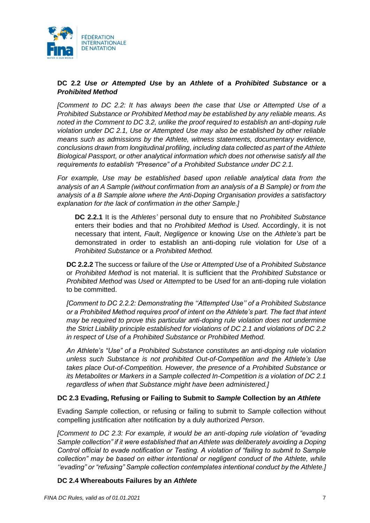

# **DC 2.2** *Use or Attempted Use* **by an** *Athlete* **of a** *Prohibited Substance* **or a**  *Prohibited Method*

*[Comment to DC 2.2: It has always been the case that Use or Attempted Use of a Prohibited Substance or Prohibited Method may be established by any reliable means. As noted in the Comment to DC 3.2, unlike the proof required to establish an anti-doping rule violation under DC 2.1, Use or Attempted Use may also be established by other reliable means such as admissions by the Athlete, witness statements, documentary evidence, conclusions drawn from longitudinal profiling, including data collected as part of the Athlete Biological Passport, or other analytical information which does not otherwise satisfy all the requirements to establish "Presence" of a Prohibited Substance under DC 2.1.*

*For example, Use may be established based upon reliable analytical data from the analysis of an A Sample (without confirmation from an analysis of a B Sample) or from the analysis of a B Sample alone where the Anti-Doping Organisation provides a satisfactory explanation for the lack of confirmation in the other Sample.]*

**DC 2.2.1** It is the *Athletes'* personal duty to ensure that no *Prohibited Substance* enters their bodies and that no *Prohibited Method* is *Used*. Accordingly, it is not necessary that intent, *Fault*, *Negligence* or knowing *Use* on the *Athlete's* part be demonstrated in order to establish an anti-doping rule violation for *Use* of a *Prohibited Substance* or a *Prohibited Method.*

**DC 2.2.2** The success or failure of the *Use* or *Attempted Use* of a *Prohibited Substance* or *Prohibited Method* is not material. It is sufficient that the *Prohibited Substance* or *Prohibited Method* was *Used* or *Attempted* to be *Used* for an anti-doping rule violation to be committed.

*[Comment to DC 2.2.2: Demonstrating the ''Attempted Use'' of a Prohibited Substance or a Prohibited Method requires proof of intent on the Athlete's part. The fact that intent may be required to prove this particular anti-doping rule violation does not undermine the Strict Liability principle established for violations of DC 2.1 and violations of DC 2.2 in respect of Use of a Prohibited Substance or Prohibited Method.*

*An Athlete's "Use" of a Prohibited Substance constitutes an anti-doping rule violation unless such Substance is not prohibited Out-of-Competition and the Athlete's Use takes place Out-of-Competition. However, the presence of a Prohibited Substance or its Metabolites or Markers in a Sample collected In-Competition is a violation of DC 2.1 regardless of when that Substance might have been administered.]*

## **DC 2.3 Evading, Refusing or Failing to Submit to** *Sample* **Collection by an** *Athlete*

Evading *Sample* collection, or refusing or failing to submit to *Sample* collection without compelling justification after notification by a duly authorized *Person*.

*[Comment to DC 2.3: For example, it would be an anti-doping rule violation of "evading Sample collection" if it were established that an Athlete was deliberately avoiding a Doping Control official to evade notification or Testing. A violation of "failing to submit to Sample collection" may be based on either intentional or negligent conduct of the Athlete, while ''evading" or "refusing" Sample collection contemplates intentional conduct by the Athlete.]*

## **DC 2.4 Whereabouts Failures by an** *Athlete*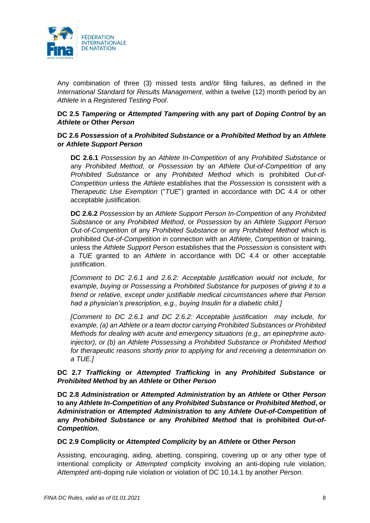

Any combination of three (3) missed tests and/or filing failures, as defined in the *International Standard* for *Results Management*, within a twelve (12) month period by an *Athlete* in a *Registered Testing Pool*.

# **DC 2.5** *Tampering* **or** *Attempted Tampering* **with any part of** *Doping Control* **by an**  *Athlete* **or Other** *Person*

# **DC 2.6** *Possession* **of a** *Prohibited Substance* **or a** *Prohibited Method* **by an** *Athlete* **or** *Athlete Support Person*

**DC 2.6.1** *Possession* by an *Athlete In-Competition* of any *Prohibited Substance* or any *Prohibited Method*, or *Possession* by an *Athlete Out-of-Competition* of any *Prohibited Substance* or any *Prohibited Method* which is prohibited *Out-of-Competition* unless the *Athlete* establishes that the *Possession* is consistent with a *Therapeutic Use Exemption* ("*TUE*") granted in accordance with DC 4.4 or other acceptable justification.

**DC 2.6.2** *Possession* by an *Athlete Support Person In-Competition* of any *Prohibited Substance* or any *Prohibited Method*, or *Possession* by an *Athlete Support Person Out-of-Competition* of any *Prohibited Substance* or any *Prohibited Method* which is prohibited *Out-of-Competition* in connection with an *Athlete*, *Competition* or training, unless the *Athlete Support Person* establishes that the *Possession* is consistent with a *TUE* granted to an *Athlete* in accordance with DC 4.4 or other acceptable justification.

*[Comment to DC 2.6.1 and 2.6.2: Acceptable justification would not include, for example, buying or Possessing a Prohibited Substance for purposes of giving it to a friend or relative, except under justifiable medical circumstances where that Person had a physician's prescription, e.g., buying Insulin for a diabetic child.]*

*[Comment to DC 2.6.1 and DC 2.6.2: Acceptable justification may include, for example, (a) an Athlete or a team doctor carrying Prohibited Substances or Prohibited Methods for dealing with acute and emergency situations (e.g., an epinephrine autoinjector), or (b) an Athlete Possessing a Prohibited Substance or Prohibited Method for therapeutic reasons shortly prior to applying for and receiving a determination on a TUE.]*

# **DC 2.7** *Trafficking* **or** *Attempted Trafficking* **in any** *Prohibited Substance* **or**  *Prohibited Method* **by an** *Athlete* **or Other** *Person*

**DC 2.8** *Administration* **or** *Attempted Administration* **by an** *Athlete* **or Other** *Person* **to any** *Athlete In-Competition* **of any** *Prohibited Substance* **or** *Prohibited Method***, or**  *Administration* **or** *Attempted Administration* **to any** *Athlete Out-of-Competition* **of any** *Prohibited Substance* **or any** *Prohibited Method* **that is prohibited** *Out-of-Competition***.**

## **DC 2.9 Complicity or** *Attempted Complicity* **by an** *Athlete* **or Other** *Person*

Assisting, encouraging, aiding, abetting, conspiring, covering up or any other type of intentional complicity or *Attempted* complicity involving an anti-doping rule violation, *Attempted* anti-doping rule violation or violation of DC 10.14.1 by another *Person*.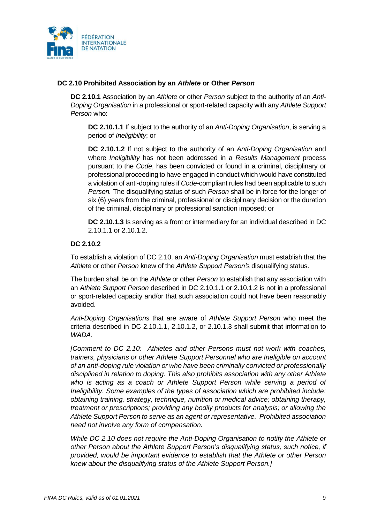

# **DC 2.10 Prohibited Association by an** *Athlete* **or Other** *Person*

**DC 2.10.1** Association by an *Athlete* or other *Person* subject to the authority of an *Anti-Doping Organisation* in a professional or sport-related capacity with any *Athlete Support Person* who:

**DC 2.10.1.1** If subject to the authority of an *Anti-Doping Organisation*, is serving a period of *Ineligibility*; or

**DC 2.10.1.2** If not subject to the authority of an *Anti-Doping Organisation* and where *Ineligibility* has not been addressed in a *Results Management* process pursuant to the *Code*, has been convicted or found in a criminal, disciplinary or professional proceeding to have engaged in conduct which would have constituted a violation of anti-doping rules if *Code*-compliant rules had been applicable to such *Person.* The disqualifying status of such *Person* shall be in force for the longer of six (6) years from the criminal, professional or disciplinary decision or the duration of the criminal, disciplinary or professional sanction imposed; or

**DC 2.10.1.3** Is serving as a front or intermediary for an individual described in DC 2.10.1.1 or 2.10.1.2.

## **DC 2.10.2**

To establish a violation of DC 2.10, an *Anti-Doping Organisation* must establish that the *Athlete* or other *Person* knew of the *Athlete Support Person'*s disqualifying status.

The burden shall be on the *Athlete* or other *Person* to establish that any association with an *Athlete Support Person* described in DC 2.10.1.1 or 2.10.1.2 is not in a professional or sport-related capacity and/or that such association could not have been reasonably avoided.

*Anti-Doping Organisations* that are aware of *Athlete Support Person* who meet the criteria described in DC 2.10.1.1, 2.10.1.2, or 2.10.1.3 shall submit that information to *WADA*.

*[Comment to DC 2.10: Athletes and other Persons must not work with coaches, trainers, physicians or other Athlete Support Personnel who are Ineligible on account of an anti-doping rule violation or who have been criminally convicted or professionally disciplined in relation to doping. This also prohibits association with any other Athlete who is acting as a coach or Athlete Support Person while serving a period of Ineligibility. Some examples of the types of association which are prohibited include: obtaining training, strategy, technique, nutrition or medical advice; obtaining therapy, treatment or prescriptions; providing any bodily products for analysis; or allowing the Athlete Support Person to serve as an agent or representative. Prohibited association need not involve any form of compensation.*

*While DC 2.10 does not require the Anti-Doping Organisation to notify the Athlete or other Person about the Athlete Support Person's disqualifying status, such notice, if provided, would be important evidence to establish that the Athlete or other Person knew about the disqualifying status of the Athlete Support Person.]*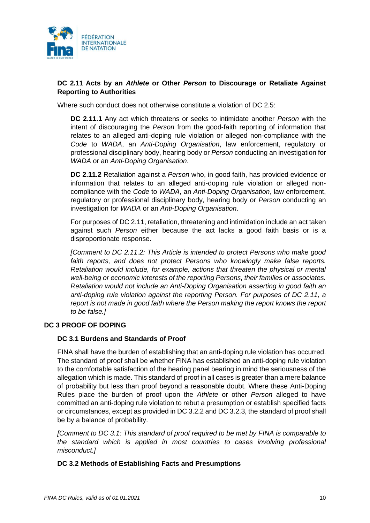

# **DC 2.11 Acts by an** *Athlete* **or Other** *Person* **to Discourage or Retaliate Against Reporting to Authorities**

<span id="page-9-0"></span>Where such conduct does not otherwise constitute a violation of DC 2.5:

**DC 2.11.1** Any act which threatens or seeks to intimidate another *Person* with the intent of discouraging the *Person* from the good-faith reporting of information that relates to an alleged anti-doping rule violation or alleged non-compliance with the *Code* to *WADA*, an *Anti-Doping Organisation*, law enforcement, regulatory or professional disciplinary body, hearing body or *Person* conducting an investigation for *WADA* or an *Anti-Doping Organisation*.

**DC 2.11.2** Retaliation against a *Person* who, in good faith, has provided evidence or information that relates to an alleged anti-doping rule violation or alleged noncompliance with the *Code* to *WADA*, an *Anti-Doping Organisation*, law enforcement, regulatory or professional disciplinary body, hearing body or *Person* conducting an investigation for *WADA* or an *Anti-Doping Organisation*.

For purposes of DC 2.11, retaliation, threatening and intimidation include an act taken against such *Person* either because the act lacks a good faith basis or is a disproportionate response.

*[Comment to DC 2.11.2: This Article is intended to protect Persons who make good*  faith reports, and does not protect Persons who knowingly make false reports. *Retaliation would include, for example, actions that threaten the physical or mental well-being or economic interests of the reporting Persons, their families or associates. Retaliation would not include an Anti-Doping Organisation asserting in good faith an anti-doping rule violation against the reporting Person. For purposes of DC 2.11, a report is not made in good faith where the Person making the report knows the report to be false.]*

## **DC 3 PROOF OF DOPING**

## **DC 3.1 Burdens and Standards of Proof**

FINA shall have the burden of establishing that an anti-doping rule violation has occurred. The standard of proof shall be whether FINA has established an anti-doping rule violation to the comfortable satisfaction of the hearing panel bearing in mind the seriousness of the allegation which is made. This standard of proof in all cases is greater than a mere balance of probability but less than proof beyond a reasonable doubt. Where these Anti-Doping Rules place the burden of proof upon the *Athlete* or other *Person* alleged to have committed an anti-doping rule violation to rebut a presumption or establish specified facts or circumstances, except as provided in DC 3.2.2 and DC 3.2.3, the standard of proof shall be by a balance of probability.

*[Comment to DC 3.1: This standard of proof required to be met by FINA is comparable to the standard which is applied in most countries to cases involving professional misconduct.]*

## **DC 3.2 Methods of Establishing Facts and Presumptions**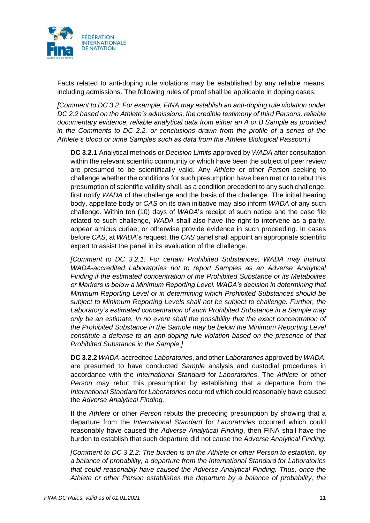

Facts related to anti-doping rule violations may be established by any reliable means, including admissions. The following rules of proof shall be applicable in doping cases:

*[Comment to DC 3.2: For example, FINA may establish an anti-doping rule violation under DC 2.2 based on the Athlete's admissions, the credible testimony of third Persons, reliable documentary evidence, reliable analytical data from either an A or B Sample as provided in the Comments to DC 2.2, or conclusions drawn from the profile of a series of the Athlete's blood or urine Samples such as data from the Athlete Biological Passport.]*

**DC 3.2.1** Analytical methods or *Decision Limits* approved by *WADA* after consultation within the relevant scientific community or which have been the subject of peer review are presumed to be scientifically valid. Any *Athlete* or other *Person* seeking to challenge whether the conditions for such presumption have been met or to rebut this presumption of scientific validity shall, as a condition precedent to any such challenge, first notify *WADA* of the challenge and the basis of the challenge. The initial hearing body, appellate body or *CAS* on its own initiative may also inform *WADA* of any such challenge. Within ten (10) days of *WADA*'s receipt of such notice and the case file related to such challenge, *WADA* shall also have the right to intervene as a party, appear amicus curiae, or otherwise provide evidence in such proceeding. In cases before *CAS*, at *WADA*'s request, the *CAS* panel shall appoint an appropriate scientific expert to assist the panel in its evaluation of the challenge.

*[Comment to DC 3.2.1: For certain Prohibited Substances, WADA may instruct WADA-accredited Laboratories not to report Samples as an Adverse Analytical Finding if the estimated concentration of the Prohibited Substance or its Metabolites or Markers is below a Minimum Reporting Level. WADA's decision in determining that Minimum Reporting Level or in determining which Prohibited Substances should be subject to Minimum Reporting Levels shall not be subject to challenge. Further, the Laboratory's estimated concentration of such Prohibited Substance in a Sample may only be an estimate. In no event shall the possibility that the exact concentration of the Prohibited Substance in the Sample may be below the Minimum Reporting Level constitute a defense to an anti-doping rule violation based on the presence of that Prohibited Substance in the Sample.]*

**DC 3.2.2** *WADA*-accredited *Laboratories*, and other *Laboratories* approved by *WADA*, are presumed to have conducted *Sample* analysis and custodial procedures in accordance with the *International Standard* for *Laboratories*. The *Athlete* or other *Person* may rebut this presumption by establishing that a departure from the *International Standard* for *Laboratories* occurred which could reasonably have caused the *Adverse Analytical Finding.*

If the *Athlete* or other *Person* rebuts the preceding presumption by showing that a departure from the *International Standard* for *Laboratories* occurred which could reasonably have caused the *Adverse Analytical Finding*, then FINA shall have the burden to establish that such departure did not cause the *Adverse Analytical Finding.*

*[Comment to DC 3.2.2: The burden is on the Athlete or other Person to establish, by a balance of probability, a departure from the International Standard for Laboratories that could reasonably have caused the Adverse Analytical Finding. Thus, once the Athlete or other Person establishes the departure by a balance of probability, the*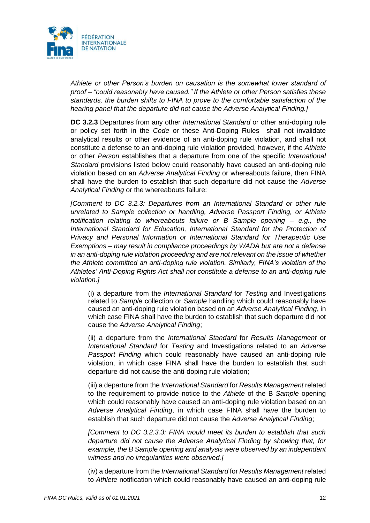

*Athlete or other Person's burden on causation is the somewhat lower standard of proof – "could reasonably have caused." If the Athlete or other Person satisfies these standards, the burden shifts to FINA to prove to the comfortable satisfaction of the hearing panel that the departure did not cause the Adverse Analytical Finding.]*

**DC 3.2.3** Departures from any other *International Standard* or other anti-doping rule or policy set forth in the *Code* or these Anti-Doping Rules shall not invalidate analytical results or other evidence of an anti-doping rule violation, and shall not constitute a defense to an anti-doping rule violation provided, however, if the *Athlete* or other *Person* establishes that a departure from one of the specific *International Standard* provisions listed below could reasonably have caused an anti-doping rule violation based on an *Adverse Analytical Finding* or whereabouts failure, then FINA shall have the burden to establish that such departure did not cause the *Adverse Analytical Finding* or the whereabouts failure:

*[Comment to DC 3.2.3: Departures from an International Standard or other rule unrelated to Sample collection or handling, Adverse Passport Finding, or Athlete notification relating to whereabouts failure or B Sample opening – e.g., the International Standard for Education, International Standard for the Protection of Privacy and Personal Information or International Standard for Therapeutic Use Exemptions – may result in compliance proceedings by WADA but are not a defense in an anti-doping rule violation proceeding and are not relevant on the issue of whether the Athlete committed an anti-doping rule violation. Similarly, FINA's violation of the Athletes' Anti-Doping Rights Act shall not constitute a defense to an anti-doping rule violation.]*

(i) a departure from the *International Standard* for *Testing* and Investigations related to *Sample* collection or *Sample* handling which could reasonably have caused an anti-doping rule violation based on an *Adverse Analytical Finding*, in which case FINA shall have the burden to establish that such departure did not cause the *Adverse Analytical Finding*;

(ii) a departure from the *International Standard* for *Results Management* or *International Standard* for *Testing* and Investigations related to an *Adverse Passport Finding* which could reasonably have caused an anti-doping rule violation, in which case FINA shall have the burden to establish that such departure did not cause the anti-doping rule violation;

(iii) a departure from the *International Standard* for *Results Management* related to the requirement to provide notice to the *Athlete* of the B *Sample* opening which could reasonably have caused an anti-doping rule violation based on an *Adverse Analytical Finding*, in which case FINA shall have the burden to establish that such departure did not cause the *Adverse Analytical Finding*;

*[Comment to DC 3.2.3.3: FINA would meet its burden to establish that such departure did not cause the Adverse Analytical Finding by showing that, for example, the B Sample opening and analysis were observed by an independent witness and no irregularities were observed.]*

(iv) a departure from the *International Standard* for *Results Management* related to *Athlete* notification which could reasonably have caused an anti-doping rule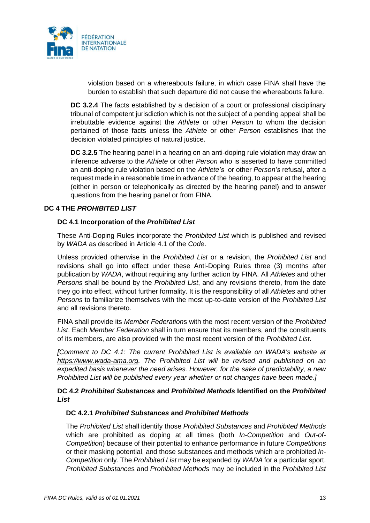

violation based on a whereabouts failure, in which case FINA shall have the burden to establish that such departure did not cause the whereabouts failure.

**DC 3.2.4** The facts established by a decision of a court or professional disciplinary tribunal of competent jurisdiction which is not the subject of a pending appeal shall be irrebuttable evidence against the *Athlete* or other *Person* to whom the decision pertained of those facts unless the *Athlete* or other *Person* establishes that the decision violated principles of natural justice.

**DC 3.2.5** The hearing panel in a hearing on an anti-doping rule violation may draw an inference adverse to the *Athlete* or other *Person* who is asserted to have committed an anti-doping rule violation based on the *Athlete's* or other *Person's* refusal, after a request made in a reasonable time in advance of the hearing, to appear at the hearing (either in person or telephonically as directed by the hearing panel) and to answer questions from the hearing panel or from FINA.

# <span id="page-12-0"></span>**DC 4 THE** *PROHIBITED LIST*

## **DC 4.1 Incorporation of the** *Prohibited List*

These Anti-Doping Rules incorporate the *Prohibited List* which is published and revised by *WADA* as described in Article 4.1 of the *Code*.

Unless provided otherwise in the *Prohibited List* or a revision, the *Prohibited List* and revisions shall go into effect under these Anti-Doping Rules three (3) months after publication by *WADA*, without requiring any further action by FINA. All *Athletes* and other *Persons* shall be bound by the *Prohibited List*, and any revisions thereto, from the date they go into effect, without further formality. It is the responsibility of all *Athletes* and other *Persons* to familiarize themselves with the most up-to-date version of the *Prohibited List* and all revisions thereto.

FINA shall provide its *Member Federation*s with the most recent version of the *Prohibited List*. Each *Member Federation* shall in turn ensure that its members, and the constituents of its members, are also provided with the most recent version of the *Prohibited List*.

*[Comment to DC 4.1: The current Prohibited List is available on WADA's website at [https://www.wada-ama.org.](https://www.wada-ama.org/) The Prohibited List will be revised and published on an expedited basis whenever the need arises. However, for the sake of predictability, a new Prohibited List will be published every year whether or not changes have been made.]*

## **DC 4.2** *Prohibited Substances* **and** *Prohibited Methods* **Identified on the** *Prohibited List*

## **DC 4.2.1** *Prohibited Substances* **and** *Prohibited Methods*

The *Prohibited List* shall identify those *Prohibited Substances* and *Prohibited Methods*  which are prohibited as doping at all times (both *In-Competition* and *Out-of-Competition*) because of their potential to enhance performance in future *Competitions*  or their masking potential, and those substances and methods which are prohibited *In-Competition* only. The *Prohibited List* may be expanded by *WADA* for a particular sport. *Prohibited Substance*s and *Prohibited Methods* may be included in the *Prohibited List*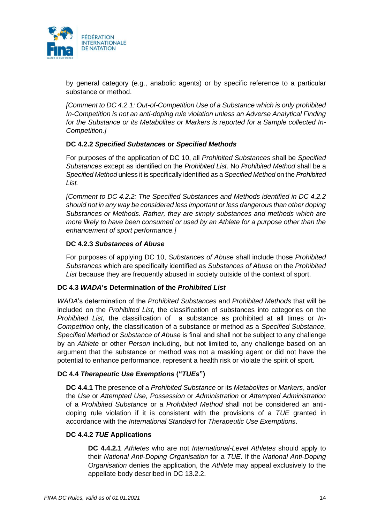

by general category (e.g., anabolic agents) or by specific reference to a particular substance or method.

*[Comment to DC 4.2.1: Out-of-Competition Use of a Substance which is only prohibited In-Competition is not an anti-doping rule violation unless an Adverse Analytical Finding for the Substance or its Metabolites or Markers is reported for a Sample collected In-Competition.]*

## **DC 4.2.2** *Specified Substances* **or** *Specified Methods*

For purposes of the application of DC 10, all *Prohibited Substances* shall be *Specified Substances* except as identified on the *Prohibited List*. No *Prohibited Method* shall be a *Specified Method* unless it is specifically identified as a *Specified Method* on the *Prohibited List.*

*[Comment to DC 4.2.2: The Specified Substances and Methods identified in DC 4.2.2 should not in any way be considered less important or less dangerous than other doping Substances or Methods. Rather, they are simply substances and methods which are more likely to have been consumed or used by an Athlete for a purpose other than the enhancement of sport performance.]*

# **DC 4.2.3** *Substances of Abuse*

For purposes of applying DC 10, *Substances of Abuse* shall include those *Prohibited Substances* which are specifically identified as *Substances of Abuse* on the *Prohibited List* because they are frequently abused in society outside of the context of sport.

## **DC 4.3** *WADA***'s Determination of the** *Prohibited List*

*WADA*'s determination of the *Prohibited Substances* and *Prohibited Methods* that will be included on the *Prohibited List,* the classification of substances into categories on the *Prohibited List,* the classification of a substance as prohibited at all times or *In-Competition* only, the classification of a substance or method as a *Specified Substance*, *Specified Method* or *Substance of Abuse* is final and shall not be subject to any challenge by an *Athlete* or other *Person* including, but not limited to, any challenge based on an argument that the substance or method was not a masking agent or did not have the potential to enhance performance, represent a health risk or violate the spirit of sport.

# **DC 4.4** *Therapeutic Use Exemptions* **("***TUEs***")**

**DC 4.4.1** The presence of a *Prohibited Substance* or its *Metabolites* or *Markers*, and/or the *Use* or *Attempted Use, Possession* or *Administration* or *Attempted Administration*  of a *Prohibited Substance* or a *Prohibited Method* shall not be considered an antidoping rule violation if it is consistent with the provisions of a *TUE* granted in accordance with the *International Standard* for *Therapeutic Use Exemptions*.

## **DC 4.4.2** *TUE* **Applications**

**DC 4.4.2.1** *Athletes* who are not *International-Level Athletes* should apply to their *National Anti-Doping Organisation* for a *TUE*. If the *National Anti-Doping Organisation* denies the application, the *Athlete* may appeal exclusively to the appellate body described in DC 13.2.2.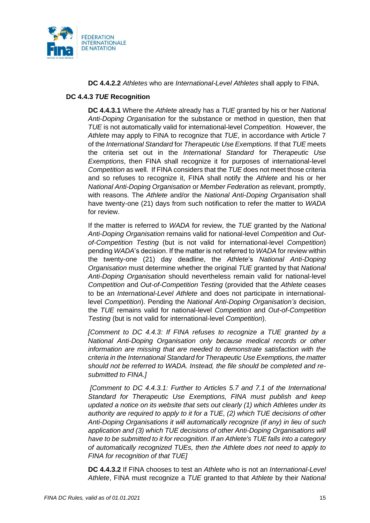

## **DC 4.4.2.2** *Athletes* who are *International-Level Athletes* shall apply to FINA.

## **DC 4.4.3** *TUE* **Recognition**

**DC 4.4.3.1** Where the *Athlete* already has a *TUE* granted by his or her *National Anti-Doping Organisation* for the substance or method in question, then that *TUE* is not automatically valid for international-level *Competition.* However, the *Athlete* may apply to FINA to recognize that *TUE*, in accordance with Article 7 of the *International Standard* for *Therapeutic Use Exemptions.* If that *TUE* meets the criteria set out in the *International Standard* for *Therapeutic Use Exemptions*, then FINA shall recognize it for purposes of international-level *Competition* as well. If FINA considers that the *TUE* does not meet those criteria and so refuses to recognize it, FINA shall notify the *Athlete* and his or her *National Anti-Doping Organisation* or *Member Federation* as relevant, promptly, with reasons. The *Athlete* and/or the *National Anti-Doping Organisation* shall have twenty-one (21) days from such notification to refer the matter to *WADA* for review.

If the matter is referred to *WADA* for review, the *TUE* granted by the *National Anti-Doping Organisation* remains valid for national-level *Competition* and *Outof-Competition Testing* (but is not valid for international-level *Competition*) pending *WADA*'s decision. If the matter is not referred to *WADA* for review within the twenty-one (21) day deadline, the *Athlete*'s *National Anti-Doping Organisation* must determine whether the original *TUE* granted by that *National Anti-Doping Organisation* should nevertheless remain valid for national-level *Competition* and *Out-of-Competition Testing* (provided that the *Athlete* ceases to be an *International-Level Athlete* and does not participate in internationallevel *Competition*). Pending the *National Anti-Doping Organisation's* decision, the *TUE* remains valid for national-level *Competition* and *Out-of-Competition Testing* (but is not valid for international-level *Competition*).

*[Comment to DC 4.4.3: If FINA refuses to recognize a TUE granted by a National Anti-Doping Organisation only because medical records or other information are missing that are needed to demonstrate satisfaction with the criteria in the International Standard for Therapeutic Use Exemptions, the matter should not be referred to WADA. Instead, the file should be completed and resubmitted to FINA.]*

*[Comment to DC 4.4.3.1: Further to Articles 5.7 and 7.1 of the International Standard for Therapeutic Use Exemptions, FINA must publish and keep updated a notice on its website that sets out clearly (1) which Athletes under its authority are required to apply to it for a TUE, (2) which TUE decisions of other Anti-Doping Organisations it will automatically recognize (if any) in lieu of such*  application and (3) which TUE decisions of other Anti-Doping Organisations will *have to be submitted to it for recognition. If an Athlete's TUE falls into a category of automatically recognized TUEs, then the Athlete does not need to apply to FINA for recognition of that TUE]*

**DC 4.4.3.2** If FINA chooses to test an *Athlete* who is not an *International-Level Athlete*, FINA must recognize a *TUE* granted to that *Athlete* by their *National*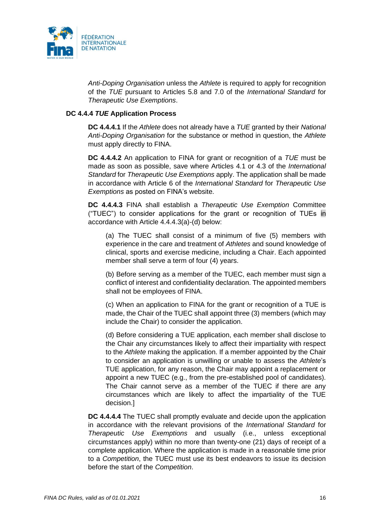

*Anti-Doping Organisation* unless the *Athlete* is required to apply for recognition of the *TUE* pursuant to Articles 5.8 and 7.0 of the *International Standard* for *Therapeutic Use Exemptions*.

## **DC 4.4.4** *TUE* **Application Process**

**DC 4.4.4.1** If the *Athlete* does not already have a *TUE* granted by their *National Anti-Doping Organisation* for the substance or method in question, the *Athlete* must apply directly to FINA.

**DC 4.4.4.2** An application to FINA for grant or recognition of a *TUE* must be made as soon as possible, save where Articles 4.1 or 4.3 of the *International Standard* for *Therapeutic Use Exemptions* apply. The application shall be made in accordance with Article 6 of the *International Standard* for *Therapeutic Use Exemptions* as posted on FINA's website.

**DC 4.4.4.3** FINA shall establish a *Therapeutic Use Exemption* Committee ("TUEC") to consider applications for the grant or recognition of TUEs in accordance with Article 4.4.4.3(a)-(d) below:

(a) The TUEC shall consist of a minimum of five (5) members with experience in the care and treatment of *Athletes* and sound knowledge of clinical, sports and exercise medicine, including a Chair. Each appointed member shall serve a term of four (4) years.

(b) Before serving as a member of the TUEC, each member must sign a conflict of interest and confidentiality declaration. The appointed members shall not be employees of FINA.

(c) When an application to FINA for the grant or recognition of a TUE is made, the Chair of the TUEC shall appoint three (3) members (which may include the Chair) to consider the application.

(d) Before considering a TUE application, each member shall disclose to the Chair any circumstances likely to affect their impartiality with respect to the *Athlete* making the application. If a member appointed by the Chair to consider an application is unwilling or unable to assess the *Athlete*'s TUE application, for any reason, the Chair may appoint a replacement or appoint a new TUEC (e.g., from the pre-established pool of candidates). The Chair cannot serve as a member of the TUEC if there are any circumstances which are likely to affect the impartiality of the TUE decision.]

**DC 4.4.4.4** The TUEC shall promptly evaluate and decide upon the application in accordance with the relevant provisions of the *International Standard* for *Therapeutic Use Exemptions* and usually (i.e., unless exceptional circumstances apply) within no more than twenty-one (21) days of receipt of a complete application. Where the application is made in a reasonable time prior to a *Competition*, the TUEC must use its best endeavors to issue its decision before the start of the *Competition*.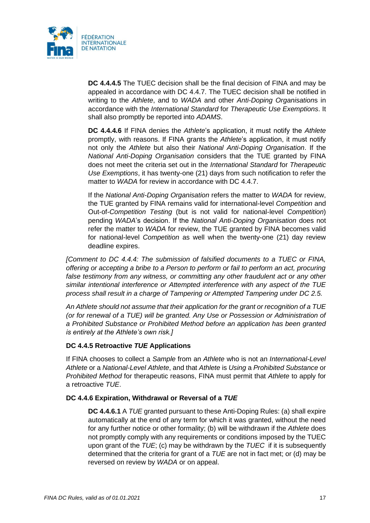

**DC 4.4.4.5** The TUEC decision shall be the final decision of FINA and may be appealed in accordance with DC 4.4.7. The TUEC decision shall be notified in writing to the *Athlete*, and to *WADA* and other *Anti-Doping Organisation*s in accordance with the *International Standard* for *Therapeutic Use Exemptions*. It shall also promptly be reported into *ADAMS*.

**DC 4.4.4.6** If FINA denies the *Athlete*'s application, it must notify the *Athlete* promptly, with reasons. If FINA grants the *Athlete*'s application, it must notify not only the *Athlete* but also their *National Anti-Doping Organisation*. If the *National Anti-Doping Organisation* considers that the TUE granted by FINA does not meet the criteria set out in the *International Standard* for *Therapeutic Use Exemptions*, it has twenty-one (21) days from such notification to refer the matter to *WADA* for review in accordance with DC 4.4.7.

If the *National Anti-Doping Organisation* refers the matter to *WADA* for review, the TUE granted by FINA remains valid for international-level *Competition* and Out-of-*Competition Testing* (but is not valid for national-level *Competition*) pending *WADA*'s decision. If the *National Anti-Doping Organisation* does not refer the matter to *WADA* for review, the TUE granted by FINA becomes valid for national-level *Competition* as well when the twenty-one (21) day review deadline expires.

*[Comment to DC 4.4.4: The submission of falsified documents to a TUEC or FINA, offering or accepting a bribe to a Person to perform or fail to perform an act, procuring*  false testimony from any witness, or committing any other fraudulent act or any other *similar intentional interference or Attempted interference with any aspect of the TUE process shall result in a charge of Tampering or Attempted Tampering under DC 2.5.*

*An Athlete should not assume that their application for the grant or recognition of a TUE (or for renewal of a TUE) will be granted. Any Use or Possession or Administration of a Prohibited Substance or Prohibited Method before an application has been granted is entirely at the Athlete's own risk.]*

## **DC 4.4.5 Retroactive** *TUE* **Applications**

If FINA chooses to collect a *Sample* from an *Athlete* who is not an *International-Level Athlete* or a *National-Level Athlete*, and that *Athlete* is *Using* a *Prohibited Substance* or *Prohibited Method* for therapeutic reasons, FINA must permit that *Athlete* to apply for a retroactive *TUE*.

## **DC 4.4.6 Expiration, Withdrawal or Reversal of a** *TUE*

**DC 4.4.6.1** A *TUE* granted pursuant to these Anti-Doping Rules: (a) shall expire automatically at the end of any term for which it was granted, without the need for any further notice or other formality; (b) will be withdrawn if the *Athlete* does not promptly comply with any requirements or conditions imposed by the TUEC upon grant of the *TUE*; (c) may be withdrawn by the *TUEC* if it is subsequently determined that the criteria for grant of a *TUE* are not in fact met; or (d) may be reversed on review by *WADA* or on appeal.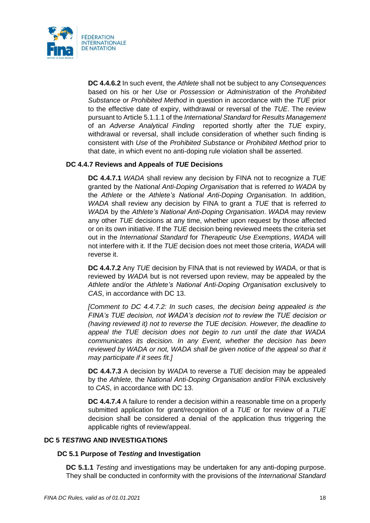

**DC 4.4.6.2** In such event, the *Athlete* shall not be subject to any *Consequences* based on his or her *Use* or *Possession* or *Administration* of the *Prohibited Substance* or *Prohibited Method* in question in accordance with the *TUE* prior to the effective date of expiry, withdrawal or reversal of the *TUE*. The review pursuant to Article 5.1.1.1 of the *International Standard* for *Results Management* of an *Adverse Analytical Finding* reported shortly after the *TUE* expiry, withdrawal or reversal, shall include consideration of whether such finding is consistent with *Use* of the *Prohibited Substance* or *Prohibited Method* prior to that date, in which event no anti-doping rule violation shall be asserted.

# **DC 4.4.7 Reviews and Appeals of** *TUE* **Decisions**

**DC 4.4.7.1** *WADA* shall review any decision by FINA not to recognize a *TUE* granted by the *National Anti-Doping Organisation* that is referred *to WADA* by the *Athlete* or the *Athlete's National Anti-Doping Organisation.* In addition, *WADA* shall review any decision by FINA to grant a *TUE* that is referred *to WADA* by the *Athlete's National Anti-Doping Organisation*. *WADA* may review any other *TUE* decisions at any time, whether upon request by those affected or on its own initiative. If the *TUE* decision being reviewed meets the criteria set out in the *International Standard* for *Therapeutic Use Exemptions*, *WADA* will not interfere with it. If the *TUE* decision does not meet those criteria, *WADA* will reverse it.

**DC 4.4.7.2** Any *TUE* decision by FINA that is not reviewed by *WADA*, or that is reviewed by *WADA* but is not reversed upon review, may be appealed by the *Athlete* and/or the *Athlete's National Anti-Doping Organisation* exclusively to *CAS*, in accordance with DC 13.

*[Comment to DC 4.4.7.2: In such cases, the decision being appealed is the FINA's TUE decision, not WADA's decision not to review the TUE decision or (having reviewed it) not to reverse the TUE decision. However, the deadline to appeal the TUE decision does not begin to run until the date that WADA communicates its decision. In any Event, whether the decision has been reviewed by WADA or not, WADA shall be given notice of the appeal so that it may participate if it sees fit.]*

**DC 4.4.7.3** A decision by *WADA* to reverse a *TUE* decision may be appealed by the *Athlete,* the *National Anti-Doping Organisation* and/or FINA exclusively to *CAS*, in accordance with DC 13.

<span id="page-17-0"></span>**DC 4.4.7.4** A failure to render a decision within a reasonable time on a properly submitted application for grant/recognition of a *TUE* or for review of a *TUE* decision shall be considered a denial of the application thus triggering the applicable rights of review/appeal.

# **DC 5** *TESTING* **AND INVESTIGATIONS**

## **DC 5.1 Purpose of** *Testing* **and Investigation**

**DC 5.1.1** *Testing* and investigations may be undertaken for any anti-doping purpose. They shall be conducted in conformity with the provisions of the *International Standard*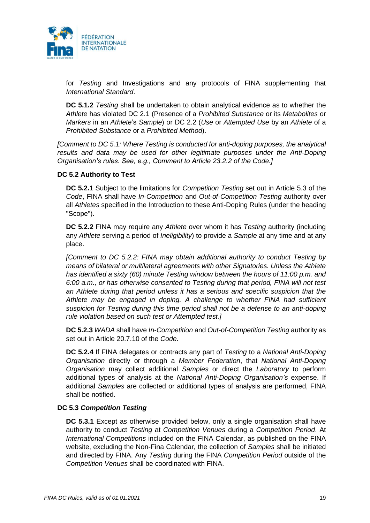

for *Testing* and Investigations and any protocols of FINA supplementing that *International Standard*.

**DC 5.1.2** *Testing* shall be undertaken to obtain analytical evidence as to whether the *Athlete* has violated DC 2.1 (Presence of a *Prohibited Substance* or its *Metabolites* or *Markers* in an *Athlete*'s *Sample*) or DC 2.2 (*Use* or *Attempted Use* by an *Athlete* of a *Prohibited Substance* or a *Prohibited Method*).

*[Comment to DC 5.1: Where Testing is conducted for anti-doping purposes, the analytical*  results and data may be used for other legitimate purposes under the Anti-Doping *Organisation's rules. See, e.g., Comment to Article 23.2.2 of the Code.]*

## **DC 5.2 Authority to Test**

**DC 5.2.1** Subject to the limitations for *Competition Testing* set out in Article 5.3 of the *Code*, FINA shall have *In-Competition* and *Out-of-Competition Testing* authority over all *Athletes* specified in the Introduction to these Anti-Doping Rules (under the heading "Scope").

**DC 5.2.2** FINA may require any *Athlete* over whom it has *Testing* authority (including any *Athlete* serving a period of *Ineligibility*) to provide a *Sample* at any time and at any place.

*[Comment to DC 5.2.2: FINA may obtain additional authority to conduct Testing by means of bilateral or multilateral agreements with other Signatories. Unless the Athlete has identified a sixty (60) minute Testing window between the hours of 11:00 p.m. and 6:00 a.m., or has otherwise consented to Testing during that period, FINA will not test an Athlete during that period unless it has a serious and specific suspicion that the Athlete may be engaged in doping. A challenge to whether FINA had sufficient suspicion for Testing during this time period shall not be a defense to an anti-doping rule violation based on such test or Attempted test.]*

**DC 5.2.3** *WADA* shall have *In-Competition* and *Out-of-Competition Testing* authority as set out in Article 20.7.10 of the *Code*.

**DC 5.2.4** If FINA delegates or contracts any part of *Testing* to a *National Anti-Doping Organisation* directly or through a *Member Federation*, that *National Anti-Doping Organisation* may collect additional *Samples* or direct the *Laboratory* to perform additional types of analysis at the *National Anti-Doping Organisation's* expense. If additional *Samples* are collected or additional types of analysis are performed, FINA shall be notified.

## **DC 5.3** *Competition Testing*

**DC 5.3.1** Except as otherwise provided below, only a single organisation shall have authority to conduct *Testing* at *Competition Venues* during a *Competition Period*. At *International Competitions* included on the FINA Calendar, as published on the FINA website, excluding the Non-Fina Calendar, the collection of *Samples* shall be initiated and directed by FINA. Any *Testing* during the FINA *Competition Period* outside of the *Competition Venues* shall be coordinated with FINA.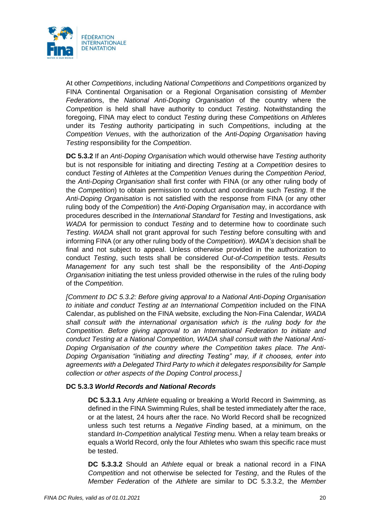

At other *Competitions*, including *National Competitions* and *Competitions* organized by FINA Continental Organisation or a Regional Organisation consisting of *Member Federation*s, the *National Anti-Doping Organisation* of the country where the *Competition* is held shall have authority to conduct *Testing*. Notwithstanding the foregoing, FINA may elect to conduct *Testing* during these *Competitions* on *Athlete*s under its *Testing* authority participating in such *Competitions*, including at the *Competition Venues*, with the authorization of the *Anti-Doping Organisation* having *Testing* responsibility for the *Competition*.

**DC 5.3.2** If an *Anti-Doping Organisation* which would otherwise have *Testing* authority but is not responsible for initiating and directing *Testing* at a *Competition* desires to conduct *Testing* of *Athletes* at the *Competition Venues* during the *Competition Period*, the *Anti-Doping Organisation* shall first confer with FINA (or any other ruling body of the *Competition*) to obtain permission to conduct and coordinate such *Testing*. If the *Anti-Doping Organisation* is not satisfied with the response from FINA (or any other ruling body of the *Competition*) the *Anti-Doping Organisation* may, in accordance with procedures described in the *International Standard* for *Testing* and Investigations, ask *WADA* for permission to conduct *Testing* and to determine how to coordinate such *Testing*. *WADA* shall not grant approval for such *Testing* before consulting with and informing FINA (or any other ruling body of the *Competition*). *WADA's* decision shall be final and not subject to appeal. Unless otherwise provided in the authorization to conduct *Testing*, such tests shall be considered *Out-of-Competition* tests. *Results Management* for any such test shall be the responsibility of the *Anti-Doping Organisation* initiating the test unless provided otherwise in the rules of the ruling body of the *Competition*.

*[Comment to DC 5.3.2: Before giving approval to a National Anti-Doping Organisation to initiate and conduct Testing at an International Competition* included on the FINA Calendar, as published on the FINA website, excluding the Non-Fina Calendar*, WADA shall consult with the international organisation which is the ruling body for the Competition. Before giving approval to an International Federation to initiate and conduct Testing at a National Competition, WADA shall consult with the National Anti-Doping Organisation of the country where the Competition takes place. The Anti-Doping Organisation "initiating and directing Testing" may, if it chooses, enter into agreements with a Delegated Third Party to which it delegates responsibility for Sample collection or other aspects of the Doping Control process.]*

## **DC 5.3.3** *World Records and National Records*

**DC 5.3.3.1** Any *Athlete* equaling or breaking a World Record in Swimming, as defined in the FINA Swimming Rules, shall be tested immediately after the race, or at the latest, 24 hours after the race. No World Record shall be recognized unless such test returns a *Negative Finding* based, at a minimum, on the standard *In-Competition* analytical *Testing* menu. When a relay team breaks or equals a World Record, only the four Athletes who swam this specific race must be tested.

**DC 5.3.3.2** Should an *Athlete* equal or break a national record in a FINA *Competition* and not otherwise be selected for *Testing*, and the Rules of the *Member Federation* of the *Athlete* are similar to DC 5.3.3.2, the *Member*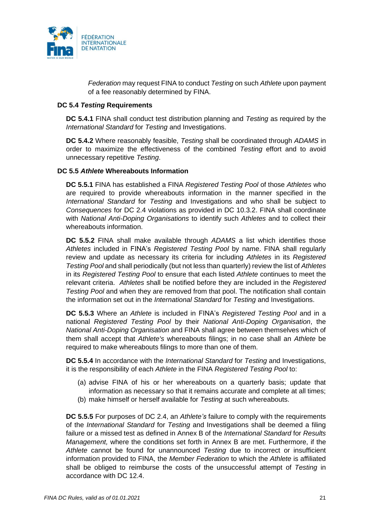

*Federation* may request FINA to conduct *Testing* on such *Athlete* upon payment of a fee reasonably determined by FINA.

## **DC 5.4** *Testing* **Requirements**

**DC 5.4.1** FINA shall conduct test distribution planning and *Testing* as required by the *International Standard* for *Testing* and Investigations.

**DC 5.4.2** Where reasonably feasible, *Testing* shall be coordinated through *ADAMS* in order to maximize the effectiveness of the combined *Testing* effort and to avoid unnecessary repetitive *Testing*.

#### **DC 5.5** *Athlete* **Whereabouts Information**

**DC 5.5.1** FINA has established a FINA *Registered Testing Pool* of those *Athletes* who are required to provide whereabouts information in the manner specified in the *International Standard* for *Testing* and Investigations and who shall be subject to *Consequences* for DC 2.4 violations as provided in DC 10.3.2. FINA shall coordinate with *National Anti-Doping Organisations* to identify such *Athletes* and to collect their whereabouts information.

**DC 5.5.2** FINA shall make available through *ADAMS* a list which identifies those *Athletes* included in FINA's *Registered Testing Pool* by name. FINA shall regularly review and update as necessary its criteria for including *Athletes* in its *Registered Testing Pool* and shall periodically (but not less than quarterly) review the list of *Athletes* in its *Registered Testing Pool* to ensure that each listed *Athlete* continues to meet the relevant criteria. *Athletes* shall be notified before they are included in the *Registered Testing Pool* and when they are removed from that pool. The notification shall contain the information set out in the *International Standard* for *Testing* and Investigations.

**DC 5.5.3** Where an *Athlete* is included in FINA's *Registered Testing Pool* and in a national *Registered Testing Pool* by their *National Anti-Doping Organisation*, the *National Anti-Doping Organisation* and FINA shall agree between themselves which of them shall accept that *Athlete's* whereabouts filings; in no case shall an *Athlete* be required to make whereabouts filings to more than one of them.

**DC 5.5.4** In accordance with the *International Standard* for *Testing* and Investigations, it is the responsibility of each *Athlete* in the FINA *Registered Testing Pool* to:

- (a) advise FINA of his or her whereabouts on a quarterly basis; update that information as necessary so that it remains accurate and complete at all times;
- (b) make himself or herself available for *Testing* at such whereabouts.

**DC 5.5.5** For purposes of DC 2.4, an *Athlete's* failure to comply with the requirements of the *International Standard* for *Testing* and Investigations shall be deemed a filing failure or a missed test as defined in Annex B of the *International Standard* for *Results Management,* where the conditions set forth in Annex B are met. Furthermore, if the *Athlete* cannot be found for unannounced *Testing* due to incorrect or insufficient information provided to FINA, the *Member Federation* to which the *Athlete* is affiliated shall be obliged to reimburse the costs of the unsuccessful attempt of *Testing* in accordance with DC 12.4.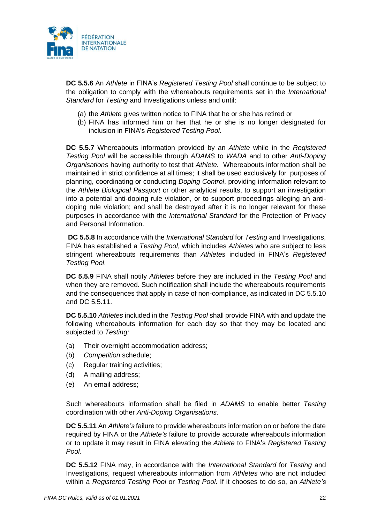

**DC 5.5.6** An *Athlete* in FINA's *Registered Testing Pool* shall continue to be subject to the obligation to comply with the whereabouts requirements set in the *International Standard* for *Testing* and Investigations unless and until:

- (a) the *Athlete* gives written notice to FINA that he or she has retired or
- (b) FINA has informed him or her that he or she is no longer designated for inclusion in FINA's *Registered Testing Pool*.

**DC 5.5.7** Whereabouts information provided by an *Athlete* while in the *Registered Testing Pool* will be accessible through *ADAMS* to *WADA* and to other *Anti-Doping Organisations* having authority to test that *Athlete.* Whereabouts information shall be maintained in strict confidence at all times; it shall be used exclusively for purposes of planning, coordinating or conducting *Doping Control*, providing information relevant to the *Athlete Biological Passport* or other analytical results, to support an investigation into a potential anti-doping rule violation, or to support proceedings alleging an antidoping rule violation; and shall be destroyed after it is no longer relevant for these purposes in accordance with the *International Standard* for the Protection of Privacy and Personal Information.

**DC 5.5.8** In accordance with the *International Standard* for *Testing* and Investigations, FINA has established a *Testing Pool*, which includes *Athletes* who are subject to less stringent whereabouts requirements than *Athletes* included in FINA's *Registered Testing Pool*.

**DC 5.5.9** FINA shall notify *Athletes* before they are included in the *Testing Pool* and when they are removed. Such notification shall include the whereabouts requirements and the consequences that apply in case of non-compliance, as indicated in DC 5.5.10 and DC 5.5.11.

**DC 5.5.10** *Athletes* included in the *Testing Pool* shall provide FINA with and update the following whereabouts information for each day so that they may be located and subjected to *Testing:* 

- (a) Their overnight accommodation address;
- (b) *Competition* schedule;
- (c) Regular training activities;
- (d) A mailing address;
- (e) An email address;

Such whereabouts information shall be filed in *ADAMS* to enable better *Testing* coordination with other *Anti-Doping Organisations*.

**DC 5.5.11** An *Athlete's* failure to provide whereabouts information on or before the date required by FINA or the *Athlete's* failure to provide accurate whereabouts information or to update it may result in FINA elevating the *Athlete* to FINA's *Registered Testing Pool*.

**DC 5.5.12** FINA may, in accordance with the *International Standard* for *Testing* and Investigations, request whereabouts information from *Athletes* who are not included within a *Registered Testing Pool* or *Testing Pool*. If it chooses to do so, an *Athlete's*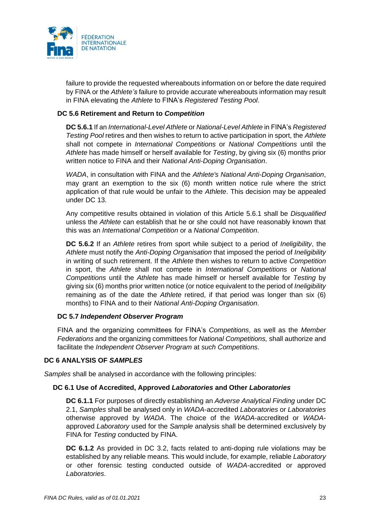

failure to provide the requested whereabouts information on or before the date required by FINA or the *Athlete's* failure to provide accurate whereabouts information may result in FINA elevating the *Athlete* to FINA's *Registered Testing Pool*.

## **DC 5.6 Retirement and Return to** *Competition*

**DC 5.6.1** If an *International-Level Athlete* or *National-Level Athlete* in FINA's *Registered Testing Pool* retires and then wishes to return to active participation in sport, the *Athlete* shall not compete in *International Competitions* or *National Competitions* until the *Athlete* has made himself or herself available for *Testing*, by giving six (6) months prior written notice to FINA and their *National Anti-Doping Organisation*.

*WADA*, in consultation with FINA and the *Athlete's National Anti-Doping Organisation*, may grant an exemption to the six (6) month written notice rule where the strict application of that rule would be unfair to the *Athlete*. This decision may be appealed under DC 13.

Any competitive results obtained in violation of this Article 5.6.1 shall be *Disqualified* unless the *Athlete* can establish that he or she could not have reasonably known that this was an *International Competition* or a *National Competition*.

**DC 5.6.2** If an *Athlete* retires from sport while subject to a period of *Ineligibility*, the *Athlete* must notify the *Anti-Doping Organisation* that imposed the period of *Ineligibility* in writing of such retirement. If the *Athlete* then wishes to return to active *Competition* in sport, the *Athlete* shall not compete in *International Competitions* or *National Competitions* until the *Athlete* has made himself or herself available for *Testing* by giving six (6) months prior written notice (or notice equivalent to the period of *Ineligibility*  remaining as of the date the *Athlete* retired, if that period was longer than six (6) months) to FINA and to their *National Anti-Doping Organisation*.

## **DC 5.7** *Independent Observer Program*

FINA and the organizing committees for FINA's *Competitions*, as well as the *Member Federations* and the organizing committees for *National Competitions,* shall authorize and facilitate the *Independent Observer Program* at *such Competitions*.

## <span id="page-22-0"></span>**DC 6 ANALYSIS OF** *SAMPLES*

*Samples* shall be analysed in accordance with the following principles:

## **DC 6.1 Use of Accredited, Approved** *Laboratories* **and Other** *Laboratories*

**DC 6.1.1** For purposes of directly establishing an *Adverse Analytical Finding* under DC 2.1, *Samples* shall be analysed only in *WADA*-accredited *Laboratories* or *Laboratories* otherwise approved by *WADA*. The choice of the *WADA*-accredited or *WADA*approved *Laboratory* used for the *Sample* analysis shall be determined exclusively by FINA for *Testing* conducted by FINA.

**DC 6.1.2** As provided in DC 3.2, facts related to anti-doping rule violations may be established by any reliable means. This would include, for example, reliable *Laboratory* or other forensic testing conducted outside of *WADA*-accredited or approved *Laboratories*.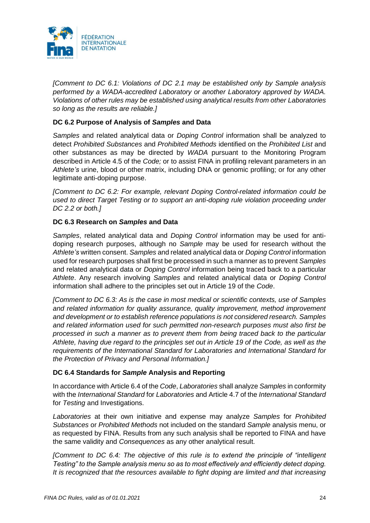

*[Comment to DC 6.1: Violations of DC 2.1 may be established only by Sample analysis performed by a WADA-accredited Laboratory or another Laboratory approved by WADA. Violations of other rules may be established using analytical results from other Laboratories so long as the results are reliable.]*

# **DC 6.2 Purpose of Analysis of** *Samples* **and Data**

*Samples* and related analytical data or *Doping Control* information shall be analyzed to detect *Prohibited Substances* and *Prohibited Methods* identified on the *Prohibited List* and other substances as may be directed by *WADA* pursuant to the Monitoring Program described in Article 4.5 of the *Code;* or to assist FINA in profiling relevant parameters in an *Athlete's* urine, blood or other matrix, including DNA or genomic profiling; or for any other legitimate anti-doping purpose.

*[Comment to DC 6.2: For example, relevant Doping Control-related information could be used to direct Target Testing or to support an anti-doping rule violation proceeding under DC 2.2 or both.]*

# **DC 6.3 Research on** *Samples* **and Data**

*Samples*, related analytical data and *Doping Control* information may be used for antidoping research purposes, although no *Sample* may be used for research without the *Athlete's* written consent. *Samples* and related analytical data or *Doping Control* information used for research purposes shall first be processed in such a manner as to prevent *Samples* and related analytical data or *Doping Control* information being traced back to a particular *Athlete*. Any research involving *Samples* and related analytical data or *Doping Control* information shall adhere to the principles set out in Article 19 of the *Code*.

*[Comment to DC 6.3: As is the case in most medical or scientific contexts, use of Samples and related information for quality assurance, quality improvement, method improvement and development or to establish reference populations is not considered research. Samples and related information used for such permitted non-research purposes must also first be processed in such a manner as to prevent them from being traced back to the particular Athlete, having due regard to the principles set out in Article 19 of the Code, as well as the requirements of the International Standard for Laboratories and International Standard for the Protection of Privacy and Personal Information.]*

# **DC 6.4 Standards for** *Sample* **Analysis and Reporting**

In accordance with Article 6.4 of the *Code*, *Laboratories* shall analyze *Samples* in conformity with the *International Standard* for *Laboratories* and Article 4.7 of the *International Standard* for *Testing* and Investigations.

*Laboratories* at their own initiative and expense may analyze *Samples* for *Prohibited Substances* or *Prohibited Methods* not included on the standard *Sample* analysis menu, or as requested by FINA. Results from any such analysis shall be reported to FINA and have the same validity and *Consequences* as any other analytical result.

*[Comment to DC 6.4: The objective of this rule is to extend the principle of "intelligent*" *Testing" to the Sample analysis menu so as to most effectively and efficiently detect doping. It is recognized that the resources available to fight doping are limited and that increasing*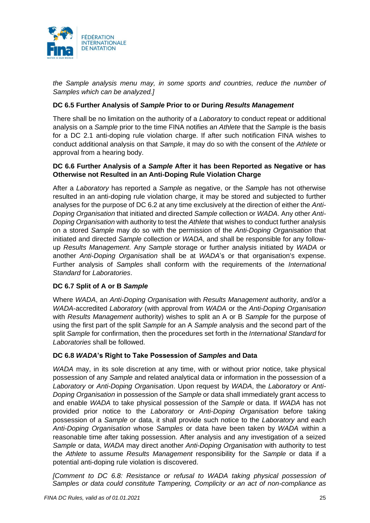

*the Sample analysis menu may, in some sports and countries, reduce the number of Samples which can be analyzed.]*

## **DC 6.5 Further Analysis of** *Sample* **Prior to or During** *Results Management*

There shall be no limitation on the authority of a *Laboratory* to conduct repeat or additional analysis on a *Sample* prior to the time FINA notifies an *Athlete* that the *Sample* is the basis for a DC 2.1 anti-doping rule violation charge. If after such notification FINA wishes to conduct additional analysis on that *Sample*, it may do so with the consent of the *Athlete* or approval from a hearing body.

## <span id="page-24-0"></span>**DC 6.6 Further Analysis of a** *Sample* **After it has been Reported as Negative or has Otherwise not Resulted in an Anti-Doping Rule Violation Charge**

After a *Laboratory* has reported a *Sample* as negative, or the *Sample* has not otherwise resulted in an anti-doping rule violation charge, it may be stored and subjected to further analyses for the purpose of DC 6.2 at any time exclusively at the direction of either the *Anti-Doping Organisation* that initiated and directed *Sample* collection or *WADA*. Any other *Anti-Doping Organisation* with authority to test the *Athlete* that wishes to conduct further analysis on a stored *Sample* may do so with the permission of the *Anti-Doping Organisation* that initiated and directed *Sample* collection or *WADA*, and shall be responsible for any followup *Results Management*. Any *Sample* storage or further analysis initiated by *WADA* or another *Anti-Doping Organisation* shall be at *WADA*'s or that organisation's expense. Further analysis of *Samples* shall conform with the requirements of the *International Standard* for *Laboratories*.

# **DC 6.7 Split of A or B** *Sample*

Where *WADA*, an *Anti-Doping Organisation* with *Results Management* authority, and/or a *WADA*-accredited *Laboratory* (with approval from *WADA* or the *Anti-Doping Organisation* with *Results Management* authority) wishes to split an A or B *Sample* for the purpose of using the first part of the split *Sample* for an A *Sample* analysis and the second part of the split *Sample* for confirmation, then the procedures set forth in the *International Standard* for *Laboratories* shall be followed.

## **DC 6.8** *WADA***'s Right to Take Possession of** *Samples* **and Data**

*WADA* may, in its sole discretion at any time, with or without prior notice, take physical possession of any *Sample* and related analytical data or information in the possession of a *Laboratory* or *Anti-Doping Organisation*. Upon request by *WADA*, the *Laboratory* or *Anti-Doping Organisation* in possession of the *Sample* or data shall immediately grant access to and enable *WADA* to take physical possession of the *Sample* or data. If *WADA* has not provided prior notice to the *Laboratory* or *Anti-Doping Organisation* before taking possession of a *Sample* or data, it shall provide such notice to the *Laboratory* and each *Anti-Doping Organisation* whose *Samples* or data have been taken by *WADA* within a reasonable time after taking possession. After analysis and any investigation of a seized *Sample* or data, *WADA* may direct another *Anti-Doping Organisation* with authority to test the *Athlete* to assume *Results Management* responsibility for the *Sample* or data if a potential anti-doping rule violation is discovered.

*[Comment to DC 6.8: Resistance or refusal to WADA taking physical possession of Samples or data could constitute Tampering, Complicity or an act of non-compliance as*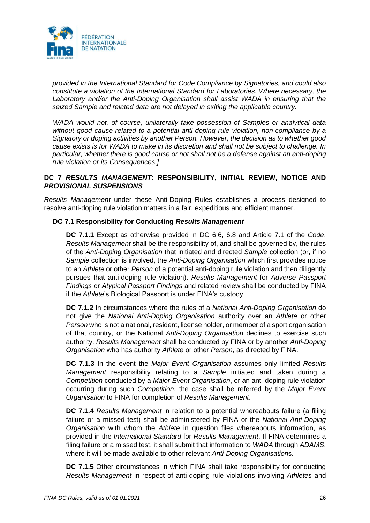

*provided in the International Standard for Code Compliance by Signatories, and could also constitute a violation of the International Standard for Laboratories. Where necessary, the Laboratory and/or the Anti-Doping Organisation shall assist WADA in ensuring that the seized Sample and related data are not delayed in exiting the applicable country.*

*WADA would not, of course, unilaterally take possession of Samples or analytical data without good cause related to a potential anti-doping rule violation, non-compliance by a Signatory or doping activities by another Person. However, the decision as to whether good cause exists is for WADA to make in its discretion and shall not be subject to challenge. In particular, whether there is good cause or not shall not be a defense against an anti-doping rule violation or its Consequences.]*

# **DC 7** *RESULTS MANAGEMENT***: RESPONSIBILITY, INITIAL REVIEW, NOTICE AND**  *PROVISIONAL SUSPENSIONS*

*Results Management* under these Anti-Doping Rules establishes a process designed to resolve anti-doping rule violation matters in a fair, expeditious and efficient manner.

# **DC 7.1 Responsibility for Conducting** *Results Management*

**DC 7.1.1** Except as otherwise provided in DC 6.6, 6.8 and Article 7.1 of the *Code*, *Results Management* shall be the responsibility of, and shall be governed by, the rules of the *Anti-Doping Organisation* that initiated and directed *Sample* collection (or, if no *Sample* collection is involved, the *Anti-Doping Organisation* which first provides notice to an *Athlete* or other *Person* of a potential anti-doping rule violation and then diligently pursues that anti-doping rule violation). *Results Management* for *Adverse Passport Findings* or *Atypical Passport Findings* and related review shall be conducted by FINA if the *Athlete*'s Biological Passport is under FINA's custody.

**DC 7.1.2** In circumstances where the rules of a *National Anti-Doping Organisation* do not give the *National Anti-Doping Organisation* authority over an *Athlete* or other *Person* who is not a national, resident, license holder, or member of a sport organisation of that country, or the National *Anti-Doping Organisation* declines to exercise such authority, *Results Management* shall be conducted by FINA or by another *Anti-Doping Organisation* who has authority *Athlete* or other *Person*, as directed by FINA.

**DC 7.1.3** In the event the *Major Event Organisation* assumes only limited *Results Management* responsibility relating to a *Sample* initiated and taken during a *Competition* conducted by a *Major Event Organisation*, or an anti-doping rule violation occurring during such *Competition*, the case shall be referred by the *Major Event Organisation* to FINA for completion of *Results Management*.

**DC 7.1.4** *Results Management* in relation to a potential whereabouts failure (a filing failure or a missed test) shall be administered by FINA or the *National Anti-Doping Organisation* with whom the *Athlete* in question files whereabouts information, as provided in the *International Standard* for *Results Management*. If FINA determines a filing failure or a missed test, it shall submit that information to *WADA* through *ADAMS*, where it will be made available to other relevant *Anti-Doping Organisation*s.

**DC 7.1.5** Other circumstances in which FINA shall take responsibility for conducting *Results Management* in respect of anti-doping rule violations involving *Athletes* and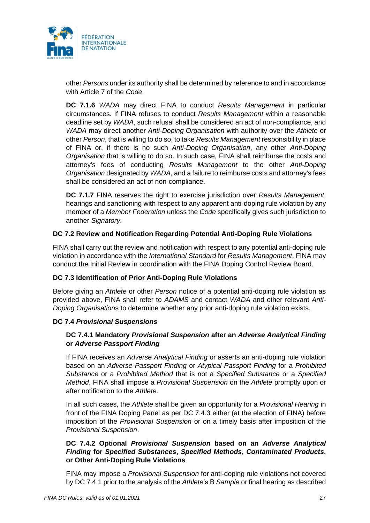

other *Persons* under its authority shall be determined by reference to and in accordance with Article 7 of the *Code*.

**DC 7.1.6** *WADA* may direct FINA to conduct *Results Management* in particular circumstances. If FINA refuses to conduct *Results Management* within a reasonable deadline set by *WADA*, such refusal shall be considered an act of non-compliance, and *WADA* may direct another *Anti-Doping Organisation* with authority over the *Athlete* or other *Person*, that is willing to do so, to take *Results Management* responsibility in place of FINA or, if there is no such *Anti-Doping Organisation*, any other *Anti-Doping Organisation* that is willing to do so. In such case, FINA shall reimburse the costs and attorney's fees of conducting *Results Management* to the other *Anti-Doping Organisation* designated by *WADA*, and a failure to reimburse costs and attorney's fees shall be considered an act of non-compliance.

**DC 7.1.7** FINA reserves the right to exercise jurisdiction over *Results Management*, hearings and sanctioning with respect to any apparent anti-doping rule violation by any member of a *Member Federation* unless the *Code* specifically gives such jurisdiction to another *Signatory*.

# **DC 7.2 Review and Notification Regarding Potential Anti-Doping Rule Violations**

FINA shall carry out the review and notification with respect to any potential anti-doping rule violation in accordance with the *International Standard* for *Results Management*. FINA may conduct the Initial Review in coordination with the FINA Doping Control Review Board.

## **DC 7.3 Identification of Prior Anti-Doping Rule Violations**

Before giving an *Athlete* or other *Person* notice of a potential anti-doping rule violation as provided above, FINA shall refer to *ADAMS* and contact *WADA* and other relevant *Anti-Doping Organisation*s to determine whether any prior anti-doping rule violation exists.

## **DC 7.4** *Provisional Suspensions*

# **DC 7.4.1 Mandatory** *Provisional Suspension* **after an** *Adverse Analytical Finding* **or** *Adverse Passport Finding*

If FINA receives an *Adverse Analytical Finding* or asserts an anti-doping rule violation based on an *Adverse Passport Finding* or *Atypical Passport Finding* for a *Prohibited Substance* or a *Prohibited Method* that is not a *Specified Substance* or a *Specified Method*, FINA shall impose a *Provisional Suspension* on the *Athlete* promptly upon or after notification to the *Athlete*.

In all such cases, the *Athlete* shall be given an opportunity for a *Provisional Hearing* in front of the FINA Doping Panel as per DC 7.4.3 either (at the election of FINA) before imposition of the *Provisional Suspension* or on a timely basis after imposition of the *Provisional Suspension*.

## **DC 7.4.2 Optional** *Provisional Suspension* **based on an** *Adverse Analytical Finding* **for** *Specified Substances***,** *Specified Methods***,** *Contaminated Products***, or Other Anti-Doping Rule Violations**

FINA may impose a *Provisional Suspension* for anti-doping rule violations not covered by DC 7.4.1 prior to the analysis of the *Athlete*'s B *Sample* or final hearing as described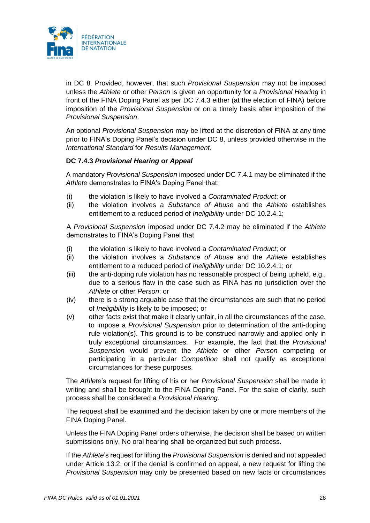

in DC 8. Provided, however, that such *Provisional Suspension* may not be imposed unless the *Athlete* or other *Person* is given an opportunity for a *Provisional Hearing* in front of the FINA Doping Panel as per DC 7.4.3 either (at the election of FINA) before imposition of the *Provisional Suspension* or on a timely basis after imposition of the *Provisional Suspension*.

An optional *Provisional Suspension* may be lifted at the discretion of FINA at any time prior to FINA's Doping Panel's decision under DC 8, unless provided otherwise in the *International Standard* for *Results Management*.

# **DC 7.4.3** *Provisional Hearing* **or** *Appeal*

A mandatory *Provisional Suspension* imposed under DC 7.4.1 may be eliminated if the *Athlete* demonstrates to FINA's Doping Panel that:

- (i) the violation is likely to have involved a *Contaminated Product*; or
- (ii) the violation involves a *Substance of Abuse* and the *Athlete* establishes entitlement to a reduced period of *Ineligibility* under DC 10.2.4.1;

A *Provisional Suspension* imposed under DC 7.4.2 may be eliminated if the *Athlete* demonstrates to FINA's Doping Panel that

- (i) the violation is likely to have involved a *Contaminated Product*; or
- (ii) the violation involves a *Substance of Abuse* and the *Athlete* establishes entitlement to a reduced period of *Ineligibility* under DC 10.2.4.1; or
- (iii) the anti-doping rule violation has no reasonable prospect of being upheld, e.g., due to a serious flaw in the case such as FINA has no jurisdiction over the *Athlete* or other *Person*; or
- (iv) there is a strong arguable case that the circumstances are such that no period of *Ineligibility* is likely to be imposed; or
- (v) other facts exist that make it clearly unfair, in all the circumstances of the case, to impose a *Provisional Suspension* prior to determination of the anti-doping rule violation(s). This ground is to be construed narrowly and applied only in truly exceptional circumstances. For example, the fact that the *Provisional Suspension* would prevent the *Athlete* or other *Person* competing or participating in a particular *Competition* shall not qualify as exceptional circumstances for these purposes.

The *Athlete*'s request for lifting of his or her *Provisional Suspension* shall be made in writing and shall be brought to the FINA Doping Panel. For the sake of clarity, such process shall be considered a *Provisional Hearing.*

The request shall be examined and the decision taken by one or more members of the FINA Doping Panel.

Unless the FINA Doping Panel orders otherwise, the decision shall be based on written submissions only. No oral hearing shall be organized but such process.

If the *Athlete*'s request for lifting the *Provisional Suspension* is denied and not appealed under Article 13.2, or if the denial is confirmed on appeal, a new request for lifting the *Provisional Suspension* may only be presented based on new facts or circumstances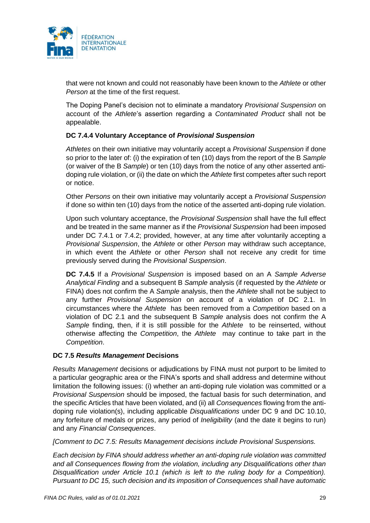

that were not known and could not reasonably have been known to the *Athlete* or other *Person* at the time of the first request.

The Doping Panel's decision not to eliminate a mandatory *Provisional Suspension* on account of the *Athlete*'s assertion regarding a *Contaminated Product* shall not be appealable.

# **DC 7.4.4 Voluntary Acceptance of** *Provisional Suspension*

*Athletes* on their own initiative may voluntarily accept a *Provisional Suspension* if done so prior to the later of: (i) the expiration of ten (10) days from the report of the B *Sample* (or waiver of the B *Sample*) or ten (10) days from the notice of any other asserted antidoping rule violation, or (ii) the date on which the *Athlete* first competes after such report or notice.

Other *Persons* on their own initiative may voluntarily accept a *Provisional Suspension* if done so within ten (10) days from the notice of the asserted anti-doping rule violation.

Upon such voluntary acceptance, the *Provisional Suspension* shall have the full effect and be treated in the same manner as if the *Provisional Suspension* had been imposed under DC 7.4.1 or 7.4.2; provided, however, at any time after voluntarily accepting a *Provisional Suspension*, the *Athlete* or other *Person* may withdraw such acceptance, in which event the *Athlete* or other *Person* shall not receive any credit for time previously served during the *Provisional Suspension*.

**DC 7.4.5** If a *Provisional Suspension* is imposed based on an A *Sample Adverse Analytical Finding* and a subsequent B *Sample* analysis (if requested by the *Athlete* or FINA) does not confirm the A *Sample* analysis, then the *Athlete* shall not be subject to any further *Provisional Suspension* on account of a violation of DC 2.1. In circumstances where the *Athlete* has been removed from a *Competition* based on a violation of DC 2.1 and the subsequent B *Sample* analysis does not confirm the A *Sample* finding, then, if it is still possible for the *Athlete* to be reinserted, without otherwise affecting the *Competition*, the *Athlete* may continue to take part in the *Competition*.

## **DC 7.5** *Results Management* **Decisions**

*Results Management* decisions or adjudications by FINA must not purport to be limited to a particular geographic area or the FINA's sports and shall address and determine without limitation the following issues: (i) whether an anti-doping rule violation was committed or a *Provisional Suspension* should be imposed, the factual basis for such determination, and the specific Articles that have been violated, and (ii) all *Consequences* flowing from the antidoping rule violation(s), including applicable *Disqualifications* under DC 9 and DC 10.10, any forfeiture of medals or prizes, any period of *Ineligibility* (and the date it begins to run) and any *Financial Consequences*.

*[Comment to DC 7.5: Results Management decisions include Provisional Suspensions.*

*Each decision by FINA should address whether an anti-doping rule violation was committed and all Consequences flowing from the violation, including any Disqualifications other than Disqualification under Article 10.1 (which is left to the ruling body for a Competition). Pursuant to DC 15, such decision and its imposition of Consequences shall have automatic*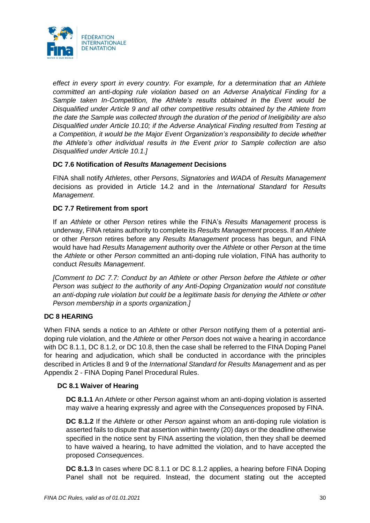

*effect in every sport in every country. For example, for a determination that an Athlete committed an anti-doping rule violation based on an Adverse Analytical Finding for a Sample taken In-Competition, the Athlete's results obtained in the Event would be Disqualified under Article 9 and all other competitive results obtained by the Athlete from the date the Sample was collected through the duration of the period of Ineligibility are also Disqualified under Article 10.10; if the Adverse Analytical Finding resulted from Testing at a Competition, it would be the Major Event Organization's responsibility to decide whether the Athlete's other individual results in the Event prior to Sample collection are also Disqualified under Article 10.1.]*

# **DC 7.6 Notification of** *Results Management* **Decisions**

FINA shall notify *Athletes*, other *Persons*, *Signatories* and *WADA* of *Results Management* decisions as provided in Article 14.2 and in the *International Standard* for *Results Management*.

# **DC 7.7 Retirement from sport**

If an *Athlete* or other *Person* retires while the FINA's *Results Management* process is underway, FINA retains authority to complete its *Results Management* process. If an *Athlete* or other *Person* retires before any *Results Management* process has begun, and FINA would have had *Results Management* authority over the *Athlete* or other *Person* at the time the *Athlete* or other *Person* committed an anti-doping rule violation, FINA has authority to conduct *Results Management*.

*[Comment to DC 7.7: Conduct by an Athlete or other Person before the Athlete or other Person was subject to the authority of any Anti-Doping Organization would not constitute an anti-doping rule violation but could be a legitimate basis for denying the Athlete or other Person membership in a sports organization.]*

# <span id="page-29-0"></span>**DC 8 HEARING**

When FINA sends a notice to an *Athlete* or other *Person* notifying them of a potential antidoping rule violation, and the *Athlete* or other *Person* does not waive a hearing in accordance with DC 8.1.1, DC 8.1.2, or DC 10.8, then the case shall be referred to the FINA Doping Panel for hearing and adjudication, which shall be conducted in accordance with the principles described in Articles 8 and 9 of the *International Standard for Results Management* and as per Appendix 2 - FINA Doping Panel Procedural Rules.

## **DC 8.1 Waiver of Hearing**

**DC 8.1.1** An *Athlete* or other *Person* against whom an anti-doping violation is asserted may waive a hearing expressly and agree with the *Consequences* proposed by FINA.

**DC 8.1.2** If the *Athlete* or other *Person* against whom an anti-doping rule violation is asserted fails to dispute that assertion within twenty (20) days or the deadline otherwise specified in the notice sent by FINA asserting the violation, then they shall be deemed to have waived a hearing, to have admitted the violation, and to have accepted the proposed *Consequences*.

**DC 8.1.3** In cases where DC 8.1.1 or DC 8.1.2 applies, a hearing before FINA Doping Panel shall not be required. Instead, the document stating out the accepted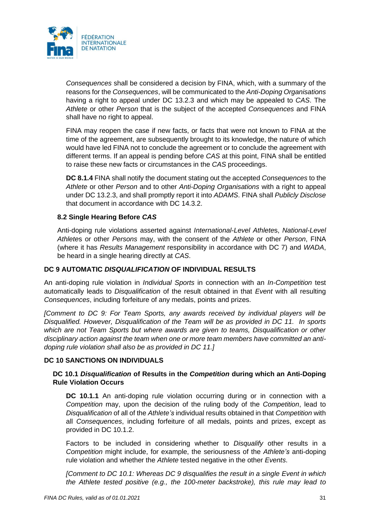

*Consequences* shall be considered a decision by FINA, which, with a summary of the reasons for the *Consequences*, will be communicated to the *Anti-Doping Organisations* having a right to appeal under DC 13.2.3 and which may be appealed to *CAS*. The *Athlete* or other *Person* that is the subject of the accepted *Consequences* and FINA shall have no right to appeal.

FINA may reopen the case if new facts, or facts that were not known to FINA at the time of the agreement, are subsequently brought to its knowledge, the nature of which would have led FINA not to conclude the agreement or to conclude the agreement with different terms. If an appeal is pending before *CAS* at this point, FINA shall be entitled to raise these new facts or circumstances in the *CAS* proceedings.

**DC 8.1.4** FINA shall notify the document stating out the accepted *Consequences* to the *Athlete* or other *Person* and to other *Anti-Doping Organisations* with a right to appeal under DC 13.2.3, and shall promptly report it into *ADAMS*. FINA shall *Publicly Disclose* that document in accordance with DC 14.3.2.

## **8.2 Single Hearing Before** *CAS*

Anti-doping rule violations asserted against *International-Level Athlete*s, *National-Level Athlete*s or other *Persons* may, with the consent of the *Athlete* or other *Person*, FINA (where it has *Results Management* responsibility in accordance with DC 7) and *WADA*, be heard in a single hearing directly at *CAS*.

## <span id="page-30-0"></span>**DC 9 AUTOMATIC** *DISQUALIFICATION* **OF INDIVIDUAL RESULTS**

An anti-doping rule violation in *Individual Sports* in connection with an *In-Competition* test automatically leads to *Disqualification* of the result obtained in that *Event* with all resulting *Consequences*, including forfeiture of any medals, points and prizes.

*[Comment to DC 9: For Team Sports, any awards received by individual players will be Disqualified. However, Disqualification of the Team will be as provided in DC 11. In sports which are not Team Sports but where awards are given to teams, Disqualification or other disciplinary action against the team when one or more team members have committed an antidoping rule violation shall also be as provided in DC 11.]*

## <span id="page-30-1"></span>**DC 10 SANCTIONS ON INDIVIDUALS**

# **DC 10.1** *Disqualification* **of Results in the** *Competition* **during which an Anti-Doping Rule Violation Occurs**

**DC 10.1.1** An anti-doping rule violation occurring during or in connection with a *Competition* may, upon the decision of the ruling body of the *Competition*, lead to *Disqualification* of all of the *Athlete's* individual results obtained in that *Competition* with all *Consequences*, including forfeiture of all medals, points and prizes, except as provided in DC 10.1.2.

Factors to be included in considering whether to *Disqualify* other results in a *Competition* might include, for example, the seriousness of the *Athlete's* anti-doping rule violation and whether the *Athlete* tested negative in the other *Events*.

*[Comment to DC 10.1: Whereas DC 9 disqualifies the result in a single Event in which the Athlete tested positive (e.g., the 100-meter backstroke), this rule may lead to*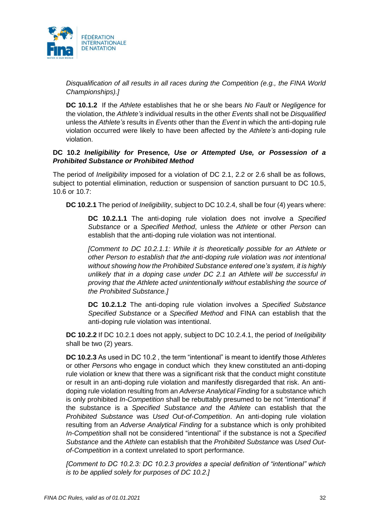

*Disqualification of all results in all races during the Competition (e.g., the FINA World Championships).]*

**DC 10.1.2** If the *Athlete* establishes that he or she bears *No Fault* or *Negligence* for the violation, the *Athlete's* individual results in the other *Events* shall not be *Disqualified* unless the *Athlete's* results in *Events* other than the *Event* in which the anti-doping rule violation occurred were likely to have been affected by the *Athlete's* anti-doping rule violation.

## **DC 10.2** *Ineligibility for* **Presence***, Use or Attempted Use, or Possession of a Prohibited Substance or Prohibited Method*

The period of *Ineligibility* imposed for a violation of DC 2.1, 2.2 or 2.6 shall be as follows, subject to potential elimination, reduction or suspension of sanction pursuant to DC 10.5, 10.6 or 10.7:

**DC 10.2.1** The period of *Ineligibility*, subject to DC 10.2.4, shall be four (4) years where:

**DC 10.2.1.1** The anti-doping rule violation does not involve a *Specified Substance* or a *Specified Method*, unless the *Athlete* or other *Person* can establish that the anti-doping rule violation was not intentional.

*[Comment to DC 10.2.1.1: While it is theoretically possible for an Athlete or other Person to establish that the anti-doping rule violation was not intentional without showing how the Prohibited Substance entered one's system, it is highly unlikely that in a doping case under DC 2.1 an Athlete will be successful in proving that the Athlete acted unintentionally without establishing the source of the Prohibited Substance.]*

**DC 10.2.1.2** The anti-doping rule violation involves a *Specified Substance Specified Substance* or a *Specified Method* and FINA can establish that the anti-doping rule violation was intentional.

**DC 10.2.2** If DC 10.2.1 does not apply, subject to DC 10.2.4.1, the period of *Ineligibility* shall be two (2) years.

**DC 10.2.3** As used in DC 10.2 , the term "intentional" is meant to identify those *Athletes* or other *Persons* who engage in conduct which they knew constituted an anti-doping rule violation or knew that there was a significant risk that the conduct might constitute or result in an anti-doping rule violation and manifestly disregarded that risk. An antidoping rule violation resulting from an *Adverse Analytical Finding* for a substance which is only prohibited *In-Competition* shall be rebuttably presumed to be not "intentional" if the substance is a *Specified Substance and* the *Athlete* can establish that the *Prohibited Substance* was *Used Out-of-Competition*. An anti-doping rule violation resulting from an *Adverse Analytical Finding* for a substance which is only prohibited *In-Competition* shall not be considered "intentional" if the substance is not a *Specified Substance* and the *Athlete* can establish that the *Prohibited Substance* was *Used Outof-Competition* in a context unrelated to sport performance.

*[Comment to DC 10.2.3: DC 10.2.3 provides a special definition of "intentional" which is to be applied solely for purposes of DC 10.2.]*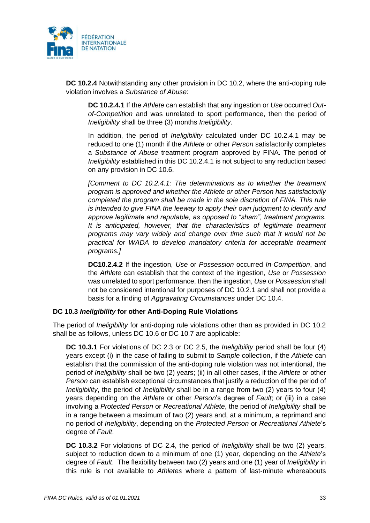

**DC 10.2.4** Notwithstanding any other provision in DC 10.2, where the anti-doping rule violation involves a *Substance of Abuse*:

**DC 10.2.4.1** If the *Athlete* can establish that any ingestion or *Use* occurred *Outof-Competition* and was unrelated to sport performance, then the period of *Ineligibility* shall be three (3) months *Ineligibility*.

In addition, the period of *Ineligibility* calculated under DC 10.2.4.1 may be reduced to one (1) month if the *Athlete* or other *Person* satisfactorily completes a *Substance of Abuse* treatment program approved by FINA. The period of *Ineligibility* established in this DC 10.2.4.1 is not subject to any reduction based on any provision in DC 10.6.

*[Comment to DC 10.2.4.1: The determinations as to whether the treatment program is approved and whether the Athlete or other Person has satisfactorily completed the program shall be made in the sole discretion of FINA. This rule is intended to give FINA the leeway to apply their own judgment to identify and approve legitimate and reputable, as opposed to "sham", treatment programs. It is anticipated, however, that the characteristics of legitimate treatment programs may vary widely and change over time such that it would not be practical for WADA to develop mandatory criteria for acceptable treatment programs.]*

**DC10.2.4.2** If the ingestion, *Use* or *Possession* occurred *In-Competition*, and the *Athlete* can establish that the context of the ingestion, *Use* or *Possession* was unrelated to sport performance, then the ingestion, *Use* or *Possession* shall not be considered intentional for purposes of DC 10.2.1 and shall not provide a basis for a finding of *Aggravating Circumstances* under DC 10.4.

## **DC 10.3** *Ineligibility* **for other Anti-Doping Rule Violations**

The period of *Ineligibility* for anti-doping rule violations other than as provided in DC 10.2 shall be as follows, unless DC 10.6 or DC 10.7 are applicable:

**DC 10.3.1** For violations of DC 2.3 or DC 2.5, the *Ineligibility* period shall be four (4) years except (i) in the case of failing to submit to *Sample* collection, if the *Athlete* can establish that the commission of the anti-doping rule violation was not intentional, the period of *Ineligibility* shall be two (2) years; (ii) in all other cases, if the *Athlete* or other *Person* can establish exceptional circumstances that justify a reduction of the period of *Ineligibility*, the period of *Ineligibility* shall be in a range from two (2) years to four (4) years depending on the *Athlete* or other *Person*'s degree of *Fault*; or (iii) in a case involving a *Protected Person* or *Recreational Athlete*, the period of *Ineligibility* shall be in a range between a maximum of two (2) years and, at a minimum, a reprimand and no period of *Ineligibility*, depending on the *Protected Person* or *Recreational Athlete*'s degree of *Fault*.

**DC 10.3.2** For violations of DC 2.4, the period of *Ineligibility* shall be two (2) years, subject to reduction down to a minimum of one (1) year, depending on the *Athlete*'s degree of *Fault*. The flexibility between two (2) years and one (1) year of *Ineligibility* in this rule is not available to *Athletes* where a pattern of last-minute whereabouts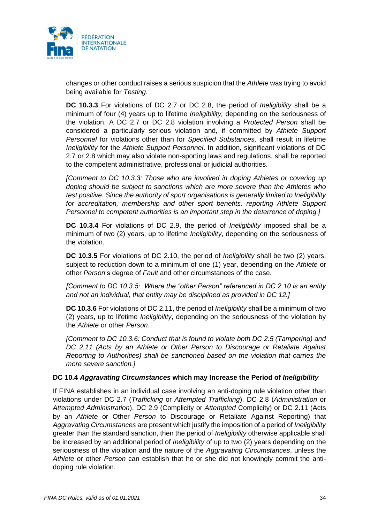

changes or other conduct raises a serious suspicion that the *Athlete* was trying to avoid being available for *Testing*.

**DC 10.3.3** For violations of DC 2.7 or DC 2.8, the period of *Ineligibility* shall be a minimum of four (4) years up to lifetime *Ineligibility,* depending on the seriousness of the violation. A DC 2.7 or DC 2.8 violation involving a *Protected Person* shall be considered a particularly serious violation and, if committed by *Athlete Support Personnel* for violations other than for *Specified Substances,* shall result in lifetime *Ineligibility* for the *Athlete Support Personnel*. In addition, significant violations of DC 2.7 or 2.8 which may also violate non-sporting laws and regulations, shall be reported to the competent administrative, professional or judicial authorities.

*[Comment to DC 10.3.3: Those who are involved in doping Athletes or covering up doping should be subject to sanctions which are more severe than the Athletes who test positive. Since the authority of sport organisations is generally limited to Ineligibility for accreditation, membership and other sport benefits, reporting Athlete Support Personnel to competent authorities is an important step in the deterrence of doping.]*

**DC 10.3.4** For violations of DC 2.9, the period of *Ineligibility* imposed shall be a minimum of two (2) years, up to lifetime *Ineligibility*, depending on the seriousness of the violation.

**DC 10.3.5** For violations of DC 2.10, the period of *Ineligibility* shall be two (2) years, subject to reduction down to a minimum of one (1) year, depending on the *Athlete* or other *Person*'s degree of *Fault* and other circumstances of the case.

*[Comment to DC 10.3.5: Where the "other Person" referenced in DC 2.10 is an entity and not an individual, that entity may be disciplined as provided in DC 12.]*

**DC 10.3.6** For violations of DC 2.11, the period of *Ineligibility* shall be a minimum of two (2) years, up to lifetime *Ineligibility*, depending on the seriousness of the violation by the *Athlete* or other *Person*.

*[Comment to DC 10.3.6: Conduct that is found to violate both DC 2.5 (Tampering) and DC 2.11 (Acts by an Athlete or Other Person to Discourage or Retaliate Against Reporting to Authorities) shall be sanctioned based on the violation that carries the more severe sanction.]*

## **DC 10.4** *Aggravating Circumstances* **which may Increase the Period of** *Ineligibility*

If FINA establishes in an individual case involving an anti-doping rule violation other than violations under DC 2.7 (*Trafficking* or *Attempted Trafficking*), DC 2.8 (*Administration* or *Attempted Administration*), DC 2.9 (Complicity or *Attempted* Complicity) or DC 2.11 (Acts by an *Athlete* or Other *Person* to Discourage or Retaliate Against Reporting) that *Aggravating Circumstances* are present which justify the imposition of a period of *Ineligibility* greater than the standard sanction, then the period of *Ineligibility* otherwise applicable shall be increased by an additional period of *Ineligibility* of up to two (2) years depending on the seriousness of the violation and the nature of the *Aggravating Circumstances*, unless the *Athlete* or other *Person* can establish that he or she did not knowingly commit the antidoping rule violation.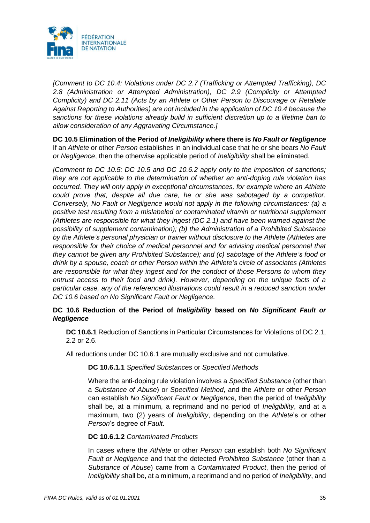

*[Comment to DC 10.4: Violations under DC 2.7 (Trafficking or Attempted Trafficking), DC 2.8 (Administration or Attempted Administration), DC 2.9 (Complicity or Attempted Complicity) and DC 2.11 (Acts by an Athlete or Other Person to Discourage or Retaliate Against Reporting to Authorities) are not included in the application of DC 10.4 because the sanctions for these violations already build in sufficient discretion up to a lifetime ban to allow consideration of any Aggravating Circumstance.]*

**DC 10.5 Elimination of the Period of** *Ineligibility* **where there is** *No Fault or Negligence*  If an *Athlete* or other *Person* establishes in an individual case that he or she bears *No Fault or Negligence*, then the otherwise applicable period of *Ineligibility* shall be eliminated.

*[Comment to DC 10.5: DC 10.5 and DC 10.6.2 apply only to the imposition of sanctions; they are not applicable to the determination of whether an anti-doping rule violation has occurred. They will only apply in exceptional circumstances, for example where an Athlete could prove that, despite all due care, he or she was sabotaged by a competitor. Conversely, No Fault or Negligence would not apply in the following circumstances: (a) a positive test resulting from a mislabeled or contaminated vitamin or nutritional supplement (Athletes are responsible for what they ingest (DC 2.1) and have been warned against the possibility of supplement contamination); (b) the Administration of a Prohibited Substance by the Athlete's personal physician or trainer without disclosure to the Athlete (Athletes are*  responsible for their choice of medical personnel and for advising medical personnel that *they cannot be given any Prohibited Substance); and (c) sabotage of the Athlete's food or drink by a spouse, coach or other Person within the Athlete's circle of associates (Athletes are responsible for what they ingest and for the conduct of those Persons to whom they entrust access to their food and drink). However, depending on the unique facts of a particular case, any of the referenced illustrations could result in a reduced sanction under DC 10.6 based on No Significant Fault or Negligence.*

# **DC 10.6 Reduction of the Period of** *Ineligibility* **based on** *No Significant Fault or Negligence*

**DC 10.6.1** Reduction of Sanctions in Particular Circumstances for Violations of DC 2.1, 2.2 or 2.6.

All reductions under DC 10.6.1 are mutually exclusive and not cumulative.

## **DC 10.6.1.1** *Specified Substances* or *Specified Methods*

Where the anti-doping rule violation involves a *Specified Substance* (other than a *Substance of Abuse*) or *Specified Method*, and the *Athlete* or other *Person* can establish *No Significant Fault or Negligence*, then the period of *Ineligibility* shall be, at a minimum, a reprimand and no period of *Ineligibility*, and at a maximum, two (2) years of *Ineligibility*, depending on the *Athlete*'s or other *Person*'s degree of *Fault*.

## **DC 10.6.1.2** *Contaminated Products*

In cases where the *Athlete* or other *Person* can establish both *No Significant Fault or Negligence* and that the detected *Prohibited Substance* (other than a *Substance of Abuse*) came from a *Contaminated Product*, then the period of *Ineligibility* shall be, at a minimum, a reprimand and no period of *Ineligibility*, and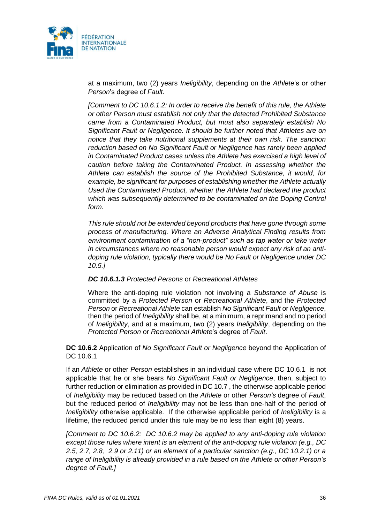

at a maximum, two (2) years *Ineligibility*, depending on the *Athlete*'s or other *Person*'s degree of *Fault*.

*[Comment to DC 10.6.1.2: In order to receive the benefit of this rule, the Athlete or other Person must establish not only that the detected Prohibited Substance came from a Contaminated Product, but must also separately establish No Significant Fault or Negligence. It should be further noted that Athletes are on notice that they take nutritional supplements at their own risk. The sanction reduction based on No Significant Fault or Negligence has rarely been applied in Contaminated Product cases unless the Athlete has exercised a high level of caution before taking the Contaminated Product. In assessing whether the Athlete can establish the source of the Prohibited Substance, it would, for example, be significant for purposes of establishing whether the Athlete actually Used the Contaminated Product, whether the Athlete had declared the product which was subsequently determined to be contaminated on the Doping Control form.* 

*This rule should not be extended beyond products that have gone through some process of manufacturing. Where an Adverse Analytical Finding results from environment contamination of a "non-product" such as tap water or lake water in circumstances where no reasonable person would expect any risk of an antidoping rule violation, typically there would be No Fault or Negligence under DC 10.5.]*

#### *DC 10.6.1.3 Protected Persons* or *Recreational Athletes*

Where the anti-doping rule violation not involving a *Substance of Abuse* is committed by a *Protected Person* or *Recreational Athlete*, and the *Protected Person* or *Recreational Athlete* can establish *No Significant Fault* or *Negligence*, then the period of *Ineligibility* shall be, at a minimum, a reprimand and no period of *Ineligibility*, and at a maximum, two (2) years *Ineligibility*, depending on the *Protected Person* or *Recreational Athlete*'s degree of *Fault*.

**DC 10.6.2** Application of *No Significant Fault or Negligence* beyond the Application of DC 10.6.1

If an *Athlete* or other *Person* establishes in an individual case where DC 10.6.1 is not applicable that he or she bears *No Significant Fault or Negligence*, then, subject to further reduction or elimination as provided in DC 10.7 , the otherwise applicable period of *Ineligibility* may be reduced based on the *Athlete* or other *Person's* degree of *Fault*, but the reduced period of *Ineligibility* may not be less than one-half of the period of *Ineligibility* otherwise applicable. If the otherwise applicable period of *Ineligibility* is a lifetime, the reduced period under this rule may be no less than eight (8) years.

*[Comment to DC 10.6.2: DC 10.6.2 may be applied to any anti-doping rule violation except those rules where intent is an element of the anti-doping rule violation (e.g., DC 2.5, 2.7, 2.8, 2.9 or 2.11) or an element of a particular sanction (e.g., DC 10.2.1) or a range of Ineligibility is already provided in a rule based on the Athlete or other Person's degree of Fault.]*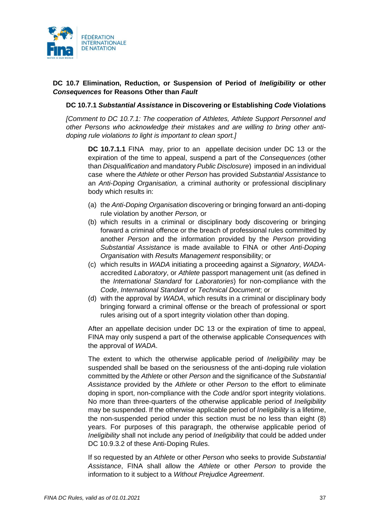

## **DC 10.7 Elimination, Reduction, or Suspension of Period of** *Ineligibility* **or other** *Consequences* **for Reasons Other than** *Fault*

### **DC 10.7.1** *Substantial Assistance* **in Discovering or Establishing** *Code* **Violations**

*[Comment to DC 10.7.1: The cooperation of Athletes, Athlete Support Personnel and other Persons who acknowledge their mistakes and are willing to bring other antidoping rule violations to light is important to clean sport.]* 

**DC 10.7.1.1** FINA may, prior to an appellate decision under DC 13 or the expiration of the time to appeal, suspend a part of the *Consequences* (other than *Disqualification* and mandatory *Public Disclosure*) imposed in an individual case where the *Athlete* or other *Person* has provided *Substantial Assistance* to an *Anti-Doping Organisation,* a criminal authority or professional disciplinary body which results in:

- (a) the *Anti-Doping Organisation* discovering or bringing forward an anti-doping rule violation by another *Person,* or
- (b) which results in a criminal or disciplinary body discovering or bringing forward a criminal offence or the breach of professional rules committed by another *Person* and the information provided by the *Person* providing *Substantial Assistance* is made available to FINA or other *Anti-Doping Organisation* with *Results Management* responsibility; or
- (c) which results in *WADA* initiating a proceeding against a *Signatory*, *WADA*accredited *Laboratory*, or *Athlete* passport management unit (as defined in the *International Standard* for *Laboratories*) for non-compliance with the *Code*, *International Standard* or *Technical Document*; or
- (d) with the approval by *WADA*, which results in a criminal or disciplinary body bringing forward a criminal offense or the breach of professional or sport rules arising out of a sport integrity violation other than doping.

After an appellate decision under DC 13 or the expiration of time to appeal, FINA may only suspend a part of the otherwise applicable *Consequences* with the approval of *WADA*.

The extent to which the otherwise applicable period of *Ineligibility* may be suspended shall be based on the seriousness of the anti-doping rule violation committed by the *Athlete* or other *Person* and the significance of the *Substantial Assistance* provided by the *Athlete* or other *Person* to the effort to eliminate doping in sport, non-compliance with the *Code* and/or sport integrity violations. No more than three-quarters of the otherwise applicable period of *Ineligibility*  may be suspended. If the otherwise applicable period of *Ineligibility* is a lifetime, the non-suspended period under this section must be no less than eight (8) years. For purposes of this paragraph, the otherwise applicable period of *Ineligibility* shall not include any period of *Ineligibility* that could be added under DC 10.9.3.2 of these Anti-Doping Rules.

If so requested by an *Athlete* or other *Person* who seeks to provide *Substantial Assistance*, FINA shall allow the *Athlete* or other *Person* to provide the information to it subject to a *Without Prejudice Agreement*.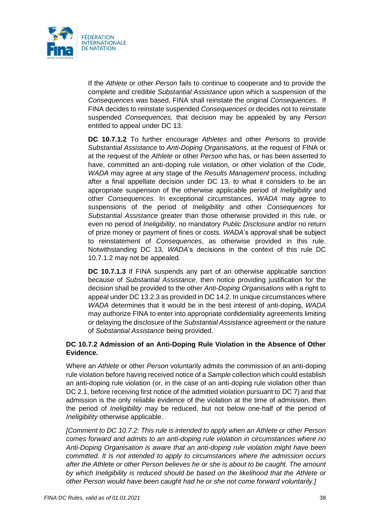

If the *Athlete* or other *Person* fails to continue to cooperate and to provide the complete and credible *Substantial Assistance* upon which a suspension of the *Consequences* was based, FINA shall reinstate the original *Consequences*. If FINA decides to reinstate suspended *Consequences* or decides not to reinstate suspended *Consequences,* that decision may be appealed by any *Person* entitled to appeal under DC 13.

**DC 10.7.1.2** To further encourage *Athletes* and other *Persons* to provide *Substantial Assistance* to *Anti-Doping Organisations*, at the request of FINA or at the request of the *Athlete* or other *Person* who has, or has been asserted to have, committed an anti-doping rule violation, or other violation of the *Code*, *WADA* may agree at any stage of the *Results Management* process, including after a final appellate decision under DC 13, to what it considers to be an appropriate suspension of the otherwise applicable period of *Ineligibility* and other *Consequences*. In exceptional circumstances, *WADA* may agree to suspensions of the period of *Ineligibility* and other *Consequences* for *Substantial Assistance* greater than those otherwise provided in this rule, or even no period of *Ineligibility*, no mandatory *Public Disclosure* and/or no return of prize money or payment of fines or costs. *WADA*'s approval shall be subject to reinstatement of *Consequences*, as otherwise provided in this rule. Notwithstanding DC 13, *WADA*'s decisions in the context of this rule DC 10.7.1.2 may not be appealed.

**DC 10.7.1.3** If FINA suspends any part of an otherwise applicable sanction because of *Substantial Assistance*, then notice providing justification for the decision shall be provided to the other *Anti-Doping Organisations* with a right to appeal under DC 13.2.3 as provided in DC 14.2. In unique circumstances where *WADA* determines that it would be in the best interest of anti-doping, *WADA* may authorize FINA to enter into appropriate confidentiality agreements limiting or delaying the disclosure of the *Substantial Assistance* agreement or the nature of *Substantial Assistance* being provided.

## **DC 10.7.2 Admission of an Anti-Doping Rule Violation in the Absence of Other Evidence.**

Where an *Athlete* or other *Person* voluntarily admits the commission of an anti-doping rule violation before having received notice of a *Sample* collection which could establish an anti-doping rule violation (or, in the case of an anti-doping rule violation other than DC 2.1, before receiving first notice of the admitted violation pursuant to DC 7) and that admission is the only reliable evidence of the violation at the time of admission, then the period of *Ineligibility* may be reduced, but not below one-half of the period of *Ineligibility* otherwise applicable.

*[Comment to DC 10.7.2: This rule is intended to apply when an Athlete or other Person comes forward and admits to an anti-doping rule violation in circumstances where no Anti-Doping Organisation is aware that an anti-doping rule violation might have been committed. It is not intended to apply to circumstances where the admission occurs after the Athlete or other Person believes he or she is about to be caught. The amount by which Ineligibility is reduced should be based on the likelihood that the Athlete or other Person would have been caught had he or she not come forward voluntarily.]*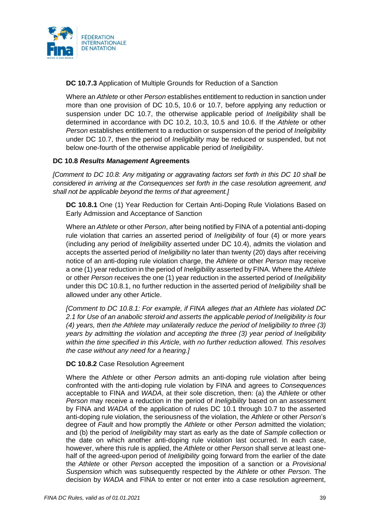

**DC 10.7.3** Application of Multiple Grounds for Reduction of a Sanction

Where an *Athlete* or other *Person* establishes entitlement to reduction in sanction under more than one provision of DC 10.5, 10.6 or 10.7, before applying any reduction or suspension under DC 10.7, the otherwise applicable period of *Ineligibility* shall be determined in accordance with DC 10.2, 10.3, 10.5 and 10.6. If the *Athlete* or other *Person* establishes entitlement to a reduction or suspension of the period of *Ineligibility*  under DC 10.7, then the period of *Ineligibility* may be reduced or suspended, but not below one-fourth of the otherwise applicable period of *Ineligibility*.

## **DC 10.8** *Results Management* **Agreements**

*[Comment to DC 10.8: Any mitigating or aggravating factors set forth in this DC 10 shall be considered in arriving at the Consequences set forth in the case resolution agreement, and shall not be applicable beyond the terms of that agreement.]*

**DC 10.8.1** One (1) Year Reduction for Certain Anti-Doping Rule Violations Based on Early Admission and Acceptance of Sanction

Where an *Athlete* or other *Person*, after being notified by FINA of a potential anti-doping rule violation that carries an asserted period of *Ineligibility* of four (4) or more years (including any period of *Ineligibility* asserted under DC 10.4), admits the violation and accepts the asserted period of *Ineligibility* no later than twenty (20) days after receiving notice of an anti-doping rule violation charge, the *Athlete* or other *Person* may receive a one (1) year reduction in the period of *Ineligibility* asserted by FINA. Where the *Athlete* or other *Person* receives the one (1) year reduction in the asserted period of *Ineligibility* under this DC 10.8.1, no further reduction in the asserted period of *Ineligibility* shall be allowed under any other Article.

*[Comment to DC 10.8.1: For example, if FINA alleges that an Athlete has violated DC 2.1 for Use of an anabolic steroid and asserts the applicable period of Ineligibility is four (4) years, then the Athlete may unilaterally reduce the period of Ineligibility to three (3) years by admitting the violation and accepting the three (3) year period of Ineligibility within the time specified in this Article, with no further reduction allowed. This resolves the case without any need for a hearing.]*

### **DC 10.8.2** Case Resolution Agreement

Where the *Athlete* or other *Person* admits an anti-doping rule violation after being confronted with the anti-doping rule violation by FINA and agrees to *Consequences* acceptable to FINA and *WADA*, at their sole discretion, then: (a) the *Athlete* or other *Person* may receive a reduction in the period of *Ineligibility* based on an assessment by FINA and *WADA* of the application of rules DC 10.1 through 10.7 to the asserted anti-doping rule violation, the seriousness of the violation, the *Athlete* or other *Person*'s degree of *Fault* and how promptly the *Athlete* or other *Person* admitted the violation; and (b) the period of *Ineligibility* may start as early as the date of *Sample* collection or the date on which another anti-doping rule violation last occurred. In each case, however, where this rule is applied, the *Athlete* or other *Person* shall serve at least onehalf of the agreed-upon period of *Ineligibility* going forward from the earlier of the date the *Athlete* or other *Person* accepted the imposition of a sanction or a *Provisional Suspension* which was subsequently respected by the *Athlete* or other *Person*. The decision by *WADA* and FINA to enter or not enter into a case resolution agreement,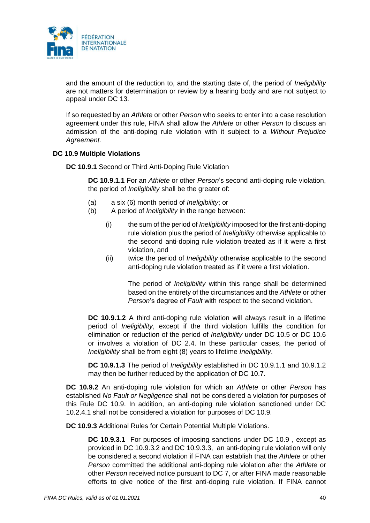

and the amount of the reduction to, and the starting date of, the period of *Ineligibility* are not matters for determination or review by a hearing body and are not subject to appeal under DC 13.

If so requested by an *Athlete* or other *Person* who seeks to enter into a case resolution agreement under this rule, FINA shall allow the *Athlete* or other *Person* to discuss an admission of the anti-doping rule violation with it subject to a *Without Prejudice Agreement.*

#### **DC 10.9 Multiple Violations**

**DC 10.9.1** Second or Third Anti-Doping Rule Violation

**DC 10.9.1.1** For an *Athlete* or other *Person*'s second anti-doping rule violation, the period of *Ineligibility* shall be the greater of:

- (a) a six (6) month period of *Ineligibility*; or
- (b) A period of *Ineligibility* in the range between:
	- (i) the sum of the period of *Ineligibility* imposed for the first anti-doping rule violation plus the period of *Ineligibility* otherwise applicable to the second anti-doping rule violation treated as if it were a first violation, and
	- (ii) twice the period of *Ineligibility* otherwise applicable to the second anti-doping rule violation treated as if it were a first violation.

The period of *Ineligibility* within this range shall be determined based on the entirety of the circumstances and the *Athlete* or other *Person*'s degree of *Fault* with respect to the second violation.

**DC 10.9.1.2** A third anti-doping rule violation will always result in a lifetime period of *Ineligibility*, except if the third violation fulfills the condition for elimination or reduction of the period of *Ineligibility* under DC 10.5 or DC 10.6 or involves a violation of DC 2.4. In these particular cases, the period of *Ineligibility* shall be from eight (8) years to lifetime *Ineligibility*.

**DC 10.9.1.3** The period of *Ineligibility* established in DC 10.9.1.1 and 10.9.1.2 may then be further reduced by the application of DC 10.7.

**DC 10.9.2** An anti-doping rule violation for which an *Athlete* or other *Person* has established *No Fault or Negligence* shall not be considered a violation for purposes of this Rule DC 10.9. In addition, an anti-doping rule violation sanctioned under DC 10.2.4.1 shall not be considered a violation for purposes of DC 10.9.

**DC 10.9.3** Additional Rules for Certain Potential Multiple Violations.

**DC 10.9.3.1** For purposes of imposing sanctions under DC 10.9 , except as provided in DC 10.9.3.2 and DC 10.9.3.3, an anti-doping rule violation will only be considered a second violation if FINA can establish that the *Athlete* or other *Person* committed the additional anti-doping rule violation after the *Athlete* or other *Person* received notice pursuant to DC 7, or after FINA made reasonable efforts to give notice of the first anti-doping rule violation. If FINA cannot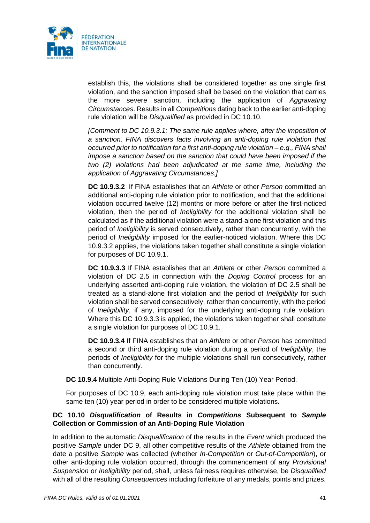

establish this, the violations shall be considered together as one single first violation, and the sanction imposed shall be based on the violation that carries the more severe sanction, including the application of *Aggravating Circumstances*. Results in all *Competitions* dating back to the earlier anti-doping rule violation will be *Disqualified* as provided in DC 10.10.

*[Comment to DC 10.9.3.1: The same rule applies where, after the imposition of a sanction, FINA discovers facts involving an anti-doping rule violation that occurred prior to notification for a first anti-doping rule violation – e.g., FINA shall impose a sanction based on the sanction that could have been imposed if the two (2) violations had been adjudicated at the same time, including the application of Aggravating Circumstances.]*

**DC 10.9.3.2** If FINA establishes that an *Athlete* or other *Person* committed an additional anti-doping rule violation prior to notification, and that the additional violation occurred twelve (12) months or more before or after the first-noticed violation, then the period of *Ineligibility* for the additional violation shall be calculated as if the additional violation were a stand-alone first violation and this period of *Ineligibility* is served consecutively, rather than concurrently, with the period of *Ineligibility* imposed for the earlier-noticed violation. Where this DC 10.9.3.2 applies, the violations taken together shall constitute a single violation for purposes of DC 10.9.1.

**DC 10.9.3.3** If FINA establishes that an *Athlete* or other *Person* committed a violation of DC 2.5 in connection with the *Doping Control* process for an underlying asserted anti-doping rule violation, the violation of DC 2.5 shall be treated as a stand-alone first violation and the period of *Ineligibility* for such violation shall be served consecutively, rather than concurrently, with the period of *Ineligibility*, if any, imposed for the underlying anti-doping rule violation. Where this DC 10.9.3.3 is applied, the violations taken together shall constitute a single violation for purposes of DC 10.9.1.

**DC 10.9.3.4** If FINA establishes that an *Athlete* or other *Person* has committed a second or third anti-doping rule violation during a period of *Ineligibility*, the periods of *Ineligibility* for the multiple violations shall run consecutively, rather than concurrently.

**DC 10.9.4** Multiple Anti-Doping Rule Violations During Ten (10) Year Period.

For purposes of DC 10.9, each anti-doping rule violation must take place within the same ten (10) year period in order to be considered multiple violations.

### **DC 10.10** *Disqualification* **of Results in** *Competitions* **Subsequent to** *Sample*  **Collection or Commission of an Anti-Doping Rule Violation**

In addition to the automatic *Disqualification* of the results in the *Event* which produced the positive *Sample* under DC 9, all other competitive results of the *Athlete* obtained from the date a positive *Sample* was collected (whether *In-Competition* or *Out-of-Competition*), or other anti-doping rule violation occurred, through the commencement of any *Provisional Suspension* or *Ineligibility* period, shall, unless fairness requires otherwise, be *Disqualified* with all of the resulting *Consequences* including forfeiture of any medals, points and prizes.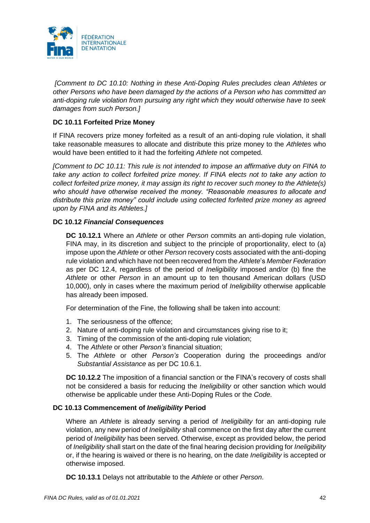

*[Comment to DC 10.10: Nothing in these Anti-Doping Rules precludes clean Athletes or other Persons who have been damaged by the actions of a Person who has committed an anti-doping rule violation from pursuing any right which they would otherwise have to seek damages from such Person.]*

# **DC 10.11 Forfeited Prize Money**

If FINA recovers prize money forfeited as a result of an anti-doping rule violation, it shall take reasonable measures to allocate and distribute this prize money to the *Athletes* who would have been entitled to it had the forfeiting *Athlete* not competed.

*[Comment to DC 10.11: This rule is not intended to impose an affirmative duty on FINA to take any action to collect forfeited prize money. If FINA elects not to take any action to collect forfeited prize money, it may assign its right to recover such money to the Athlete(s) who should have otherwise received the money. "Reasonable measures to allocate and distribute this prize money" could include using collected forfeited prize money as agreed upon by FINA and its Athletes.]*

## **DC 10.12** *Financial Consequences*

**DC 10.12.1** Where an *Athlete* or other *Person* commits an anti-doping rule violation, FINA may, in its discretion and subject to the principle of proportionality, elect to (a) impose upon the *Athlete* or other *Person* recovery costs associated with the anti-doping rule violation and which have not been recovered from the *Athlete*'s *Member Federation* as per DC 12.4, regardless of the period of *Ineligibility* imposed and/or (b) fine the *Athlete* or other *Person* in an amount up to ten thousand American dollars (USD 10,000), only in cases where the maximum period of *Ineligibility* otherwise applicable has already been imposed.

For determination of the Fine, the following shall be taken into account:

- 1. The seriousness of the offence;
- 2. Nature of anti-doping rule violation and circumstances giving rise to it;
- 3. Timing of the commission of the anti-doping rule violation;
- 4. The *Athlete* or other *Person's* financial situation;
- 5. The *Athlete* or other *Person's* Cooperation during the proceedings and/or *Substantial Assistance* as per DC 10.6.1.

**DC 10.12.2** The imposition of a financial sanction or the FINA's recovery of costs shall not be considered a basis for reducing the *Ineligibility* or other sanction which would otherwise be applicable under these Anti-Doping Rules or the *Code*.

### **DC 10.13 Commencement of** *Ineligibility* **Period**

Where an *Athlete* is already serving a period of *Ineligibility* for an anti-doping rule violation, any new period of *Ineligibility* shall commence on the first day after the current period of *Ineligibility* has been served. Otherwise, except as provided below, the period of *Ineligibility* shall start on the date of the final hearing decision providing for *Ineligibility*  or, if the hearing is waived or there is no hearing, on the date *Ineligibility* is accepted or otherwise imposed.

**DC 10.13.1** Delays not attributable to the *Athlete* or other *Person*.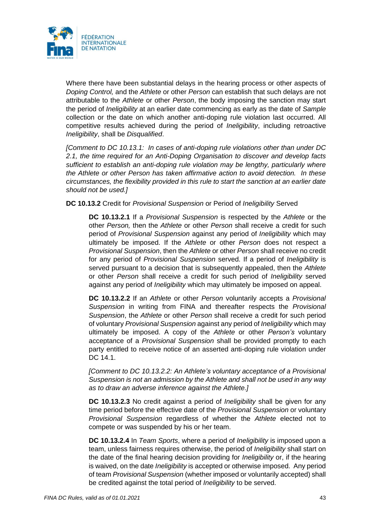

Where there have been substantial delays in the hearing process or other aspects of *Doping Control,* and the *Athlete* or other *Person* can establish that such delays are not attributable to the *Athlete* or other *Person*, the body imposing the sanction may start the period of *Ineligibility* at an earlier date commencing as early as the date of *Sample*  collection or the date on which another anti-doping rule violation last occurred. All competitive results achieved during the period of *Ineligibility*, including retroactive *Ineligibility*, shall be *Disqualified*.

*[Comment to DC 10.13.1: In cases of anti-doping rule violations other than under DC 2.1, the time required for an Anti-Doping Organisation to discover and develop facts sufficient to establish an anti-doping rule violation may be lengthy, particularly where the Athlete or other Person has taken affirmative action to avoid detection. In these circumstances, the flexibility provided in this rule to start the sanction at an earlier date should not be used.]*

**DC 10.13.2** Credit for *Provisional Suspension* or Period of *Ineligibility* Served

**DC 10.13.2.1** If a *Provisional Suspension* is respected by the *Athlete* or the other *Person,* then the *Athlete* or other *Person* shall receive a credit for such period of *Provisional Suspension* against any period of *Ineligibility* which may ultimately be imposed. If the *Athlete* or other *Person* does not respect a *Provisional Suspension*, then the *Athlete* or other *Person* shall receive no credit for any period of *Provisional Suspension* served. If a period of *Ineligibility* is served pursuant to a decision that is subsequently appealed, then the *Athlete* or other *Person* shall receive a credit for such period of *Ineligibility* served against any period of *Ineligibility* which may ultimately be imposed on appeal.

**DC 10.13.2.2** If an *Athlete* or other *Person* voluntarily accepts a *Provisional Suspension* in writing from FINA and thereafter respects the *Provisional Suspension*, the *Athlete* or other *Person* shall receive a credit for such period of voluntary *Provisional Suspension* against any period of *Ineligibility* which may ultimately be imposed. A copy of the *Athlete* or other *Person's* voluntary acceptance of a *Provisional Suspension* shall be provided promptly to each party entitled to receive notice of an asserted anti-doping rule violation under DC 14.1.

*[Comment to DC 10.13.2.2: An Athlete's voluntary acceptance of a Provisional Suspension is not an admission by the Athlete and shall not be used in any way as to draw an adverse inference against the Athlete.]*

**DC 10.13.2.3** No credit against a period of *Ineligibility* shall be given for any time period before the effective date of the *Provisional Suspension* or voluntary *Provisional Suspension* regardless of whether the *Athlete* elected not to compete or was suspended by his or her team.

**DC 10.13.2.4** In *Team Sports*, where a period of *Ineligibility* is imposed upon a team, unless fairness requires otherwise, the period of *Ineligibility* shall start on the date of the final hearing decision providing for *Ineligibility* or, if the hearing is waived, on the date *Ineligibility* is accepted or otherwise imposed. Any period of team *Provisional Suspension* (whether imposed or voluntarily accepted) shall be credited against the total period of *Ineligibility* to be served.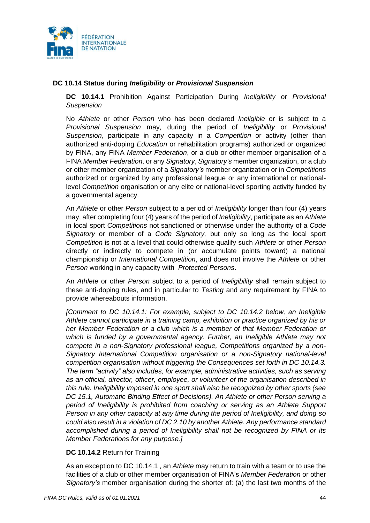

## **DC 10.14 Status during** *Ineligibility* **or** *Provisional Suspension*

**DC 10.14.1** Prohibition Against Participation During *Ineligibility* or *Provisional Suspension*

No *Athlete* or other *Person* who has been declared *Ineligible* or is subject to a *Provisional Suspension* may, during the period of *Ineligibility* or *Provisional Suspension*, participate in any capacity in a *Competition* or activity (other than authorized anti-doping *Education* or rehabilitation programs) authorized or organized by FINA, any FINA *Member Federation*, or a club or other member organisation of a FINA *Member Federation*, or any *Signatory*, *Signatory's* member organization, or a club or other member organization of a *Signatory's* member organization or in *Competitions*  authorized or organized by any professional league or any international or nationallevel *Competition* organisation or any elite or national-level sporting activity funded by a governmental agency.

An *Athlete* or other *Person* subject to a period of *Ineligibility* longer than four (4) years may, after completing four (4) years of the period of *Ineligibility*, participate as an *Athlete* in local sport *Competitions* not sanctioned or otherwise under the authority of a *Code Signatory* or member of a *Code Signatory,* but only so long as the local sport *Competition* is not at a level that could otherwise qualify such *Athlete* or other *Person*  directly or indirectly to compete in (or accumulate points toward) a national championship or *International Competition*, and does not involve the *Athlete* or other *Person* working in any capacity with *Protected Persons*.

An *Athlete* or other *Person* subject to a period of *Ineligibility* shall remain subject to these anti-doping rules, and in particular to *Testing* and any requirement by FINA to provide whereabouts information.

*[Comment to DC 10.14.1: For example, subject to DC 10.14.2 below, an Ineligible Athlete cannot participate in a training camp, exhibition or practice organized by his or her Member Federation or a club which is a member of that Member Federation or which is funded by a governmental agency. Further, an Ineligible Athlete may not compete in a non-Signatory professional league, Competitions organized by a non-Signatory International Competition organisation or a non-Signatory national-level competition organisation without triggering the Consequences set forth in DC 10.14.3. The term "activity" also includes, for example, administrative activities, such as serving as an official, director, officer, employee, or volunteer of the organisation described in this rule. Ineligibility imposed in one sport shall also be recognized by other sports (see DC 15.1, Automatic Binding Effect of Decisions). An Athlete or other Person serving a period of Ineligibility is prohibited from coaching or serving as an Athlete Support Person in any other capacity at any time during the period of Ineligibility, and doing so could also result in a violation of DC 2.10 by another Athlete. Any performance standard accomplished during a period of Ineligibility shall not be recognized by FINA or its Member Federations for any purpose.]*

### **DC 10.14.2** Return for Training

As an exception to DC 10.14.1 , an *Athlete* may return to train with a team or to use the facilities of a club or other member organisation of FINA's *Member Federation* or other *Signatory's* member organisation during the shorter of: (a) the last two months of the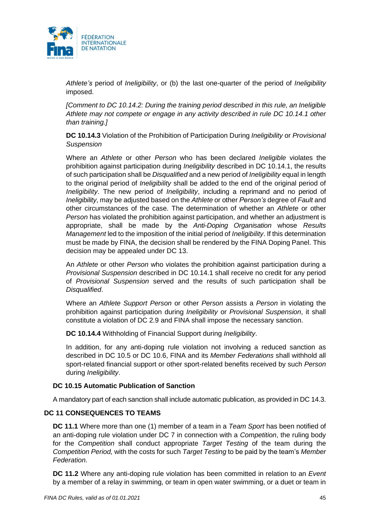

*Athlete's* period of *Ineligibility*, or (b) the last one-quarter of the period of *Ineligibility* imposed.

*[Comment to DC 10.14.2: During the training period described in this rule, an Ineligible Athlete may not compete or engage in any activity described in rule DC 10.14.1 other than training.]*

**DC 10.14.3** Violation of the Prohibition of Participation During *Ineligibility* or *Provisional Suspension*

Where an *Athlete* or other *Person* who has been declared *Ineligible* violates the prohibition against participation during *Ineligibility* described in DC 10.14.1, the results of such participation shall be *Disqualified* and a new period of *Ineligibility* equal in length to the original period of *Ineligibility* shall be added to the end of the original period of *Ineligibility*. The new period of *Ineligibility*, including a reprimand and no period of *Ineligibility*, may be adjusted based on the *Athlete* or other *Person's* degree of *Fault* and other circumstances of the case. The determination of whether an *Athlete* or other *Person* has violated the prohibition against participation, and whether an adjustment is appropriate, shall be made by the *Anti-Doping Organisation* whose *Results Management* led to the imposition of the initial period of *Ineligibility*. If this determination must be made by FINA, the decision shall be rendered by the FINA Doping Panel. This decision may be appealed under DC 13.

An *Athlete* or other *Person* who violates the prohibition against participation during a *Provisional Suspension* described in DC 10.14.1 shall receive no credit for any period of *Provisional Suspension* served and the results of such participation shall be *Disqualified*.

Where an *Athlete Support Person* or other *Person* assists a *Person* in violating the prohibition against participation during *Ineligibility* or *Provisional Suspension*, it shall constitute a violation of DC 2.9 and FINA shall impose the necessary sanction.

**DC 10.14.4** Withholding of Financial Support during *Ineligibility*.

In addition, for any anti-doping rule violation not involving a reduced sanction as described in DC 10.5 or DC 10.6, FINA and its *Member Federations* shall withhold all sport-related financial support or other sport-related benefits received by such *Person* during *Ineligibility*.

### **DC 10.15 Automatic Publication of Sanction**

A mandatory part of each sanction shall include automatic publication, as provided in DC 14.3.

### **DC 11 CONSEQUENCES TO TEAMS**

**DC 11.1** Where more than one (1) member of a team in a *Team Sport* has been notified of an anti-doping rule violation under DC 7 in connection with a *Competition*, the ruling body for the *Competition* shall conduct appropriate *Target Testing* of the team during the *Competition Period,* with the costs for such *Target Testing* to be paid by the team's *Member Federation*.

**DC 11.2** Where any anti-doping rule violation has been committed in relation to an *Event* by a member of a relay in swimming, or team in open water swimming, or a duet or team in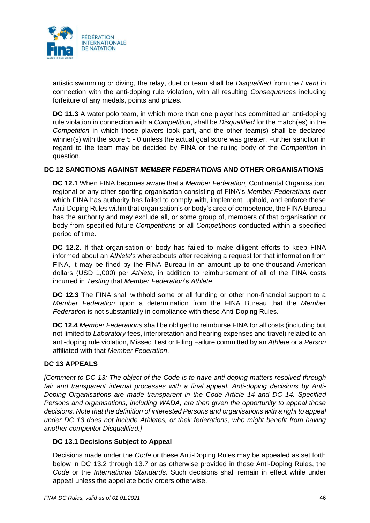

artistic swimming or diving, the relay, duet or team shall be *Disqualified* from the *Event* in connection with the anti-doping rule violation, with all resulting *Consequences* including forfeiture of any medals, points and prizes.

**DC 11.3** A water polo team, in which more than one player has committed an anti-doping rule violation in connection with a *Competition*, shall be *Disqualified* for the match(es) in the *Competition* in which those players took part, and the other team(s) shall be declared winner(s) with the score 5 - 0 unless the actual goal score was greater. Further sanction in regard to the team may be decided by FINA or the ruling body of the *Competition* in question.

## **DC 12 SANCTIONS AGAINST** *MEMBER FEDERATION***S AND OTHER ORGANISATIONS**

**DC 12.1** When FINA becomes aware that a *Member Federation,* Continental Organisation, regional or any other sporting organisation consisting of FINA's *Member Federations* over which FINA has authority has failed to comply with, implement, uphold, and enforce these Anti-Doping Rules within that organisation's or body's area of competence, the FINA Bureau has the authority and may exclude all, or some group of, members of that organisation or body from specified future *Competitions* or all *Competitions* conducted within a specified period of time.

**DC 12.2.** If that organisation or body has failed to make diligent efforts to keep FINA informed about an *Athlete*'s whereabouts after receiving a request for that information from FINA, it may be fined by the FINA Bureau in an amount up to one-thousand American dollars (USD 1,000) per *Athlete*, in addition to reimbursement of all of the FINA costs incurred in *Testing* that *Member Federation*'s *Athlete*.

**DC 12.3** The FINA shall withhold some or all funding or other non-financial support to a *Member Federation* upon a determination from the FINA Bureau that the *Member Federation* is not substantially in compliance with these Anti-Doping Rules.

**DC 12.4** *Member Federations* shall be obliged to reimburse FINA for all costs (including but not limited to *Laboratory* fees, interpretation and hearing expenses and travel) related to an anti-doping rule violation, Missed Test or Filing Failure committed by an *Athlete* or a *Person* affiliated with that *Member Federation*.

### **DC 13 APPEALS**

*[Comment to DC 13: The object of the Code is to have anti-doping matters resolved through fair and transparent internal processes with a final appeal. Anti-doping decisions by Anti-Doping Organisations are made transparent in the Code Article 14 and DC 14. Specified Persons and organisations, including WADA, are then given the opportunity to appeal those decisions. Note that the definition of interested Persons and organisations with a right to appeal under DC 13 does not include Athletes, or their federations, who might benefit from having another competitor Disqualified.]*

### **DC 13.1 Decisions Subject to Appeal**

Decisions made under the *Code* or these Anti-Doping Rules may be appealed as set forth below in DC 13.2 through 13.7 or as otherwise provided in these Anti-Doping Rules, the *Code* or the *International Standards*. Such decisions shall remain in effect while under appeal unless the appellate body orders otherwise.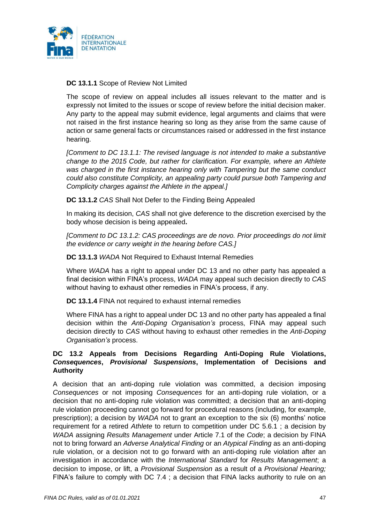

## **DC 13.1.1** Scope of Review Not Limited

The scope of review on appeal includes all issues relevant to the matter and is expressly not limited to the issues or scope of review before the initial decision maker. Any party to the appeal may submit evidence, legal arguments and claims that were not raised in the first instance hearing so long as they arise from the same cause of action or same general facts or circumstances raised or addressed in the first instance hearing.

*[Comment to DC 13.1.1: The revised language is not intended to make a substantive change to the 2015 Code, but rather for clarification. For example, where an Athlete was charged in the first instance hearing only with Tampering but the same conduct could also constitute Complicity, an appealing party could pursue both Tampering and Complicity charges against the Athlete in the appeal.]*

**DC 13.1.2** *CAS* Shall Not Defer to the Finding Being Appealed

In making its decision, *CAS* shall not give deference to the discretion exercised by the body whose decision is being appealed**.**

*[Comment to DC 13.1.2: CAS proceedings are de novo. Prior proceedings do not limit the evidence or carry weight in the hearing before CAS.]*

**DC 13.1.3** *WADA* Not Required to Exhaust Internal Remedies

Where *WADA* has a right to appeal under DC 13 and no other party has appealed a final decision within FINA's process, *WADA* may appeal such decision directly to *CAS*  without having to exhaust other remedies in FINA's process, if any.

**DC 13.1.4** FINA not required to exhaust internal remedies

Where FINA has a right to appeal under DC 13 and no other party has appealed a final decision within the *Anti-Doping Organisation's* process, FINA may appeal such decision directly to *CAS* without having to exhaust other remedies in the *Anti-Doping Organisation's* process.

## **DC 13.2 Appeals from Decisions Regarding Anti-Doping Rule Violations,**  *Consequences***,** *Provisional Suspensions***, Implementation of Decisions and Authority**

A decision that an anti-doping rule violation was committed, a decision imposing *Consequences* or not imposing *Consequences* for an anti-doping rule violation, or a decision that no anti-doping rule violation was committed; a decision that an anti-doping rule violation proceeding cannot go forward for procedural reasons (including, for example, prescription); a decision by *WADA* not to grant an exception to the six (6) months' notice requirement for a retired *Athlete* to return to competition under DC 5.6.1 ; a decision by *WADA* assigning *Results Management* under Article 7.1 of the *Code*; a decision by FINA not to bring forward an *Adverse Analytical Finding* or an *Atypical Finding* as an anti-doping rule violation, or a decision not to go forward with an anti-doping rule violation after an investigation in accordance with the *International Standard* for *Results Management*; a decision to impose, or lift, a *Provisional Suspension* as a result of a *Provisional Hearing;* FINA's failure to comply with DC 7.4 ; a decision that FINA lacks authority to rule on an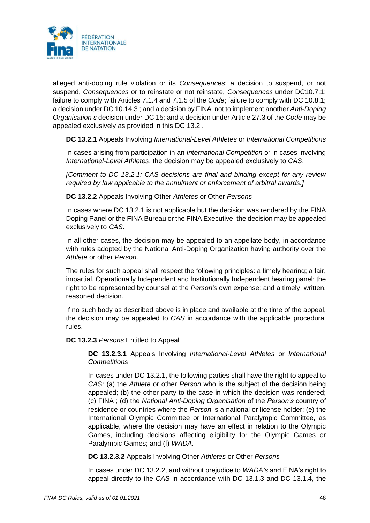

alleged anti-doping rule violation or its *Consequences*; a decision to suspend, or not suspend, *Consequences* or to reinstate or not reinstate, *Consequences* under DC10.7.1; failure to comply with Articles 7.1.4 and 7.1.5 of the *Code*; failure to comply with DC 10.8.1; a decision under DC 10.14.3 ; and a decision by FINA not to implement another *Anti-Doping Organisation's* decision under DC 15; and a decision under Article 27.3 of the *Code* may be appealed exclusively as provided in this DC 13.2 .

**DC 13.2.1** Appeals Involving *International-Level Athletes* or *International Competitions*

In cases arising from participation in an *International Competition* or in cases involving *International-Level Athletes*, the decision may be appealed exclusively to *CAS*.

*[Comment to DC 13.2.1: CAS decisions are final and binding except for any review required by law applicable to the annulment or enforcement of arbitral awards.]*

**DC 13.2.2** Appeals Involving Other *Athletes* or Other *Persons*

In cases where DC 13.2.1 is not applicable but the decision was rendered by the FINA Doping Panel or the FINA Bureau or the FINA Executive, the decision may be appealed exclusively to *CAS*.

In all other cases, the decision may be appealed to an appellate body, in accordance with rules adopted by the National Anti-Doping Organization having authority over the *Athlete* or other *Person*.

The rules for such appeal shall respect the following principles: a timely hearing; a fair, impartial, Operationally Independent and Institutionally Independent hearing panel; the right to be represented by counsel at the *Person's* own expense; and a timely, written, reasoned decision.

If no such body as described above is in place and available at the time of the appeal, the decision may be appealed to *CAS* in accordance with the applicable procedural rules.

**DC 13.2.3** *Persons* Entitled to Appeal

**DC 13.2.3.1** Appeals Involving *International-Level Athletes* or *International Competitions*

In cases under DC 13.2.1, the following parties shall have the right to appeal to *CAS*: (a) the *Athlete* or other *Person* who is the subject of the decision being appealed; (b) the other party to the case in which the decision was rendered; (c) FINA ; (d) the *National Anti-Doping Organisation* of the *Person's* country of residence or countries where the *Person* is a national or license holder; (e) the International Olympic Committee or International Paralympic Committee, as applicable, where the decision may have an effect in relation to the Olympic Games, including decisions affecting eligibility for the Olympic Games or Paralympic Games; and (f) *WADA*.

**DC 13.2.3.2** Appeals Involving Other *Athletes* or Other *Persons*

In cases under DC 13.2.2, and without prejudice to *WADA's* and FINA's right to appeal directly to the *CAS* in accordance with DC 13.1.3 and DC 13.1.4, the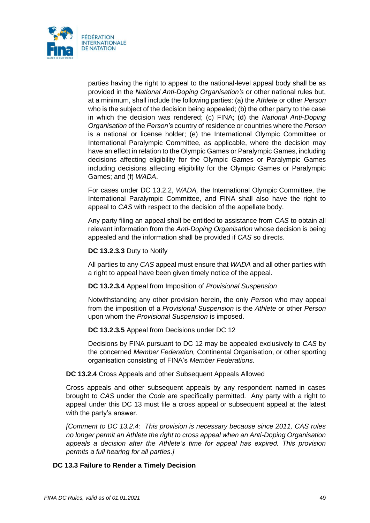

parties having the right to appeal to the national-level appeal body shall be as provided in the *National Anti-Doping Organisation's* or other national rules but, at a minimum, shall include the following parties: (a) the *Athlete* or other *Person*  who is the subject of the decision being appealed; (b) the other party to the case in which the decision was rendered; (c) FINA; (d) the *National Anti-Doping Organisation* of the *Person's* country of residence or countries where the *Person* is a national or license holder; (e) the International Olympic Committee or International Paralympic Committee, as applicable, where the decision may have an effect in relation to the Olympic Games or Paralympic Games, including decisions affecting eligibility for the Olympic Games or Paralympic Games including decisions affecting eligibility for the Olympic Games or Paralympic Games; and (f) *WADA*.

For cases under DC 13.2.2, *WADA,* the International Olympic Committee, the International Paralympic Committee, and FINA shall also have the right to appeal to *CAS* with respect to the decision of the appellate body.

Any party filing an appeal shall be entitled to assistance from *CAS* to obtain all relevant information from the *Anti-Doping Organisation* whose decision is being appealed and the information shall be provided if *CAS* so directs.

#### **DC 13.2.3.3** Duty to Notify

All parties to any *CAS* appeal must ensure that *WADA* and all other parties with a right to appeal have been given timely notice of the appeal.

**DC 13.2.3.4** Appeal from Imposition of *Provisional Suspension*

Notwithstanding any other provision herein, the only *Person* who may appeal from the imposition of a *Provisional Suspension* is the *Athlete* or other *Person*  upon whom the *Provisional Suspension* is imposed.

**DC 13.2.3.5** Appeal from Decisions under DC 12

Decisions by FINA pursuant to DC 12 may be appealed exclusively to *CAS* by the concerned *Member Federation,* Continental Organisation, or other sporting organisation consisting of FINA's *Member Federations*.

### **DC 13.2.4** Cross Appeals and other Subsequent Appeals Allowed

Cross appeals and other subsequent appeals by any respondent named in cases brought to *CAS* under the *Code* are specifically permitted. Any party with a right to appeal under this DC 13 must file a cross appeal or subsequent appeal at the latest with the party's answer.

*[Comment to DC 13.2.4: This provision is necessary because since 2011, CAS rules no longer permit an Athlete the right to cross appeal when an Anti-Doping Organisation appeals a decision after the Athlete's time for appeal has expired. This provision permits a full hearing for all parties.]*

### **DC 13.3 Failure to Render a Timely Decision**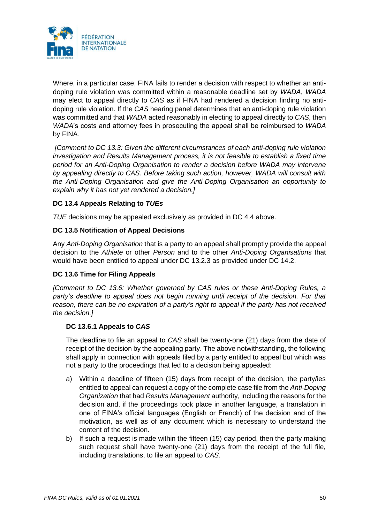

Where, in a particular case, FINA fails to render a decision with respect to whether an antidoping rule violation was committed within a reasonable deadline set by *WADA*, *WADA*  may elect to appeal directly to *CAS* as if FINA had rendered a decision finding no antidoping rule violation. If the *CAS* hearing panel determines that an anti-doping rule violation was committed and that *WADA* acted reasonably in electing to appeal directly to *CAS*, then *WADA*'s costs and attorney fees in prosecuting the appeal shall be reimbursed to *WADA*  by FINA.

*[Comment to DC 13.3: Given the different circumstances of each anti-doping rule violation investigation and Results Management process, it is not feasible to establish a fixed time period for an Anti-Doping Organisation to render a decision before WADA may intervene by appealing directly to CAS. Before taking such action, however, WADA will consult with the Anti-Doping Organisation and give the Anti-Doping Organisation an opportunity to explain why it has not yet rendered a decision.]*

# **DC 13.4 Appeals Relating to** *TUEs*

*TUE* decisions may be appealed exclusively as provided in DC 4.4 above.

## **DC 13.5 Notification of Appeal Decisions**

Any *Anti-Doping Organisation* that is a party to an appeal shall promptly provide the appeal decision to the *Athlete* or other *Person* and to the other *Anti-Doping Organisations* that would have been entitled to appeal under DC 13.2.3 as provided under DC 14.2.

### **DC 13.6 Time for Filing Appeals**

*[Comment to DC 13.6: Whether governed by CAS rules or these Anti-Doping Rules, a party's deadline to appeal does not begin running until receipt of the decision. For that reason, there can be no expiration of a party's right to appeal if the party has not received the decision.]*

### **DC 13.6.1 Appeals to** *CAS*

The deadline to file an appeal to *CAS* shall be twenty-one (21) days from the date of receipt of the decision by the appealing party. The above notwithstanding, the following shall apply in connection with appeals filed by a party entitled to appeal but which was not a party to the proceedings that led to a decision being appealed:

- a) Within a deadline of fifteen (15) days from receipt of the decision, the party/ies entitled to appeal can request a copy of the complete case file from the *Anti-Doping Organization* that had *Results Management* authority, including the reasons for the decision and, if the proceedings took place in another language, a translation in one of FINA's official languages (English or French) of the decision and of the motivation, as well as of any document which is necessary to understand the content of the decision.
- b) If such a request is made within the fifteen (15) day period, then the party making such request shall have twenty-one (21) days from the receipt of the full file, including translations, to file an appeal to *CAS*.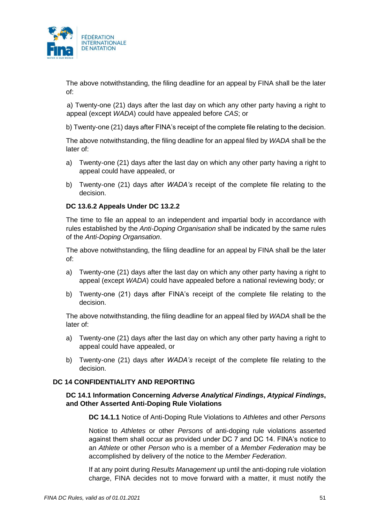

The above notwithstanding, the filing deadline for an appeal by FINA shall be the later of:

a) Twenty-one (21) days after the last day on which any other party having a right to appeal (except *WADA*) could have appealed before *CAS*; or

b) Twenty-one (21) days after FINA's receipt of the complete file relating to the decision.

The above notwithstanding, the filing deadline for an appeal filed by *WADA* shall be the later of:

- a) Twenty-one (21) days after the last day on which any other party having a right to appeal could have appealed, or
- b) Twenty-one (21) days after *WADA's* receipt of the complete file relating to the decision.

### **DC 13.6.2 Appeals Under DC 13.2.2**

The time to file an appeal to an independent and impartial body in accordance with rules established by the *Anti-Doping Organisation* shall be indicated by the same rules of the *Anti-Doping Organsation*.

The above notwithstanding, the filing deadline for an appeal by FINA shall be the later of:

- a) Twenty-one (21) days after the last day on which any other party having a right to appeal (except *WADA*) could have appealed before a national reviewing body; or
- b) Twenty-one (21) days after FINA's receipt of the complete file relating to the decision.

The above notwithstanding, the filing deadline for an appeal filed by *WADA* shall be the later of:

- a) Twenty-one (21) days after the last day on which any other party having a right to appeal could have appealed, or
- b) Twenty-one (21) days after *WADA's* receipt of the complete file relating to the decision.

#### **DC 14 CONFIDENTIALITY AND REPORTING**

### **DC 14.1 Information Concerning** *Adverse Analytical Findings***,** *Atypical Findings***, and Other Asserted Anti-Doping Rule Violations**

**DC 14.1.1** Notice of Anti-Doping Rule Violations to *Athletes* and other *Persons*

Notice to *Athletes* or other *Persons* of anti-doping rule violations asserted against them shall occur as provided under DC 7 and DC 14. FINA's notice to an *Athlete* or other *Person* who is a member of a *Member Federation* may be accomplished by delivery of the notice to the *Member Federation*.

If at any point during *Results Management* up until the anti-doping rule violation charge, FINA decides not to move forward with a matter, it must notify the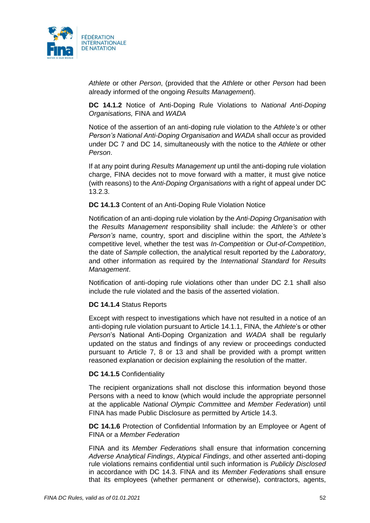

*Athlete* or other *Person*, (provided that the *Athlete* or other *Person* had been already informed of the ongoing *Results Management*).

**DC 14.1.2** Notice of Anti-Doping Rule Violations to *National Anti-Doping Organisations,* FINA and *WADA*

Notice of the assertion of an anti-doping rule violation to the *Athlete's* or other *Person's National Anti-Doping Organisation* and *WADA* shall occur as provided under DC 7 and DC 14, simultaneously with the notice to the *Athlete* or other *Person*.

If at any point during *Results Management* up until the anti-doping rule violation charge, FINA decides not to move forward with a matter, it must give notice (with reasons) to the *Anti-Doping Organisations* with a right of appeal under DC 13.2.3.

#### **DC 14.1.3** Content of an Anti-Doping Rule Violation Notice

Notification of an anti-doping rule violation by the *Anti-Doping Organisation* with the *Results Management* responsibility shall include: the *Athlete's* or other *Person's* name, country, sport and discipline within the sport, the *Athlete's*  competitive level, whether the test was *In-Competition* or *Out-of-Competition*, the date of *Sample* collection, the analytical result reported by the *Laboratory*, and other information as required by the *International Standard* for *Results Management*.

Notification of anti-doping rule violations other than under DC 2.1 shall also include the rule violated and the basis of the asserted violation.

#### **DC 14.1.4** Status Reports

Except with respect to investigations which have not resulted in a notice of an anti-doping rule violation pursuant to Article 14.1.1, FINA, the *Athlete*'s or other *Person*'s National Anti-Doping Organization and *WADA* shall be regularly updated on the status and findings of any review or proceedings conducted pursuant to Article 7, 8 or 13 and shall be provided with a prompt written reasoned explanation or decision explaining the resolution of the matter.

#### **DC 14.1.5** Confidentiality

The recipient organizations shall not disclose this information beyond those Persons with a need to know (which would include the appropriate personnel at the applicable *National Olympic Committee* and *Member Federation*) until FINA has made Public Disclosure as permitted by Article 14.3.

**DC 14.1.6** Protection of Confidential Information by an Employee or Agent of FINA or a *Member Federation*

FINA and its *Member Federation*s shall ensure that information concerning *Adverse Analytical Findings*, *Atypical Findings*, and other asserted anti-doping rule violations remains confidential until such information is *Publicly Disclosed*  in accordance with DC 14.3. FINA and its *Member Federation*s shall ensure that its employees (whether permanent or otherwise), contractors, agents,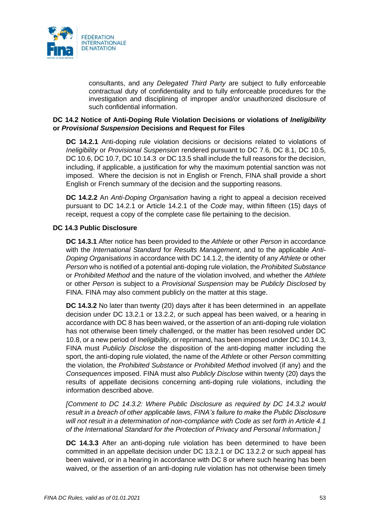

consultants, and any *Delegated Third Party* are subject to fully enforceable contractual duty of confidentiality and to fully enforceable procedures for the investigation and disciplining of improper and/or unauthorized disclosure of such confidential information.

### **DC 14.2 Notice of Anti-Doping Rule Violation Decisions or violations of** *Ineligibility* **or** *Provisional Suspension* **Decisions and Request for Files**

**DC 14.2.1** Anti-doping rule violation decisions or decisions related to violations of *Ineligibility* or *Provisional Suspension* rendered pursuant to DC 7.6, DC 8.1, DC 10.5, DC 10.6, DC 10.7, DC 10.14.3 or DC 13.5 shall include the full reasons for the decision, including, if applicable, a justification for why the maximum potential sanction was not imposed. Where the decision is not in English or French, FINA shall provide a short English or French summary of the decision and the supporting reasons.

**DC 14.2.2** An *Anti-Doping Organisation* having a right to appeal a decision received pursuant to DC 14.2.1 or Article 14.2.1 of the *Code* may, within fifteen (15) days of receipt, request a copy of the complete case file pertaining to the decision.

#### **DC 14.3 Public Disclosure**

**DC 14.3.1** After notice has been provided to the *Athlete* or other *Person* in accordance with the *International Standard* for *Results Management*, and to the applicable *Anti-Doping Organisations* in accordance with DC 14.1.2, the identity of any *Athlete* or other *Person* who is notified of a potential anti-doping rule violation, the *Prohibited Substance* or *Prohibited Method* and the nature of the violation involved, and whether the *Athlete* or other *Person* is subject to a *Provisional Suspension* may be *Publicly Disclosed* by FINA. FINA may also comment publicly on the matter at this stage.

**DC 14.3.2** No later than twenty (20) days after it has been determined in an appellate decision under DC 13.2.1 or 13.2.2, or such appeal has been waived, or a hearing in accordance with DC 8 has been waived, or the assertion of an anti-doping rule violation has not otherwise been timely challenged, or the matter has been resolved under DC 10.8, or a new period of *Ineligibility*, or reprimand, has been imposed under DC 10.14.3, FINA must *Publicly Disclose* the disposition of the anti-doping matter including the sport, the anti-doping rule violated, the name of the *Athlete* or other *Person* committing the violation, the *Prohibited Substance* or *Prohibited Method* involved (if any) and the *Consequences* imposed. FINA must also *Publicly Disclose* within twenty (20) days the results of appellate decisions concerning anti-doping rule violations, including the information described above.

*[Comment to DC 14.3.2: Where Public Disclosure as required by DC 14.3.2 would result in a breach of other applicable laws, FINA's failure to make the Public Disclosure will not result in a determination of non-compliance with Code as set forth in Article 4.1 of the International Standard for the Protection of Privacy and Personal Information.]*

**DC 14.3.3** After an anti-doping rule violation has been determined to have been committed in an appellate decision under DC 13.2.1 or DC 13.2.2 or such appeal has been waived, or in a hearing in accordance with DC 8 or where such hearing has been waived, or the assertion of an anti-doping rule violation has not otherwise been timely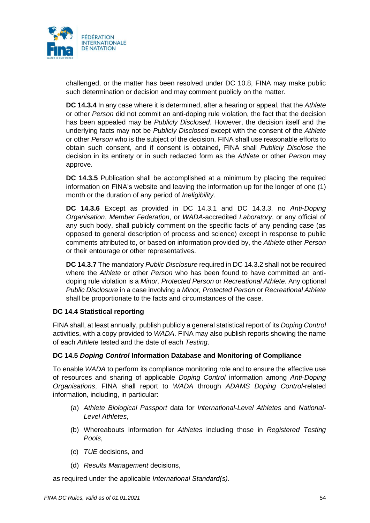

challenged, or the matter has been resolved under DC 10.8, FINA may make public such determination or decision and may comment publicly on the matter.

**DC 14.3.4** In any case where it is determined, after a hearing or appeal, that the *Athlete* or other *Person* did not commit an anti-doping rule violation, the fact that the decision has been appealed may be *Publicly Disclosed*. However, the decision itself and the underlying facts may not be *Publicly Disclosed* except with the consent of the *Athlete* or other *Person* who is the subject of the decision. FINA shall use reasonable efforts to obtain such consent, and if consent is obtained, FINA shall *Publicly Disclose* the decision in its entirety or in such redacted form as the *Athlete* or other *Person* may approve.

**DC 14.3.5** Publication shall be accomplished at a minimum by placing the required information on FINA's website and leaving the information up for the longer of one (1) month or the duration of any period of *Ineligibility*.

**DC 14.3.6** Except as provided in DC 14.3.1 and DC 14.3.3, no *Anti-Doping Organisation*, *Member Federation*, or *WADA-*accredited *Laboratory*, or any official of any such body, shall publicly comment on the specific facts of any pending case (as opposed to general description of process and science) except in response to public comments attributed to, or based on information provided by, the *Athlete* other *Person*  or their entourage or other representatives.

**DC 14.3.7** The mandatory *Public Disclosure* required in DC 14.3.2 shall not be required where the *Athlete* or other *Person* who has been found to have committed an antidoping rule violation is a *Minor, Protected Person* or *Recreational Athlete.* Any optional *Public Disclosure* in a case involving a *Minor, Protected Person* or *Recreational Athlete* shall be proportionate to the facts and circumstances of the case.

### **DC 14.4 Statistical reporting**

FINA shall, at least annually, publish publicly a general statistical report of its *Doping Control* activities, with a copy provided to *WADA*. FINA may also publish reports showing the name of each *Athlete* tested and the date of each *Testing*.

#### **DC 14.5** *Doping Control* **Information Database and Monitoring of Compliance**

To enable *WADA* to perform its compliance monitoring role and to ensure the effective use of resources and sharing of applicable *Doping Control* information among *Anti-Doping Organisations*, FINA shall report to *WADA* through *ADAMS Doping Control*-related information, including, in particular:

- (a) *Athlete Biological Passport* data for *International-Level Athletes* and *National-Level Athletes*,
- (b) Whereabouts information for *Athletes* including those in *Registered Testing Pools*,
- (c) *TUE* decisions, and
- (d) *Results Management* decisions,

as required under the applicable *International Standard(s)*.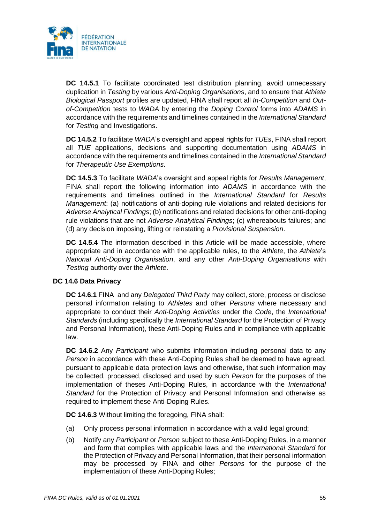

**DC 14.5.1** To facilitate coordinated test distribution planning, avoid unnecessary duplication in *Testing* by various *Anti-Doping Organisations*, and to ensure that *Athlete Biological Passport* profiles are updated, FINA shall report all *In-Competition* and *Outof-Competition* tests to *WADA* by entering the *Doping Control* forms into *ADAMS* in accordance with the requirements and timelines contained in the *International Standard* for *Testing* and Investigations.

**DC 14.5.2** To facilitate *WADA*'s oversight and appeal rights for *TUEs*, FINA shall report all *TUE* applications, decisions and supporting documentation using *ADAMS* in accordance with the requirements and timelines contained in the *International Standard* for *Therapeutic Use Exemptions*.

**DC 14.5.3** To facilitate *WADA*'s oversight and appeal rights for *Results Management*, FINA shall report the following information into *ADAMS* in accordance with the requirements and timelines outlined in the *International Standard* for *Results Management*: (a) notifications of anti-doping rule violations and related decisions for *Adverse Analytical Findings*; (b) notifications and related decisions for other anti-doping rule violations that are not *Adverse Analytical Findings*; (c) whereabouts failures; and (d) any decision imposing, lifting or reinstating a *Provisional Suspension*.

**DC 14.5.4** The information described in this Article will be made accessible, where appropriate and in accordance with the applicable rules, to the *Athlete*, the *Athlete*'s *National Anti-Doping Organisation*, and any other *Anti-Doping Organisations* with *Testing* authority over the *Athlete*.

### **DC 14.6 Data Privacy**

**DC 14.6.1** FINA and any *Delegated Third Party* may collect, store, process or disclose personal information relating to *Athletes* and other *Persons* where necessary and appropriate to conduct their *Anti-Doping Activities* under the *Code*, the *International Standards* (including specifically the *International Standard* for the Protection of Privacy and Personal Information), these Anti-Doping Rules and in compliance with applicable law.

**DC 14.6.2** Any *Participant* who submits information including personal data to any *Person* in accordance with these Anti-Doping Rules shall be deemed to have agreed, pursuant to applicable data protection laws and otherwise, that such information may be collected, processed, disclosed and used by such *Person* for the purposes of the implementation of theses Anti-Doping Rules, in accordance with the *International Standard* for the Protection of Privacy and Personal Information and otherwise as required to implement these Anti-Doping Rules.

**DC 14.6.3** Without limiting the foregoing, FINA shall:

- (a) Only process personal information in accordance with a valid legal ground;
- (b) Notify any *Participant* or *Person* subject to these Anti-Doping Rules, in a manner and form that complies with applicable laws and the *International Standard* for the Protection of Privacy and Personal Information, that their personal information may be processed by FINA and other *Persons* for the purpose of the implementation of these Anti-Doping Rules;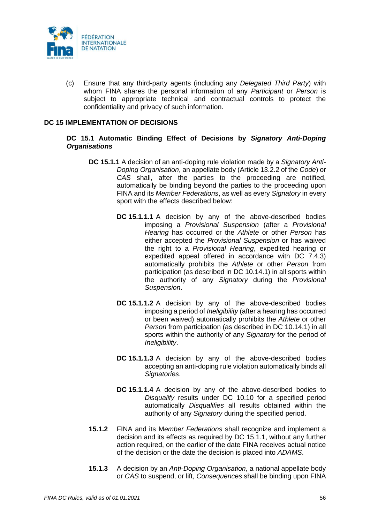

(c) Ensure that any third-party agents (including any *Delegated Third Party*) with whom FINA shares the personal information of any *Participant* or *Person* is subject to appropriate technical and contractual controls to protect the confidentiality and privacy of such information.

#### **DC 15 IMPLEMENTATION OF DECISIONS**

### **DC 15.1 Automatic Binding Effect of Decisions by** *Signatory Anti-Doping Organisations*

- **DC 15.1.1** A decision of an anti-doping rule violation made by a *Signatory Anti-Doping Organisation*, an appellate body (Article 13.2.2 of the *Code*) or *CAS* shall, after the parties to the proceeding are notified, automatically be binding beyond the parties to the proceeding upon FINA and its *Member Federations*, as well as every *Signatory* in every sport with the effects described below:
	- **DC 15.1.1.1** A decision by any of the above-described bodies imposing a *Provisional Suspension* (after a *Provisional Hearing* has occurred or the *Athlete* or other *Person* has either accepted the *Provisional Suspension* or has waived the right to a *Provisional Hearing*, expedited hearing or expedited appeal offered in accordance with DC 7.4.3) automatically prohibits the *Athlete* or other *Person* from participation (as described in DC 10.14.1) in all sports within the authority of any *Signatory* during the *Provisional Suspension*.
	- **DC 15.1.1.2** A decision by any of the above-described bodies imposing a period of *Ineligibility* (after a hearing has occurred or been waived) automatically prohibits the *Athlete* or other *Person* from participation (as described in DC 10.14.1) in all sports within the authority of any *Signatory* for the period of *Ineligibility*.
	- **DC 15.1.1.3** A decision by any of the above-described bodies accepting an anti-doping rule violation automatically binds all *Signatories*.
	- **DC 15.1.1.4** A decision by any of the above-described bodies to *Disqualify* results under DC 10.10 for a specified period automatically *Disqualifies* all results obtained within the authority of any *Signatory* during the specified period.
- **15.1.2** FINA and its M*ember Federations* shall recognize and implement a decision and its effects as required by DC 15.1.1, without any further action required, on the earlier of the date FINA receives actual notice of the decision or the date the decision is placed into *ADAMS*.
- **15.1.3** A decision by an *Anti-Doping Organisation*, a national appellate body or *CAS* to suspend, or lift, *Consequences* shall be binding upon FINA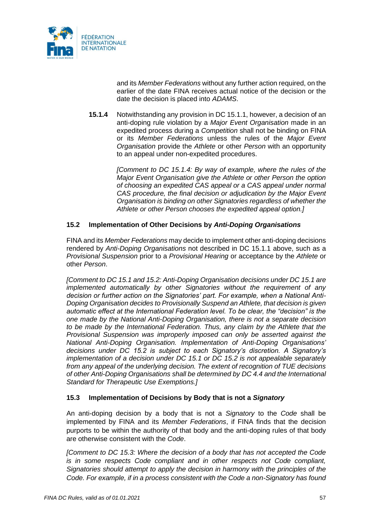

and its *Member Federations* without any further action required, on the earlier of the date FINA receives actual notice of the decision or the date the decision is placed into *ADAMS*.

**15.1.4** Notwithstanding any provision in DC 15.1.1, however, a decision of an anti-doping rule violation by a *Major Event Organisation* made in an expedited process during a *Competition* shall not be binding on FINA or its *Member Federations* unless the rules of the *Major Event Organisation* provide the *Athlete* or other *Person* with an opportunity to an appeal under non-expedited procedures.

> *[Comment to DC 15.1.4: By way of example, where the rules of the Major Event Organisation give the Athlete or other Person the option of choosing an expedited CAS appeal or a CAS appeal under normal CAS procedure, the final decision or adjudication by the Major Event Organisation is binding on other Signatories regardless of whether the Athlete or other Person chooses the expedited appeal option.]*

## **15.2 Implementation of Other Decisions by** *Anti-Doping Organisations*

FINA and its *Member Federations* may decide to implement other anti-doping decisions rendered by *Anti-Doping Organisations* not described in DC 15.1.1 above, such as a *Provisional Suspension* prior to a *Provisional Hearing* or acceptance by the *Athlete* or other *Person*.

*[Comment to DC 15.1 and 15.2: Anti-Doping Organisation decisions under DC 15.1 are implemented automatically by other Signatories without the requirement of any decision or further action on the Signatories' part. For example, when a National Anti-Doping Organisation decides to Provisionally Suspend an Athlete, that decision is given automatic effect at the International Federation level. To be clear, the "decision" is the one made by the National Anti-Doping Organisation, there is not a separate decision to be made by the International Federation. Thus, any claim by the Athlete that the Provisional Suspension was improperly imposed can only be asserted against the National Anti-Doping Organisation. Implementation of Anti-Doping Organisations' decisions under DC 15.2 is subject to each Signatory's discretion. A Signatory's implementation of a decision under DC 15.1 or DC 15.2 is not appealable separately from any appeal of the underlying decision. The extent of recognition of TUE decisions of other Anti-Doping Organisations shall be determined by DC 4.4 and the International Standard for Therapeutic Use Exemptions.]*

### **15.3 Implementation of Decisions by Body that is not a** *Signatory*

An anti-doping decision by a body that is not a *Signatory* to the *Code* shall be implemented by FINA and its *Member Federations*, if FINA finds that the decision purports to be within the authority of that body and the anti-doping rules of that body are otherwise consistent with the *Code*.

*[Comment to DC 15.3: Where the decision of a body that has not accepted the Code is in some respects Code compliant and in other respects not Code compliant, Signatories should attempt to apply the decision in harmony with the principles of the Code. For example, if in a process consistent with the Code a non-Signatory has found*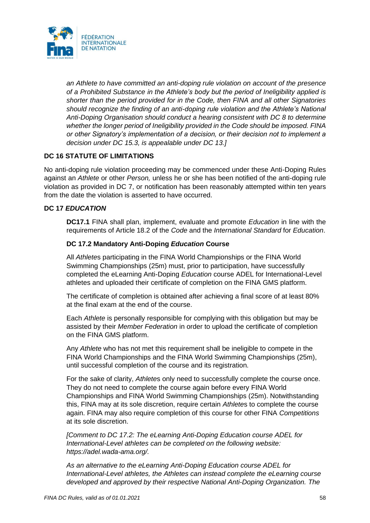

*an Athlete to have committed an anti-doping rule violation on account of the presence of a Prohibited Substance in the Athlete's body but the period of Ineligibility applied is shorter than the period provided for in the Code, then FINA and all other Signatories should recognize the finding of an anti-doping rule violation and the Athlete's National Anti-Doping Organisation should conduct a hearing consistent with DC 8 to determine whether the longer period of Ineligibility provided in the Code should be imposed. FINA or other Signatory's implementation of a decision, or their decision not to implement a decision under DC 15.3, is appealable under DC 13.]*

## **DC 16 STATUTE OF LIMITATIONS**

No anti-doping rule violation proceeding may be commenced under these Anti-Doping Rules against an *Athlete* or other *Person,* unless he or she has been notified of the anti-doping rule violation as provided in DC 7, or notification has been reasonably attempted within ten years from the date the violation is asserted to have occurred.

### **DC 17** *EDUCATION*

**DC17.1** FINA shall plan, implement, evaluate and promote *Education* in line with the requirements of Article 18.2 of the *Code* and the *International Standard* for *Education*.

## **DC 17.2 Mandatory Anti-Doping** *Education* **Course**

All *Athlete*s participating in the FINA World Championships or the FINA World Swimming Championships (25m) must, prior to participation, have successfully completed the eLearning Anti-Doping *Education* course ADEL for International-Level athletes and uploaded their certificate of completion on the FINA GMS platform.

The certificate of completion is obtained after achieving a final score of at least 80% at the final exam at the end of the course.

Each *Athlete* is personally responsible for complying with this obligation but may be assisted by their *Member Federation* in order to upload the certificate of completion on the FINA GMS platform.

Any *Athlete* who has not met this requirement shall be ineligible to compete in the FINA World Championships and the FINA World Swimming Championships (25m), until successful completion of the course and its registration.

For the sake of clarity, *Athlete*s only need to successfully complete the course once. They do not need to complete the course again before every FINA World Championships and FINA World Swimming Championships (25m). Notwithstanding this, FINA may at its sole discretion, require certain *Athlete*s to complete the course again. FINA may also require completion of this course for other FINA *Competitions* at its sole discretion.

*[Comment to DC 17.2: The eLearning Anti-Doping Education course ADEL for International-Level athletes can be completed on the following website: https://adel.wada-ama.org/.*

*As an alternative to the eLearning Anti-Doping Education course ADEL for International-Level athletes, the Athletes can instead complete the eLearning course developed and approved by their respective National Anti-Doping Organization. The*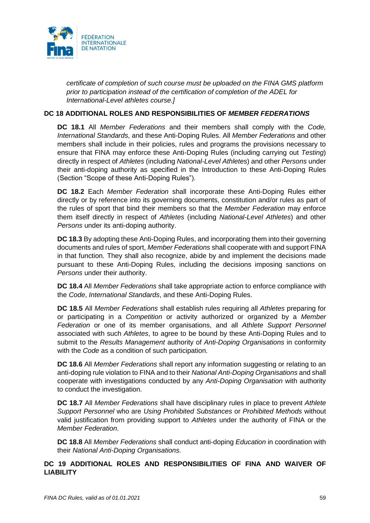

*certificate of completion of such course must be uploaded on the FINA GMS platform prior to participation instead of the certification of completion of the ADEL for International-Level athletes course.]*

#### **DC 18 ADDITIONAL ROLES AND RESPONSIBILITIES OF** *MEMBER FEDERATIONS*

**DC 18.1** All *Member Federations* and their members shall comply with the *Code, International Standards*, and these Anti-Doping Rules. All *Member Federations* and other members shall include in their policies, rules and programs the provisions necessary to ensure that FINA may enforce these Anti-Doping Rules (including carrying out *Testing*) directly in respect of *Athletes* (including *National-Level Athletes*) and other *Persons* under their anti-doping authority as specified in the Introduction to these Anti-Doping Rules (Section "Scope of these Anti-Doping Rules").

**DC 18.2** Each *Member Federation* shall incorporate these Anti-Doping Rules either directly or by reference into its governing documents, constitution and/or rules as part of the rules of sport that bind their members so that the *Member Federation* may enforce them itself directly in respect of *Athletes* (including *National-Level Athletes*) and other *Persons* under its anti-doping authority.

**DC 18.3** By adopting these Anti-Doping Rules, and incorporating them into their governing documents and rules of sport, *Member Federations* shall cooperate with and support FINA in that function*.* They shall also recognize, abide by and implement the decisions made pursuant to these Anti-Doping Rules, including the decisions imposing sanctions on *Persons* under their authority.

**DC 18.4** All *Member Federations* shall take appropriate action to enforce compliance with the *Code*, *International Standards*, and these Anti-Doping Rules.

**DC 18.5** All *Member Federations* shall establish rules requiring all *Athletes* preparing for or participating in a *Competition* or activity authorized or organized by a *Member Federation* or one of its member organisations, and all *Athlete Support Personnel* associated with such *Athletes*, to agree to be bound by these Anti-Doping Rules and to submit to the *Results Management* authority of *Anti-Doping Organisations* in conformity with the *Code* as a condition of such participation.

**DC 18.6** All *Member Federations* shall report any information suggesting or relating to an anti-doping rule violation to FINA and to their *National Anti-Doping Organisations* and shall cooperate with investigations conducted by any *Anti-Doping Organisation* with authority to conduct the investigation.

**DC 18.7** All *Member Federations* shall have disciplinary rules in place to prevent *Athlete Support Personnel* who are *Using Prohibited Substances* or *Prohibited Methods* without valid justification from providing support to *Athletes* under the authority of FINA or the *Member Federation*.

**DC 18.8** All *Member Federations* shall conduct anti-doping *Education* in coordination with their *National Anti-Doping Organisations.*

## **DC 19 ADDITIONAL ROLES AND RESPONSIBILITIES OF FINA AND WAIVER OF LIABILITY**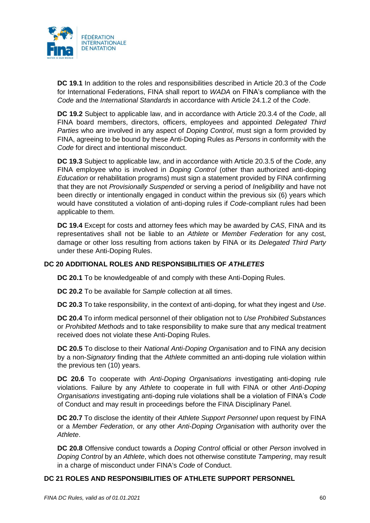

**DC 19.1** In addition to the roles and responsibilities described in Article 20.3 of the *Code* for International Federations, FINA shall report to *WADA* on FINA's compliance with the *Code* and the *International Standards* in accordance with Article 24.1.2 of the *Code*.

**DC 19.2** Subject to applicable law, and in accordance with Article 20.3.4 of the *Code*, all FINA board members, directors, officers, employees and appointed *Delegated Third Parties* who are involved in any aspect of *Doping Control*, must sign a form provided by FINA, agreeing to be bound by these Anti-Doping Rules as *Persons* in conformity with the *Code* for direct and intentional misconduct.

**DC 19.3** Subject to applicable law, and in accordance with Article 20.3.5 of the *Code*, any FINA employee who is involved in *Doping Control* (other than authorized anti-doping *Education* or rehabilitation programs) must sign a statement provided by FINA confirming that they are not *Provisionally Suspended* or serving a period of *Ineligibility* and have not been directly or intentionally engaged in conduct within the previous six (6) years which would have constituted a violation of anti-doping rules if *Code*-compliant rules had been applicable to them.

**DC 19.4** Except for costs and attorney fees which may be awarded by *CAS*, FINA and its representatives shall not be liable to an *Athlete* or *Member Federation* for any cost, damage or other loss resulting from actions taken by FINA or its *Delegated Third Party* under these Anti-Doping Rules.

# **DC 20 ADDITIONAL ROLES AND RESPONSIBILITIES OF** *ATHLETES*

**DC 20.1** To be knowledgeable of and comply with these Anti-Doping Rules.

**DC 20.2** To be available for *Sample* collection at all times.

**DC 20.3** To take responsibility, in the context of anti-doping, for what they ingest and *Use*.

**DC 20.4** To inform medical personnel of their obligation not to *Use Prohibited Substances* or *Prohibited Methods* and to take responsibility to make sure that any medical treatment received does not violate these Anti-Doping Rules.

**DC 20.5** To disclose to their *National Anti-Doping Organisation* and to FINA any decision by a non-*Signatory* finding that the *Athlete* committed an anti-doping rule violation within the previous ten (10) years.

**DC 20.6** To cooperate with *Anti-Doping Organisations* investigating anti-doping rule violations. Failure by any *Athlete* to cooperate in full with FINA or other *Anti-Doping Organisations* investigating anti-doping rule violations shall be a violation of FINA's *Code* of Conduct and may result in proceedings before the FINA Disciplinary Panel.

**DC 20.7** To disclose the identity of their *Athlete Support Personnel* upon request by FINA or a *Member Federation*, or any other *Anti-Doping Organisation* with authority over the *Athlete*.

**DC 20.8** Offensive conduct towards a *Doping Control* official or other *Person* involved in *Doping Control* by an *Athlete*, which does not otherwise constitute *Tampering*, may result in a charge of misconduct under FINA's *Code* of Conduct.

## **DC 21 ROLES AND RESPONSIBILITIES OF ATHLETE SUPPORT PERSONNEL**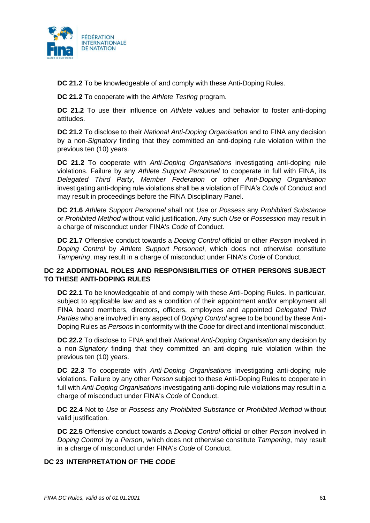

**DC 21.2** To be knowledgeable of and comply with these Anti-Doping Rules.

**DC 21.2** To cooperate with the *Athlete Testing* program.

**DC 21.2** To use their influence on *Athlete* values and behavior to foster anti-doping attitudes.

**DC 21.2** To disclose to their *National Anti-Doping Organisation* and to FINA any decision by a non-*Signatory* finding that they committed an anti-doping rule violation within the previous ten (10) years.

**DC 21.2** To cooperate with *Anti-Doping Organisations* investigating anti-doping rule violations. Failure by any *Athlete Support Personnel* to cooperate in full with FINA, its *Delegated Third Party*, *Member Federation* or other *Anti-Doping Organisation* investigating anti-doping rule violations shall be a violation of FINA's *Code* of Conduct and may result in proceedings before the FINA Disciplinary Panel.

**DC 21.6** *Athlete Support Personnel* shall not *Use* or *Possess* any *Prohibited Substance* or *Prohibited Method* without valid justification. Any such *Use* or *Possession* may result in a charge of misconduct under FINA's *Code* of Conduct.

**DC 21.7** Offensive conduct towards a *Doping Control* official or other *Person* involved in *Doping Control* by *Athlete Support Personnel*, which does not otherwise constitute *Tampering*, may result in a charge of misconduct under FINA's *Code* of Conduct.

## **DC 22 ADDITIONAL ROLES AND RESPONSIBILITIES OF OTHER PERSONS SUBJECT TO THESE ANTI-DOPING RULES**

**DC 22.1** To be knowledgeable of and comply with these Anti-Doping Rules. In particular, subject to applicable law and as a condition of their appointment and/or employment all FINA board members, directors, officers, employees and appointed *Delegated Third Parties* who are involved in any aspect of *Doping Control* agree to be bound by these Anti-Doping Rules as *Persons* in conformity with the *Code* for direct and intentional misconduct.

**DC 22.2** To disclose to FINA and their *National Anti-Doping Organisation* any decision by a non-*Signatory* finding that they committed an anti-doping rule violation within the previous ten (10) years.

**DC 22.3** To cooperate with *Anti-Doping Organisations* investigating anti-doping rule violations. Failure by any other *Person* subject to these Anti-Doping Rules to cooperate in full with *Anti-Doping Organisations* investigating anti-doping rule violations may result in a charge of misconduct under FINA's *Code* of Conduct.

**DC 22.4** Not to *Use* or *Possess* any *Prohibited Substance* or *Prohibited Method* without valid justification.

**DC 22.5** Offensive conduct towards a *Doping Control* official or other *Person* involved in *Doping Control* by a *Person*, which does not otherwise constitute *Tampering*, may result in a charge of misconduct under FINA's *Code* of Conduct.

### **DC 23 INTERPRETATION OF THE** *CODE*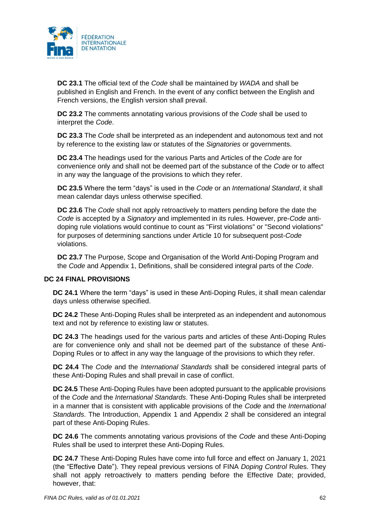

**DC 23.1** The official text of the *Code* shall be maintained by *WADA* and shall be published in English and French. In the event of any conflict between the English and French versions, the English version shall prevail.

**DC 23.2** The comments annotating various provisions of the *Code* shall be used to interpret the *Code*.

**DC 23.3** The *Code* shall be interpreted as an independent and autonomous text and not by reference to the existing law or statutes of the *Signatories* or governments.

**DC 23.4** The headings used for the various Parts and Articles of the *Code* are for convenience only and shall not be deemed part of the substance of the *Code* or to affect in any way the language of the provisions to which they refer.

**DC 23.5** Where the term "days" is used in the *Code* or an *International Standard*, it shall mean calendar days unless otherwise specified.

**DC 23.6** The *Code* shall not apply retroactively to matters pending before the date the *Code* is accepted by a *Signatory* and implemented in its rules. However, pre-*Code* antidoping rule violations would continue to count as "First violations" or "Second violations" for purposes of determining sanctions under Article 10 for subsequent post-*Code* violations.

**DC 23.7** The Purpose, Scope and Organisation of the World Anti-Doping Program and the *Code* and Appendix 1, Definitions, shall be considered integral parts of the *Code*.

### **DC 24 FINAL PROVISIONS**

**DC 24.1** Where the term "days" is used in these Anti-Doping Rules, it shall mean calendar days unless otherwise specified.

**DC 24.2** These Anti-Doping Rules shall be interpreted as an independent and autonomous text and not by reference to existing law or statutes.

**DC 24.3** The headings used for the various parts and articles of these Anti-Doping Rules are for convenience only and shall not be deemed part of the substance of these Anti-Doping Rules or to affect in any way the language of the provisions to which they refer.

**DC 24.4** The *Code* and the *International Standards* shall be considered integral parts of these Anti-Doping Rules and shall prevail in case of conflict.

**DC 24.5** These Anti-Doping Rules have been adopted pursuant to the applicable provisions of the *Code* and the *International Standards*. These Anti-Doping Rules shall be interpreted in a manner that is consistent with applicable provisions of the *Code* and the *International Standards*. The Introduction, Appendix 1 and Appendix 2 shall be considered an integral part of these Anti-Doping Rules.

**DC 24.6** The comments annotating various provisions of the *Code* and these Anti-Doping Rules shall be used to interpret these Anti-Doping Rules.

**DC 24.7** These Anti-Doping Rules have come into full force and effect on January 1, 2021 (the "Effective Date"). They repeal previous versions of FINA *Doping Control* Rules. They shall not apply retroactively to matters pending before the Effective Date; provided, however, that: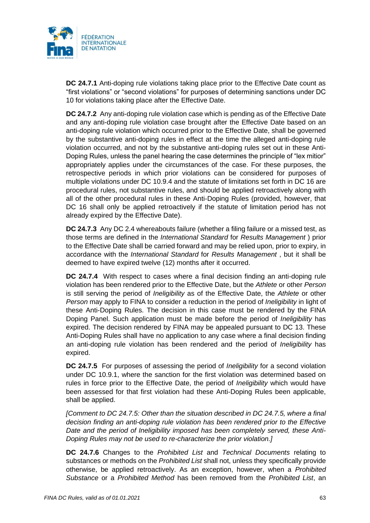

**DC 24.7.1** Anti-doping rule violations taking place prior to the Effective Date count as "first violations" or "second violations" for purposes of determining sanctions under DC 10 for violations taking place after the Effective Date.

**DC 24.7.2** Any anti-doping rule violation case which is pending as of the Effective Date and any anti-doping rule violation case brought after the Effective Date based on an anti-doping rule violation which occurred prior to the Effective Date, shall be governed by the substantive anti-doping rules in effect at the time the alleged anti-doping rule violation occurred, and not by the substantive anti-doping rules set out in these Anti-Doping Rules, unless the panel hearing the case determines the principle of "lex mitior" appropriately applies under the circumstances of the case. For these purposes, the retrospective periods in which prior violations can be considered for purposes of multiple violations under DC 10.9.4 and the statute of limitations set forth in DC 16 are procedural rules, not substantive rules, and should be applied retroactively along with all of the other procedural rules in these Anti-Doping Rules (provided, however, that DC 16 shall only be applied retroactively if the statute of limitation period has not already expired by the Effective Date).

**DC 24.7.3** Any DC 2.4 whereabouts failure (whether a filing failure or a missed test, as those terms are defined in the *International Standard* for *Results Management* ) prior to the Effective Date shall be carried forward and may be relied upon, prior to expiry, in accordance with the *International Standard* for *Results Management* , but it shall be deemed to have expired twelve (12) months after it occurred.

**DC 24.7.4** With respect to cases where a final decision finding an anti-doping rule violation has been rendered prior to the Effective Date, but the *Athlete* or other *Person*  is still serving the period of *Ineligibility* as of the Effective Date, the *Athlete* or other *Person* may apply to FINA to consider a reduction in the period of *Ineligibility* in light of these Anti-Doping Rules. The decision in this case must be rendered by the FINA Doping Panel. Such application must be made before the period of *Ineligibility* has expired. The decision rendered by FINA may be appealed pursuant to DC 13. These Anti-Doping Rules shall have no application to any case where a final decision finding an anti-doping rule violation has been rendered and the period of *Ineligibility* has expired.

**DC 24.7.5** For purposes of assessing the period of *Ineligibility* for a second violation under DC 10.9.1, where the sanction for the first violation was determined based on rules in force prior to the Effective Date, the period of *Ineligibility* which would have been assessed for that first violation had these Anti-Doping Rules been applicable, shall be applied.

*[Comment to DC 24.7.5: Other than the situation described in DC 24.7.5, where a final decision finding an anti-doping rule violation has been rendered prior to the Effective Date and the period of Ineligibility imposed has been completely served, these Anti-Doping Rules may not be used to re-characterize the prior violation.]*

**DC 24.7.6** Changes to the *Prohibited List* and *Technical Documents* relating to substances or methods on the *Prohibited List* shall not, unless they specifically provide otherwise, be applied retroactively. As an exception, however, when a *Prohibited Substance* or a *Prohibited Method* has been removed from the *Prohibited List*, an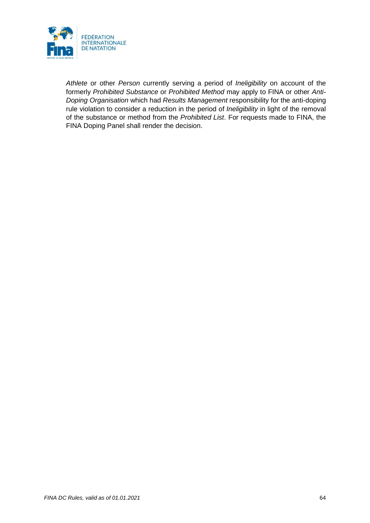

*Athlete* or other *Person* currently serving a period of *Ineligibility* on account of the formerly *Prohibited Substance* or *Prohibited Method* may apply to FINA or other *Anti-Doping Organisation* which had *Results Management* responsibility for the anti-doping rule violation to consider a reduction in the period of *Ineligibility* in light of the removal of the substance or method from the *Prohibited List*. For requests made to FINA, the FINA Doping Panel shall render the decision.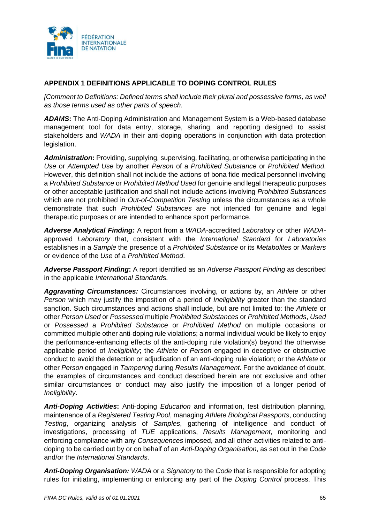

# **APPENDIX 1 DEFINITIONS APPLICABLE TO DOPING CONTROL RULES**

*[Comment to Definitions: Defined terms shall include their plural and possessive forms, as well as those terms used as other parts of speech.*

*ADAMS***:** The Anti-Doping Administration and Management System is a Web-based database management tool for data entry, storage, sharing, and reporting designed to assist stakeholders and *WADA* in their anti-doping operations in conjunction with data protection legislation.

*Administration***:** Providing, supplying, supervising, facilitating, or otherwise participating in the *Use* or *Attempted Use* by another *Person* of a *Prohibited Substance* or *Prohibited Method*. However, this definition shall not include the actions of bona fide medical personnel involving a *Prohibited Substance* or *Prohibited Method Used* for genuine and legal therapeutic purposes or other acceptable justification and shall not include actions involving *Prohibited Substances* which are not prohibited in *Out-of-Competition Testing* unless the circumstances as a whole demonstrate that such *Prohibited Substances* are not intended for genuine and legal therapeutic purposes or are intended to enhance sport performance.

*Adverse Analytical Finding:* A report from a *WADA*-accredited *Laboratory* or other *WADA*approved *Laboratory* that, consistent with the *International Standard* for *Laboratories* establishes in a *Sample* the presence of a *Prohibited Substance* or its *Metabolites* or *Markers* or evidence of the *Use* of a *Prohibited Method*.

*Adverse Passport Finding***:** A report identified as an *Adverse Passport Finding* as described in the applicable *International Standard*s.

*Aggravating Circumstances:* Circumstances involving, or actions by, an *Athlete* or other *Person* which may justify the imposition of a period of *Ineligibility* greater than the standard sanction. Such circumstances and actions shall include, but are not limited to: the *Athlete* or other *Person Used* or *Possessed* multiple *Prohibited Substances* or *Prohibited Methods*, *Used*  or *Possessed* a *Prohibited Substance* or *Prohibited Method* on multiple occasions or committed multiple other anti-doping rule violations; a normal individual would be likely to enjoy the performance-enhancing effects of the anti-doping rule violation(s) beyond the otherwise applicable period of *Ineligibility*; the *Athlete* or *Person* engaged in deceptive or obstructive conduct to avoid the detection or adjudication of an anti-doping rule violation; or the *Athlete* or other *Person* engaged in *Tampering* during *Results Management*. For the avoidance of doubt, the examples of circumstances and conduct described herein are not exclusive and other similar circumstances or conduct may also justify the imposition of a longer period of *Ineligibility*.

*Anti-Doping Activities***:** Anti-doping *Education* and information, test distribution planning, maintenance of a *Registered Testing Pool*, managing *Athlete Biological Passports*, conducting *Testing*, organizing analysis of *Samples*, gathering of intelligence and conduct of investigations, processing of *TUE* applications, *Results Management*, monitoring and enforcing compliance with any *Consequences* imposed, and all other activities related to antidoping to be carried out by or on behalf of an *Anti-Doping Organisation*, as set out in the *Code* and/or the *International Standards*.

*Anti-Doping Organisation: WADA* or a *Signatory* to the *Code* that is responsible for adopting rules for initiating, implementing or enforcing any part of the *Doping Control* process. This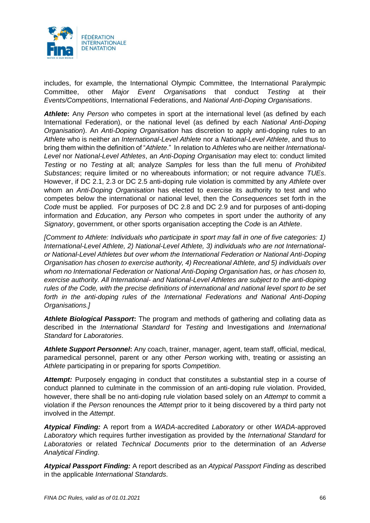

includes, for example, the International Olympic Committee, the International Paralympic Committee, other *Major Event Organisations* that conduct *Testing* at their *Events/Competitions*, International Federations, and *National Anti-Doping Organisations*.

**Athlete:** Any *Person* who competes in sport at the international level (as defined by each International Federation), or the national level (as defined by each *National Anti-Doping Organisation*). An *Anti-Doping Organisation* has discretion to apply anti-doping rules to an *Athlete* who is neither an *International-Level Athlete* nor a *National-Level Athlete*, and thus to bring them within the definition of "*Athlete*." In relation to *Athletes* who are neither *International*-*Level* nor *National-Level Athletes*, an *Anti-Doping Organisation* may elect to: conduct limited *Testing* or no *Testing* at all; analyze *Samples* for less than the full menu of *Prohibited Substances*; require limited or no whereabouts information; or not require advance *TUEs*. However, if DC 2.1, 2.3 or DC 2.5 anti-doping rule violation is committed by any *Athlete* over whom an *Anti-Doping Organisation* has elected to exercise its authority to test and who competes below the international or national level, then the *Consequences* set forth in the *Code* must be applied. For purposes of DC 2.8 and DC 2.9 and for purposes of anti-doping information and *Education*, any *Person* who competes in sport under the authority of any *Signatory*, government, or other sports organisation accepting the *Code* is an *Athlete*.

*[Comment to Athlete: Individuals who participate in sport may fall in one of five categories: 1) International-Level Athlete, 2) National-Level Athlete, 3) individuals who are not Internationalor National-Level Athletes but over whom the International Federation or National Anti-Doping Organisation has chosen to exercise authority, 4) Recreational Athlete, and 5) individuals over whom no International Federation or National Anti-Doping Organisation has, or has chosen to, exercise authority. All International- and National-Level Athletes are subject to the anti-doping rules of the Code, with the precise definitions of international and national level sport to be set forth in the anti-doping rules of the International Federations and National Anti-Doping Organisations.]* 

*Athlete Biological Passport***:** The program and methods of gathering and collating data as described in the *International Standard* for *Testing* and Investigations and *International Standard* for *Laboratories*.

*Athlete Support Personnel***:** Any coach, trainer, manager, agent, team staff, official, medical, paramedical personnel, parent or any other *Person* working with, treating or assisting an *Athlete* participating in or preparing for sports *Competition*.

**Attempt:** Purposely engaging in conduct that constitutes a substantial step in a course of conduct planned to culminate in the commission of an anti-doping rule violation. Provided, however, there shall be no anti-doping rule violation based solely on an *Attempt* to commit a violation if the *Person* renounces the *Attempt* prior to it being discovered by a third party not involved in the *Attempt*.

*Atypical Finding:* A report from a *WADA*-accredited *Laboratory* or other *WADA*-approved *Laboratory* which requires further investigation as provided by the *International Standard* for *Laboratories* or related *Technical Documents* prior to the determination of an *Adverse Analytical Finding*.

*Atypical Passport Finding:* A report described as an *Atypical Passport Finding* as described in the applicable *International Standards*.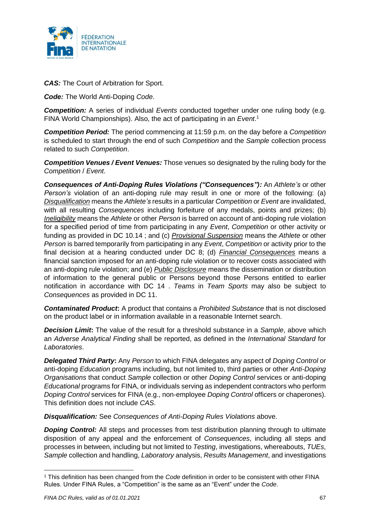

*CAS:* The Court of Arbitration for Sport.

*Code:* The World Anti-Doping *Code*.

**Competition:** A series of individual *Events* conducted together under one ruling body (e.g. FINA World Championships). Also, the act of participating in an *Event*. 1

*Competition Period:* The period commencing at 11:59 p.m. on the day before a *Competition* is scheduled to start through the end of such *Competition* and the *Sample* collection process related to such *Competition*.

*Competition Venues / Event Venues:* Those venues so designated by the ruling body for the *Competition* / *Event*.

*Consequences of Anti-Doping Rules Violations ("Consequences"):* An *Athlete's* or other *Person's* violation of an anti-doping rule may result in one or more of the following: (a) *Disqualification* means the *Athlete's* results in a particular *Competition* or *Event* are invalidated, with all resulting *Consequences* including forfeiture of any medals, points and prizes; (b) *Ineligibility* means the *Athlete* or other *Person* is barred on account of anti-doping rule violation for a specified period of time from participating in any *Event*, *Competition* or other activity or funding as provided in DC 10.14 ; and (c) *Provisional Suspension* means the *Athlete* or other *Person* is barred temporarily from participating in any *Event*, *Competition* or activity prior to the final decision at a hearing conducted under DC 8; (d) *Financial Consequences* means a financial sanction imposed for an anti-doping rule violation or to recover costs associated with an anti-doping rule violation; and (e) *Public Disclosure* means the dissemination or distribution of information to the general public or Persons beyond those Persons entitled to earlier notification in accordance with DC 14 . *Teams* in *Team Sports* may also be subject to *Consequences* as provided in DC 11.

*Contaminated Product***:** A product that contains a *Prohibited Substance* that is not disclosed on the product label or in information available in a reasonable Internet search.

*Decision Limit***:** The value of the result for a threshold substance in a *Sample*, above which an *Adverse Analytical Finding* shall be reported, as defined in the *International Standard* for *Laboratories*.

*Delegated Third Party***:** Any *Person* to which FINA delegates any aspect of *Doping Control* or anti-doping *Education* programs including, but not limited to, third parties or other *Anti-Doping Organisations* that conduct *Sample* collection or other *Doping Control* services or anti-doping *Educational* programs for FINA, or individuals serving as independent contractors who perform *Doping Control* services for FINA (e.g., non-employee *Doping Control* officers or chaperones). This definition does not include *CAS*.

*Disqualification:* See *Consequences of Anti-Doping Rules Violations* above.

**Doping Control:** All steps and processes from test distribution planning through to ultimate disposition of any appeal and the enforcement of *Consequences*, including all steps and processes in between, including but not limited to *Testing*, investigations, whereabouts, *TUEs*, *Sample* collection and handling, *Laboratory* analysis, *Results Management*, and investigations

<sup>1</sup> This definition has been changed from the *Code* definition in order to be consistent with other FINA Rules. Under FINA Rules, a "Competition" is the same as an "Event" under the *Code*.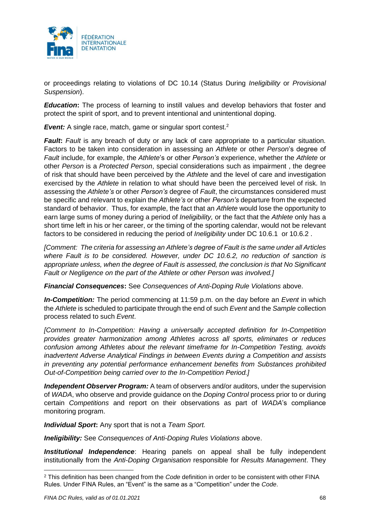

or proceedings relating to violations of DC 10.14 (Status During *Ineligibility* or *Provisional Suspension*).

*Education*: The process of learning to instill values and develop behaviors that foster and protect the spirit of sport, and to prevent intentional and unintentional doping.

**Event:** A single race, match, game or singular sport contest.<sup>2</sup>

*Fault***:** *Fault* is any breach of duty or any lack of care appropriate to a particular situation. Factors to be taken into consideration in assessing an *Athlete* or other *Person*'s degree of *Fault* include, for example, the *Athlete*'s or other *Person's* experience, whether the *Athlete* or other *Person* is a *Protected Person*, special considerations such as impairment , the degree of risk that should have been perceived by the *Athlete* and the level of care and investigation exercised by the *Athlete* in relation to what should have been the perceived level of risk. In assessing the *Athlete's* or other *Person's* degree of *Fault*, the circumstances considered must be specific and relevant to explain the *Athlete's* or other *Person's* departure from the expected standard of behavior. Thus, for example, the fact that an *Athlete* would lose the opportunity to earn large sums of money during a period of *Ineligibility,* or the fact that the *Athlete* only has a short time left in his or her career, or the timing of the sporting calendar, would not be relevant factors to be considered in reducing the period of *Ineligibility* under DC 10.6.1 or 10.6.2 .

*[Comment: The criteria for assessing an Athlete's degree of Fault is the same under all Articles where Fault is to be considered. However, under DC 10.6.2, no reduction of sanction is appropriate unless, when the degree of Fault is assessed, the conclusion is that No Significant Fault or Negligence on the part of the Athlete or other Person was involved.]*

*Financial Consequences***:** See *Consequences of Anti-Doping Rule Violations* above.

*In-Competition:* The period commencing at 11:59 p.m. on the day before an *Event* in which the *Athlete* is scheduled to participate through the end of such *Event* and the *Sample* collection process related to such *Event*.

*[Comment to In-Competition: Having a universally accepted definition for In-Competition provides greater harmonization among Athletes across all sports, eliminates or reduces confusion among Athletes about the relevant timeframe for In-Competition Testing, avoids inadvertent Adverse Analytical Findings in between Events during a Competition and assists in preventing any potential performance enhancement benefits from Substances prohibited Out-of-Competition being carried over to the In-Competition Period.]*

*Independent Observer Program:* A team of observers and/or auditors, under the supervision of *WADA*, who observe and provide guidance on the *Doping Control* process prior to or during certain *Competitions* and report on their observations as part of *WADA*'s compliance monitoring program.

*Individual Sport***:** Any sport that is not a *Team Sport.*

*Ineligibility:* See *Consequences of Anti-Doping Rules Violations* above.

*Institutional Independence*: Hearing panels on appeal shall be fully independent institutionally from the *Anti-Doping Organisation* responsible for *Results Management*. They

<sup>2</sup> This definition has been changed from the *Code* definition in order to be consistent with other FINA Rules. Under FINA Rules, an "Event" is the same as a "Competition" under the *Code*.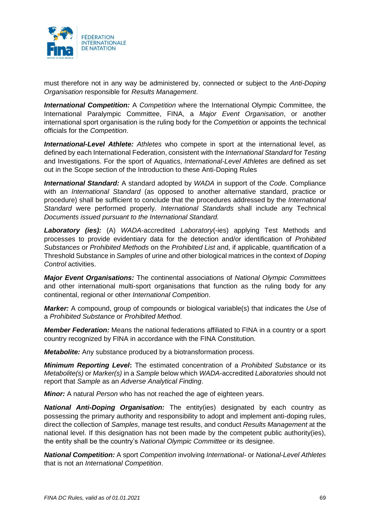

must therefore not in any way be administered by, connected or subject to the *Anti-Doping Organisation* responsible for *Results Management*.

*International Competition:* A *Competition* where the International Olympic Committee, the International Paralympic Committee, FINA, a *Major Event Organisation*, or another international sport organisation is the ruling body for the *Competition* or appoints the technical officials for the *Competition*.

*International-Level Athlete: Athletes* who compete in sport at the international level, as defined by each International Federation, consistent with the *International Standard* for *Testing* and Investigations. For the sport of Aquatics, *International-Level Athletes* are defined as set out in the Scope section of the Introduction to these Anti-Doping Rules

*International Standard:* A standard adopted by *WADA* in support of the *Code*. Compliance with an *International Standard* (as opposed to another alternative standard, practice or procedure) shall be sufficient to conclude that the procedures addressed by the *International Standard* were performed properly. *International Standards* shall include any Technical *Documents issued pursuant to the International Standard.*

*Laboratory (ies):* (A) *WADA*-accredited *Laboratory*(-ies) applying Test Methods and processes to provide evidentiary data for the detection and/or identification of *Prohibited Substances* or *Prohibited Methods* on the *Prohibited List* and, if applicable, quantification of a Threshold Substance in *Samples* of urine and other biological matrices in the context of *Doping Control* activities.

*Major Event Organisations:* The continental associations of *National Olympic Committees* and other international multi-sport organisations that function as the ruling body for any continental, regional or other *International Competition*.

*Marker:* A compound, group of compounds or biological variable(s) that indicates the *Use* of a *Prohibited Substance* or *Prohibited Method*.

*Member Federation:* Means the national federations affiliated to FINA in a country or a sport country recognized by FINA in accordance with the FINA Constitution.

*Metabolite:* Any substance produced by a biotransformation process.

*Minimum Reporting Level***:** The estimated concentration of a *Prohibited Substance* or its *Metabolite(s)* or *Marker(s)* in a *Sample* below which *WADA*-accredited *Laboratories* should not report that *Sample* as an *Adverse Analytical Finding*.

*Minor:* A natural *Person* who has not reached the age of eighteen years.

*National Anti-Doping Organisation:* The entity(ies) designated by each country as possessing the primary authority and responsibility to adopt and implement anti-doping rules, direct the collection of *Samples*, manage test results, and conduct *Results Management* at the national level. If this designation has not been made by the competent public authority(ies), the entity shall be the country's *National Olympic Committee* or its designee.

*National Competition:* A sport *Competition* involving *International-* or *National-Level Athletes* that is not an *International Competition*.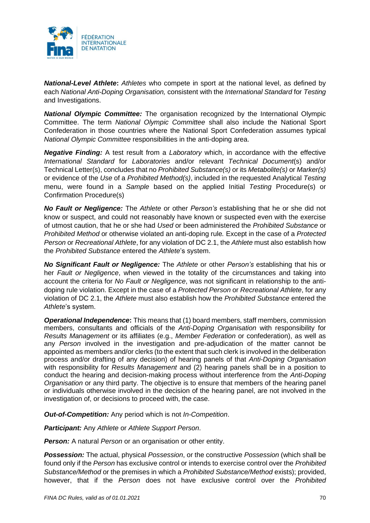

*National-Level Athlete***:** *Athletes* who compete in sport at the national level, as defined by each *National Anti-Doping Organisation,* consistent with the *International Standard* for *Testing*  and Investigations.

*National Olympic Committee:* The organisation recognized by the International Olympic Committee. The term *National Olympic Committee* shall also include the National Sport Confederation in those countries where the National Sport Confederation assumes typical *National Olympic Committee* responsibilities in the anti-doping area.

*Negative Finding:* A test result from a *Laboratory* which, in accordance with the effective *International Standard* for *Laboratories* and/or relevant *Technical Document*(s) and/or Technical Letter(s), concludes that no *Prohibited Substance(s)* or its *Metabolite(s)* or *Marker(s)* or evidence of the *Use* of a *Prohibited Method(s)*, included in the requested Analytical *Testing* menu, were found in a *Sample* based on the applied Initial *Testing* Procedure(s) or Confirmation Procedure(s)

*No Fault or Negligence:* The *Athlete* or other *Person's* establishing that he or she did not know or suspect, and could not reasonably have known or suspected even with the exercise of utmost caution, that he or she had *Used* or been administered the *Prohibited Substance* or *Prohibited Method* or otherwise violated an anti-doping rule*.* Except in the case of a *Protected Person* or *Recreational Athlete*, for any violation of DC 2.1, the *Athlete* must also establish how the *Prohibited Substance* entered the *Athlete*'s system.

*No Significant Fault or Negligence:* The *Athlete* or other *Person's* establishing that his or her *Fault or Negligence*, when viewed in the totality of the circumstances and taking into account the criteria for *No Fault or Negligence*, was not significant in relationship to the antidoping rule violation. Except in the case of a *Protected Person* or *Recreational Athlete*, for any violation of DC 2.1, the *Athlete* must also establish how the *Prohibited Substance* entered the *Athlete*'s system.

*Operational Independence***:** This means that (1) board members, staff members, commission members, consultants and officials of the *Anti-Doping Organisation* with responsibility for *Results Management* or its affiliates (e.g., *Member Federation* or confederation), as well as any *Person* involved in the investigation and pre-adjudication of the matter cannot be appointed as members and/or clerks (to the extent that such clerk is involved in the deliberation process and/or drafting of any decision) of hearing panels of that *Anti-Doping Organisation* with responsibility for *Results Management* and (2) hearing panels shall be in a position to conduct the hearing and decision-making process without interference from the *Anti-Doping Organisation* or any third party. The objective is to ensure that members of the hearing panel or individuals otherwise involved in the decision of the hearing panel, are not involved in the investigation of, or decisions to proceed with, the case.

*Out-of-Competition:* Any period which is not *In-Competition*.

*Participant:* Any *Athlete* or *Athlete Support Person*.

**Person:** A natural *Person* or an organisation or other entity.

*Possession:* The actual, physical *Possession*, or the constructive *Possession* (which shall be found only if the *Person* has exclusive control or intends to exercise control over the *Prohibited Substance/Method* or the premises in which a *Prohibited Substance/Method* exists); provided, however, that if the *Person* does not have exclusive control over the *Prohibited*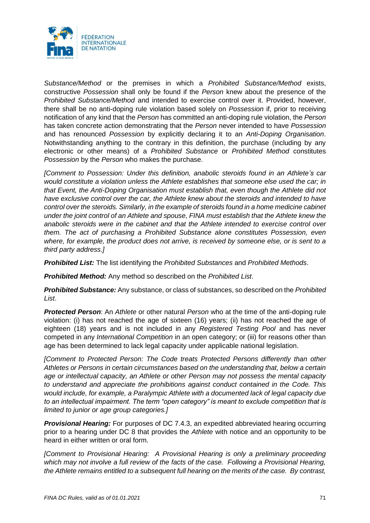

*Substance/Method* or the premises in which a *Prohibited Substance/Method* exists, constructive *Possession* shall only be found if the *Person* knew about the presence of the *Prohibited Substance/Method* and intended to exercise control over it. Provided, however, there shall be no anti-doping rule violation based solely on *Possession* if, prior to receiving notification of any kind that the *Person* has committed an anti-doping rule violation, the *Person*  has taken concrete action demonstrating that the *Person* never intended to have *Possession* and has renounced *Possession* by explicitly declaring it to an *Anti-Doping Organisation*. Notwithstanding anything to the contrary in this definition, the purchase (including by any electronic or other means) of a *Prohibited Substance* or *Prohibited Method* constitutes *Possession* by the *Person* who makes the purchase.

*[Comment to Possession: Under this definition, anabolic steroids found in an Athlete's car would constitute a violation unless the Athlete establishes that someone else used the car; in that Event, the Anti-Doping Organisation must establish that, even though the Athlete did not have exclusive control over the car, the Athlete knew about the steroids and intended to have control over the steroids. Similarly, in the example of steroids found in a home medicine cabinet under the joint control of an Athlete and spouse, FINA must establish that the Athlete knew the anabolic steroids were in the cabinet and that the Athlete intended to exercise control over them. The act of purchasing a Prohibited Substance alone constitutes Possession, even where, for example, the product does not arrive, is received by someone else, or is sent to a third party address.]*

*Prohibited List:* The list identifying the *Prohibited Substances* and *Prohibited Methods*.

*Prohibited Method:* Any method so described on the *Prohibited List*.

*Prohibited Substance:* Any substance, or class of substances, so described on the *Prohibited List*.

*Protected Person*: An *Athlete* or other natural *Person* who at the time of the anti-doping rule violation: (i) has not reached the age of sixteen (16) years; (ii) has not reached the age of eighteen (18) years and is not included in any *Registered Testing Pool* and has never competed in any *International Competition* in an open category; or (iii) for reasons other than age has been determined to lack legal capacity under applicable national legislation.

*[Comment to Protected Person: The Code treats Protected Persons differently than other Athletes or Persons in certain circumstances based on the understanding that, below a certain age or intellectual capacity, an Athlete or other Person may not possess the mental capacity to understand and appreciate the prohibitions against conduct contained in the Code. This would include, for example, a Paralympic Athlete with a documented lack of legal capacity due to an intellectual impairment. The term "open category" is meant to exclude competition that is limited to junior or age group categories.]*

**Provisional Hearing:** For purposes of DC 7.4.3, an expedited abbreviated hearing occurring prior to a hearing under DC 8 that provides the *Athlete* with notice and an opportunity to be heard in either written or oral form.

*[Comment to Provisional Hearing: A Provisional Hearing is only a preliminary proceeding which may not involve a full review of the facts of the case. Following a Provisional Hearing, the Athlete remains entitled to a subsequent full hearing on the merits of the case. By contrast,*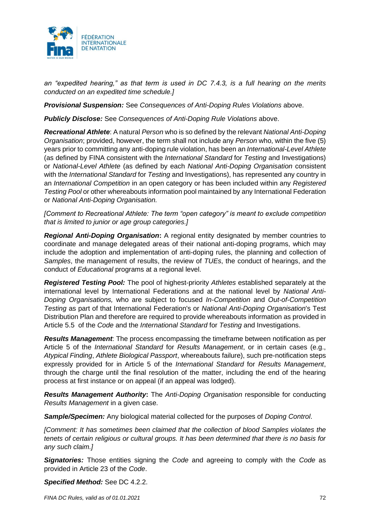

*an "expedited hearing," as that term is used in DC 7.4.3, is a full hearing on the merits conducted on an expedited time schedule.]*

*Provisional Suspension:* See *Consequences of Anti-Doping Rules Violations* above.

*Publicly Disclose:* See *Consequences of Anti-Doping Rule Violations* above.

*Recreational Athlete*: A natural *Person* who is so defined by the relevant *National Anti-Doping Organisation*; provided, however, the term shall not include any *Person* who, within the five (5) years prior to committing any anti-doping rule violation, has been an *International-Level Athlete* (as defined by FINA consistent with the *International Standard* for *Testing* and Investigations) or *National-Level Athlete* (as defined by each *National Anti-Doping Organisation* consistent with the *International Standard* for *Testing* and Investigations), has represented any country in an *International Competition* in an open category or has been included within any *Registered Testing Pool* or other whereabouts information pool maintained by any International Federation or *National Anti-Doping Organisation.*

*[Comment to Recreational Athlete: The term "open category" is meant to exclude competition that is limited to junior or age group categories.]*

*Regional Anti-Doping Organisation***:** A regional entity designated by member countries to coordinate and manage delegated areas of their national anti-doping programs, which may include the adoption and implementation of anti-doping rules, the planning and collection of *Samples*, the management of results, the review of *TUEs*, the conduct of hearings, and the conduct of *Educational* programs at a regional level.

*Registered Testing Pool:* The pool of highest-priority *Athletes* established separately at the international level by International Federations and at the national level by *National Anti-Doping Organisations,* who are subject to focused *In-Competition* and *Out-of-Competition Testing* as part of that International Federation's or *National Anti-Doping Organisation*'s Test Distribution Plan and therefore are required to provide whereabouts information as provided in Article 5.5 of the *Code* and the *International Standard* for *Testing* and Investigations.

*Results Management*: The process encompassing the timeframe between notification as per Article 5 of the *International Standard* for *Results Management*, or in certain cases (e.g., *Atypical Finding*, *Athlete Biological Passport*, whereabouts failure), such pre-notification steps expressly provided for in Article 5 of the *International Standard* for *Results Management*, through the charge until the final resolution of the matter, including the end of the hearing process at first instance or on appeal (if an appeal was lodged).

*Results Management Authority***:** The *Anti-Doping Organisation* responsible for conducting *Results Management* in a given case.

*Sample/Specimen:* Any biological material collected for the purposes of *Doping Control*.

*[Comment: It has sometimes been claimed that the collection of blood Samples violates the tenets of certain religious or cultural groups. It has been determined that there is no basis for any such claim.]*

*Signatories:* Those entities signing the *Code* and agreeing to comply with the *Code* as provided in Article 23 of the *Code*.

*Specified Method:* See DC 4.2.2.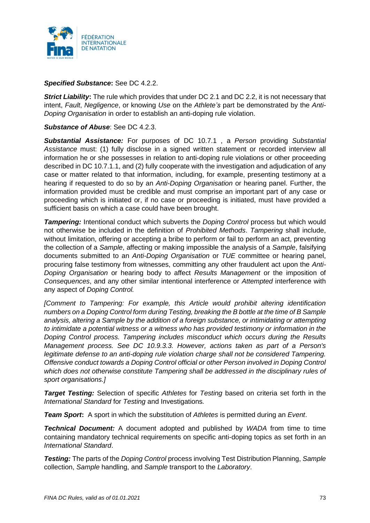

### *Specified Substance***:** See DC 4.2.2.

*Strict Liability***:** The rule which provides that under DC 2.1 and DC 2.2, it is not necessary that intent, *Fault*, *Negligence*, or knowing *Use* on the *Athlete's* part be demonstrated by the *Anti-Doping Organisation* in order to establish an anti-doping rule violation.

### *Substance of Abuse*: See DC 4.2.3.

*Substantial Assistance:* For purposes of DC 10.7.1 , a *Person* providing *Substantial Assistance* must: (1) fully disclose in a signed written statement or recorded interview all information he or she possesses in relation to anti-doping rule violations or other proceeding described in DC 10.7.1.1, and (2) fully cooperate with the investigation and adjudication of any case or matter related to that information, including, for example, presenting testimony at a hearing if requested to do so by an *Anti-Doping Organisation* or hearing panel. Further, the information provided must be credible and must comprise an important part of any case or proceeding which is initiated or, if no case or proceeding is initiated, must have provided a sufficient basis on which a case could have been brought.

*Tampering:* Intentional conduct which subverts the *Doping Control* process but which would not otherwise be included in the definition of *Prohibited Methods*. *Tampering* shall include, without limitation, offering or accepting a bribe to perform or fail to perform an act, preventing the collection of a *Sample*, affecting or making impossible the analysis of a *Sample*, falsifying documents submitted to an *Anti-Doping Organisation* or *TUE* committee or hearing panel, procuring false testimony from witnesses, committing any other fraudulent act upon the *Anti-Doping Organisation* or hearing body to affect *Results Management* or the imposition of *Consequences*, and any other similar intentional interference or *Attempted* interference with any aspect of *Doping Control.*

*[Comment to Tampering: For example, this Article would prohibit altering identification numbers on a Doping Control form during Testing, breaking the B bottle at the time of B Sample analysis, altering a Sample by the addition of a foreign substance, or intimidating or attempting to intimidate a potential witness or a witness who has provided testimony or information in the Doping Control process. Tampering includes misconduct which occurs during the Results Management process. See DC 10.9.3.3. However, actions taken as part of a Person's legitimate defense to an anti-doping rule violation charge shall not be considered Tampering. Offensive conduct towards a Doping Control official or other Person involved in Doping Control which does not otherwise constitute Tampering shall be addressed in the disciplinary rules of sport organisations.]*

*Target Testing:* Selection of specific *Athletes* for *Testing* based on criteria set forth in the *International Standard* for *Testing* and Investigations*.* 

*Team Sport***:** A sport in which the substitution of *Athletes* is permitted during an *Event*.

*Technical Document:* A document adopted and published by *WADA* from time to time containing mandatory technical requirements on specific anti-doping topics as set forth in an *International Standard*.

*Testing:* The parts of the *Doping Control* process involving Test Distribution Planning, *Sample*  collection, *Sample* handling, and *Sample* transport to the *Laboratory*.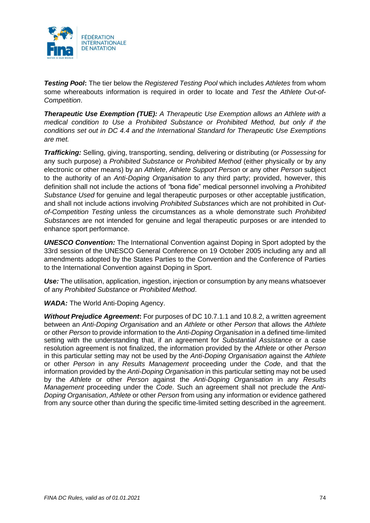

*Testing Pool***:** The tier below the *Registered Testing Pool* which includes *Athletes* from whom some whereabouts information is required in order to locate and *Test* the *Athlete Out-of-Competition*.

*Therapeutic Use Exemption (TUE): A Therapeutic Use Exemption allows an Athlete with a medical condition to Use a Prohibited Substance or Prohibited Method, but only if the conditions set out in DC 4.4 and the International Standard for Therapeutic Use Exemptions are met.*

*Trafficking:* Selling, giving, transporting, sending, delivering or distributing (or *Possessing* for any such purpose) a *Prohibited Substance* or *Prohibited Method* (either physically or by any electronic or other means) by an *Athlete*, *Athlete Support Person* or any other *Person* subject to the authority of an *Anti-Doping Organisation* to any third party; provided, however, this definition shall not include the actions of *"*bona fide" medical personnel involving a *Prohibited Substance Used* for genuine and legal therapeutic purposes or other acceptable justification, and shall not include actions involving *Prohibited Substances* which are not prohibited in *Outof-Competition Testing* unless the circumstances as a whole demonstrate such *Prohibited Substances* are not intended for genuine and legal therapeutic purposes or are intended to enhance sport performance.

*UNESCO Convention:* The International Convention against Doping in Sport adopted by the 33rd session of the UNESCO General Conference on 19 October 2005 including any and all amendments adopted by the States Parties to the Convention and the Conference of Parties to the International Convention against Doping in Sport.

**Use:** The utilisation, application, ingestion, injection or consumption by any means whatsoever of any *Prohibited Substance* or *Prohibited Method*.

*WADA:* The World Anti-Doping Agency.

*Without Prejudice Agreement***:** For purposes of DC 10.7.1.1 and 10.8.2, a written agreement between an *Anti-Doping Organisation* and an *Athlete* or other *Person* that allows the *Athlete* or other *Person* to provide information to the *Anti-Doping Organisation* in a defined time-limited setting with the understanding that, if an agreement for *Substantial Assistance* or a case resolution agreement is not finalized, the information provided by the *Athlete* or other *Person*  in this particular setting may not be used by the *Anti-Doping Organisation* against the *Athlete* or other *Person* in any *Results Management* proceeding under the *Code*, and that the information provided by the *Anti-Doping Organisation* in this particular setting may not be used by the *Athlete* or other *Person* against the *Anti-Doping Organisation* in any *Results Management* proceeding under the *Code*. Such an agreement shall not preclude the *Anti-Doping Organisation*, *Athlete* or other *Person* from using any information or evidence gathered from any source other than during the specific time-limited setting described in the agreement.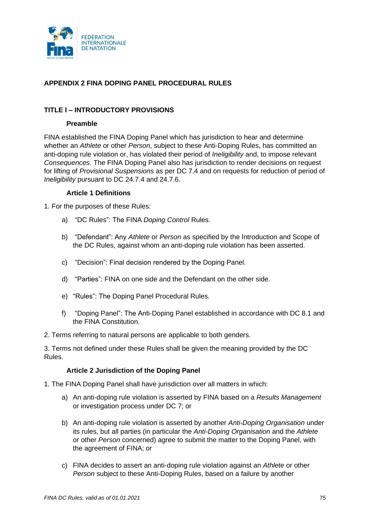

# **APPENDIX 2 FINA DOPING PANEL PROCEDURAL RULES**

## **TITLE I – INTRODUCTORY PROVISIONS**

#### **Preamble**

FINA established the FINA Doping Panel which has jurisdiction to hear and determine whether an *Athlete* or other *Person*, subject to these Anti-Doping Rules, has committed an anti-doping rule violation or, has violated their period of *Ineligibility* and, to impose relevant *Consequences*. The FINA Doping Panel also has jurisdiction to render decisions on request for lifting of *Provisional Suspensions* as per DC 7.4 and on requests for reduction of period of *Ineligibility* pursuant to DC 24.7.4 and 24.7.6.

#### **Article 1 Definitions**

1. For the purposes of these Rules:

- a) "DC Rules": The FINA *Doping Control* Rules.
- b) "Defendant": Any *Athlete* or *Person* as specified by the Introduction and Scope of the DC Rules, against whom an anti-doping rule violation has been asserted.
- c) "Decision": Final decision rendered by the Doping Panel.
- d) "Parties": FINA on one side and the Defendant on the other side.
- e) "Rules": The Doping Panel Procedural Rules.
- f) "Doping Panel": The Anti-Doping Panel established in accordance with DC 8.1 and the FINA Constitution.
- 2. Terms referring to natural persons are applicable to both genders.

3. Terms not defined under these Rules shall be given the meaning provided by the DC Rules.

### **Article 2 Jurisdiction of the Doping Panel**

- 1. The FINA Doping Panel shall have jurisdiction over all matters in which:
	- a) An anti-doping rule violation is asserted by FINA based on a *Results Management* or investigation process under DC 7; or
	- b) An anti-doping rule violation is asserted by another *Anti-Doping Organisation* under its rules, but all parties (in particular the *Anti-Doping Organisation* and the *Athlete* or other *Person* concerned) agree to submit the matter to the Doping Panel, with the agreement of FINA; or
	- c) FINA decides to assert an anti-doping rule violation against an *Athlete* or other *Person* subject to these Anti-Doping Rules, based on a failure by another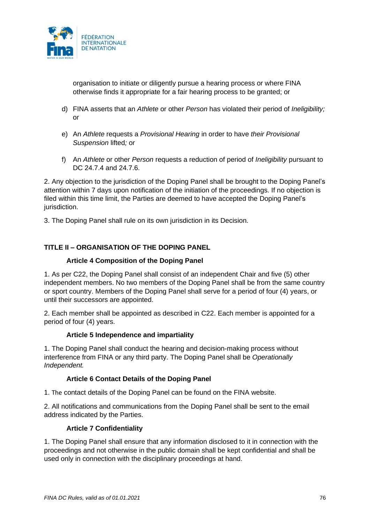

organisation to initiate or diligently pursue a hearing process or where FINA otherwise finds it appropriate for a fair hearing process to be granted; or

- d) FINA asserts that an *Athlete* or other *Person* has violated their period of *Ineligibility;*  or
- e) An *Athlete* requests a *Provisional Hearing* in order to have *their Provisional Suspension* lifted*;* or
- f) An *Athlete* or other *Person* requests a reduction of period of *Ineligibility* pursuant to DC 24.7.4 and 24.7.6.

2. Any objection to the jurisdiction of the Doping Panel shall be brought to the Doping Panel's attention within 7 days upon notification of the initiation of the proceedings. If no objection is filed within this time limit, the Parties are deemed to have accepted the Doping Panel's jurisdiction.

3. The Doping Panel shall rule on its own jurisdiction in its Decision.

# **TITLE II – ORGANISATION OF THE DOPING PANEL**

## **Article 4 Composition of the Doping Panel**

1. As per C22, the Doping Panel shall consist of an independent Chair and five (5) other independent members. No two members of the Doping Panel shall be from the same country or sport country. Members of the Doping Panel shall serve for a period of four (4) years, or until their successors are appointed.

2. Each member shall be appointed as described in C22. Each member is appointed for a period of four (4) years.

### **Article 5 Independence and impartiality**

1. The Doping Panel shall conduct the hearing and decision-making process without interference from FINA or any third party. The Doping Panel shall be *Operationally Independent.*

### **Article 6 Contact Details of the Doping Panel**

1. The contact details of the Doping Panel can be found on the FINA website.

2. All notifications and communications from the Doping Panel shall be sent to the email address indicated by the Parties.

### **Article 7 Confidentiality**

1. The Doping Panel shall ensure that any information disclosed to it in connection with the proceedings and not otherwise in the public domain shall be kept confidential and shall be used only in connection with the disciplinary proceedings at hand.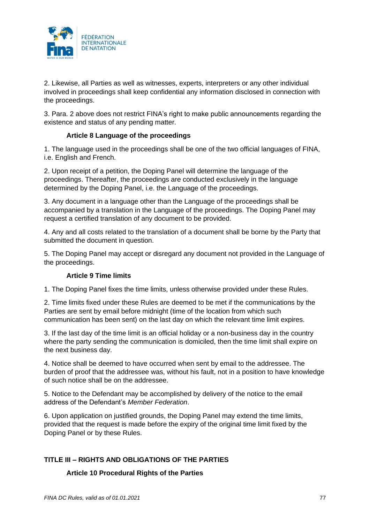

2. Likewise, all Parties as well as witnesses, experts, interpreters or any other individual involved in proceedings shall keep confidential any information disclosed in connection with the proceedings.

3. Para. 2 above does not restrict FINA's right to make public announcements regarding the existence and status of any pending matter.

## **Article 8 Language of the proceedings**

1. The language used in the proceedings shall be one of the two official languages of FINA, i.e. English and French.

2. Upon receipt of a petition, the Doping Panel will determine the language of the proceedings. Thereafter, the proceedings are conducted exclusively in the language determined by the Doping Panel, i.e. the Language of the proceedings.

3. Any document in a language other than the Language of the proceedings shall be accompanied by a translation in the Language of the proceedings. The Doping Panel may request a certified translation of any document to be provided.

4. Any and all costs related to the translation of a document shall be borne by the Party that submitted the document in question.

5. The Doping Panel may accept or disregard any document not provided in the Language of the proceedings.

### **Article 9 Time limits**

1. The Doping Panel fixes the time limits, unless otherwise provided under these Rules.

2. Time limits fixed under these Rules are deemed to be met if the communications by the Parties are sent by email before midnight (time of the location from which such communication has been sent) on the last day on which the relevant time limit expires.

3. If the last day of the time limit is an official holiday or a non-business day in the country where the party sending the communication is domiciled, then the time limit shall expire on the next business day.

4. Notice shall be deemed to have occurred when sent by email to the addressee. The burden of proof that the addressee was, without his fault, not in a position to have knowledge of such notice shall be on the addressee.

5. Notice to the Defendant may be accomplished by delivery of the notice to the email address of the Defendant's *Member Federation*.

6. Upon application on justified grounds, the Doping Panel may extend the time limits, provided that the request is made before the expiry of the original time limit fixed by the Doping Panel or by these Rules.

# **TITLE III – RIGHTS AND OBLIGATIONS OF THE PARTIES**

### **Article 10 Procedural Rights of the Parties**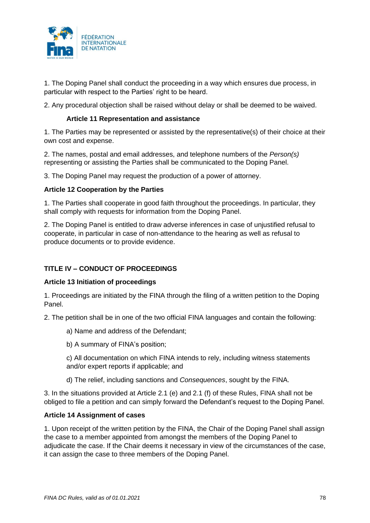

1. The Doping Panel shall conduct the proceeding in a way which ensures due process, in particular with respect to the Parties' right to be heard.

2. Any procedural objection shall be raised without delay or shall be deemed to be waived.

### **Article 11 Representation and assistance**

1. The Parties may be represented or assisted by the representative(s) of their choice at their own cost and expense.

2. The names, postal and email addresses, and telephone numbers of the *Person(s)* representing or assisting the Parties shall be communicated to the Doping Panel.

3. The Doping Panel may request the production of a power of attorney.

## **Article 12 Cooperation by the Parties**

1. The Parties shall cooperate in good faith throughout the proceedings. In particular, they shall comply with requests for information from the Doping Panel.

2. The Doping Panel is entitled to draw adverse inferences in case of unjustified refusal to cooperate, in particular in case of non-attendance to the hearing as well as refusal to produce documents or to provide evidence.

# **TITLE IV – CONDUCT OF PROCEEDINGS**

### **Article 13 Initiation of proceedings**

1. Proceedings are initiated by the FINA through the filing of a written petition to the Doping Panel.

2. The petition shall be in one of the two official FINA languages and contain the following:

a) Name and address of the Defendant;

b) A summary of FINA's position;

c) All documentation on which FINA intends to rely, including witness statements and/or expert reports if applicable; and

d) The relief, including sanctions and *Consequences*, sought by the FINA.

3. In the situations provided at Article 2.1 (e) and 2.1 (f) of these Rules, FINA shall not be obliged to file a petition and can simply forward the Defendant's request to the Doping Panel.

### **Article 14 Assignment of cases**

1. Upon receipt of the written petition by the FINA, the Chair of the Doping Panel shall assign the case to a member appointed from amongst the members of the Doping Panel to adjudicate the case. If the Chair deems it necessary in view of the circumstances of the case, it can assign the case to three members of the Doping Panel.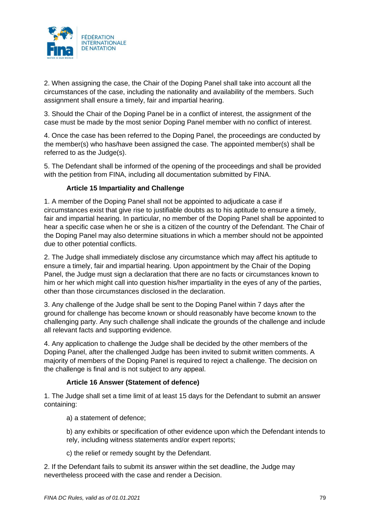

2. When assigning the case, the Chair of the Doping Panel shall take into account all the circumstances of the case, including the nationality and availability of the members. Such assignment shall ensure a timely, fair and impartial hearing.

3. Should the Chair of the Doping Panel be in a conflict of interest, the assignment of the case must be made by the most senior Doping Panel member with no conflict of interest.

4. Once the case has been referred to the Doping Panel, the proceedings are conducted by the member(s) who has/have been assigned the case. The appointed member(s) shall be referred to as the Judge(s).

5. The Defendant shall be informed of the opening of the proceedings and shall be provided with the petition from FINA, including all documentation submitted by FINA.

## **Article 15 Impartiality and Challenge**

1. A member of the Doping Panel shall not be appointed to adjudicate a case if circumstances exist that give rise to justifiable doubts as to his aptitude to ensure a timely, fair and impartial hearing. In particular, no member of the Doping Panel shall be appointed to hear a specific case when he or she is a citizen of the country of the Defendant. The Chair of the Doping Panel may also determine situations in which a member should not be appointed due to other potential conflicts.

2. The Judge shall immediately disclose any circumstance which may affect his aptitude to ensure a timely, fair and impartial hearing. Upon appointment by the Chair of the Doping Panel, the Judge must sign a declaration that there are no facts or circumstances known to him or her which might call into question his/her impartiality in the eyes of any of the parties, other than those circumstances disclosed in the declaration.

3. Any challenge of the Judge shall be sent to the Doping Panel within 7 days after the ground for challenge has become known or should reasonably have become known to the challenging party. Any such challenge shall indicate the grounds of the challenge and include all relevant facts and supporting evidence.

4. Any application to challenge the Judge shall be decided by the other members of the Doping Panel, after the challenged Judge has been invited to submit written comments. A majority of members of the Doping Panel is required to reject a challenge. The decision on the challenge is final and is not subject to any appeal.

### **Article 16 Answer (Statement of defence)**

1. The Judge shall set a time limit of at least 15 days for the Defendant to submit an answer containing:

a) a statement of defence;

b) any exhibits or specification of other evidence upon which the Defendant intends to rely, including witness statements and/or expert reports;

c) the relief or remedy sought by the Defendant.

2. If the Defendant fails to submit its answer within the set deadline, the Judge may nevertheless proceed with the case and render a Decision.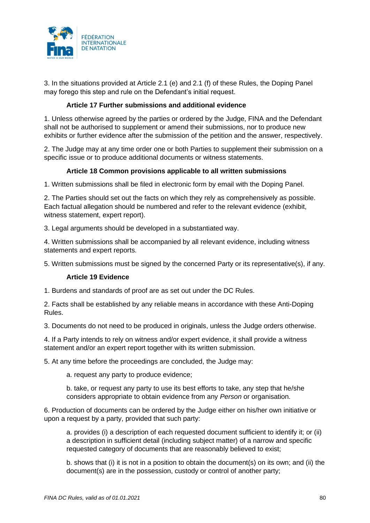

3. In the situations provided at Article 2.1 (e) and 2.1 (f) of these Rules, the Doping Panel may forego this step and rule on the Defendant's initial request.

### **Article 17 Further submissions and additional evidence**

1. Unless otherwise agreed by the parties or ordered by the Judge, FINA and the Defendant shall not be authorised to supplement or amend their submissions, nor to produce new exhibits or further evidence after the submission of the petition and the answer, respectively.

2. The Judge may at any time order one or both Parties to supplement their submission on a specific issue or to produce additional documents or witness statements.

## **Article 18 Common provisions applicable to all written submissions**

1. Written submissions shall be filed in electronic form by email with the Doping Panel.

2. The Parties should set out the facts on which they rely as comprehensively as possible. Each factual allegation should be numbered and refer to the relevant evidence (exhibit, witness statement, expert report).

3. Legal arguments should be developed in a substantiated way.

4. Written submissions shall be accompanied by all relevant evidence, including witness statements and expert reports.

5. Written submissions must be signed by the concerned Party or its representative(s), if any.

### **Article 19 Evidence**

1. Burdens and standards of proof are as set out under the DC Rules.

2. Facts shall be established by any reliable means in accordance with these Anti-Doping Rules.

3. Documents do not need to be produced in originals, unless the Judge orders otherwise.

4. If a Party intends to rely on witness and/or expert evidence, it shall provide a witness statement and/or an expert report together with its written submission.

5. At any time before the proceedings are concluded, the Judge may:

a. request any party to produce evidence;

b. take, or request any party to use its best efforts to take, any step that he/she considers appropriate to obtain evidence from any *Person* or organisation.

6. Production of documents can be ordered by the Judge either on his/her own initiative or upon a request by a party, provided that such party:

a. provides (i) a description of each requested document sufficient to identify it; or (ii) a description in sufficient detail (including subject matter) of a narrow and specific requested category of documents that are reasonably believed to exist;

b. shows that (i) it is not in a position to obtain the document(s) on its own; and (ii) the document(s) are in the possession, custody or control of another party;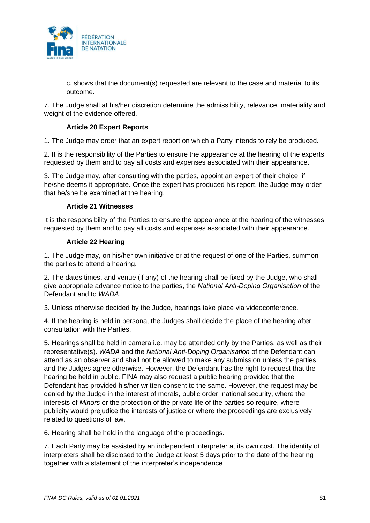

c. shows that the document(s) requested are relevant to the case and material to its outcome.

7. The Judge shall at his/her discretion determine the admissibility, relevance, materiality and weight of the evidence offered.

### **Article 20 Expert Reports**

1. The Judge may order that an expert report on which a Party intends to rely be produced.

2. It is the responsibility of the Parties to ensure the appearance at the hearing of the experts requested by them and to pay all costs and expenses associated with their appearance.

3. The Judge may, after consulting with the parties, appoint an expert of their choice, if he/she deems it appropriate. Once the expert has produced his report, the Judge may order that he/she be examined at the hearing.

#### **Article 21 Witnesses**

It is the responsibility of the Parties to ensure the appearance at the hearing of the witnesses requested by them and to pay all costs and expenses associated with their appearance.

#### **Article 22 Hearing**

1. The Judge may, on his/her own initiative or at the request of one of the Parties, summon the parties to attend a hearing.

2. The dates times, and venue (if any) of the hearing shall be fixed by the Judge, who shall give appropriate advance notice to the parties, the *National Anti-Doping Organisation* of the Defendant and to *WADA*.

3. Unless otherwise decided by the Judge, hearings take place via videoconference.

4. If the hearing is held in persona, the Judges shall decide the place of the hearing after consultation with the Parties.

5. Hearings shall be held in camera i.e. may be attended only by the Parties, as well as their representative(s). *WADA* and the *National Anti-Doping Organisation* of the Defendant can attend as an observer and shall not be allowed to make any submission unless the parties and the Judges agree otherwise. However, the Defendant has the right to request that the hearing be held in public. FINA may also request a public hearing provided that the Defendant has provided his/her written consent to the same. However, the request may be denied by the Judge in the interest of morals, public order, national security, where the interests of *Minors* or the protection of the private life of the parties so require, where publicity would prejudice the interests of justice or where the proceedings are exclusively related to questions of law.

6. Hearing shall be held in the language of the proceedings.

7. Each Party may be assisted by an independent interpreter at its own cost. The identity of interpreters shall be disclosed to the Judge at least 5 days prior to the date of the hearing together with a statement of the interpreter's independence.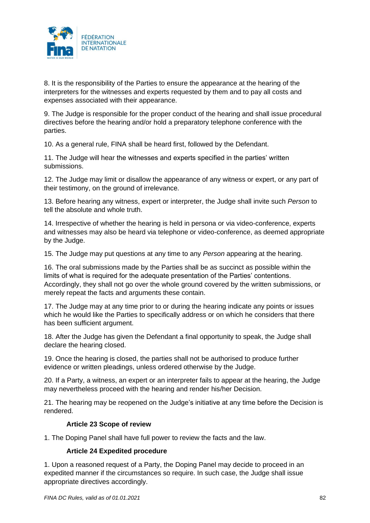

8. It is the responsibility of the Parties to ensure the appearance at the hearing of the interpreters for the witnesses and experts requested by them and to pay all costs and expenses associated with their appearance.

9. The Judge is responsible for the proper conduct of the hearing and shall issue procedural directives before the hearing and/or hold a preparatory telephone conference with the parties.

10. As a general rule, FINA shall be heard first, followed by the Defendant.

11. The Judge will hear the witnesses and experts specified in the parties' written submissions.

12. The Judge may limit or disallow the appearance of any witness or expert, or any part of their testimony, on the ground of irrelevance.

13. Before hearing any witness, expert or interpreter, the Judge shall invite such *Person* to tell the absolute and whole truth.

14. Irrespective of whether the hearing is held in persona or via video-conference, experts and witnesses may also be heard via telephone or video-conference, as deemed appropriate by the Judge.

15. The Judge may put questions at any time to any *Person* appearing at the hearing.

16. The oral submissions made by the Parties shall be as succinct as possible within the limits of what is required for the adequate presentation of the Parties' contentions. Accordingly, they shall not go over the whole ground covered by the written submissions, or merely repeat the facts and arguments these contain.

17. The Judge may at any time prior to or during the hearing indicate any points or issues which he would like the Parties to specifically address or on which he considers that there has been sufficient argument.

18. After the Judge has given the Defendant a final opportunity to speak, the Judge shall declare the hearing closed.

19. Once the hearing is closed, the parties shall not be authorised to produce further evidence or written pleadings, unless ordered otherwise by the Judge.

20. If a Party, a witness, an expert or an interpreter fails to appear at the hearing, the Judge may nevertheless proceed with the hearing and render his/her Decision.

21. The hearing may be reopened on the Judge's initiative at any time before the Decision is rendered.

### **Article 23 Scope of review**

1. The Doping Panel shall have full power to review the facts and the law.

### **Article 24 Expedited procedure**

1. Upon a reasoned request of a Party, the Doping Panel may decide to proceed in an expedited manner if the circumstances so require. In such case, the Judge shall issue appropriate directives accordingly.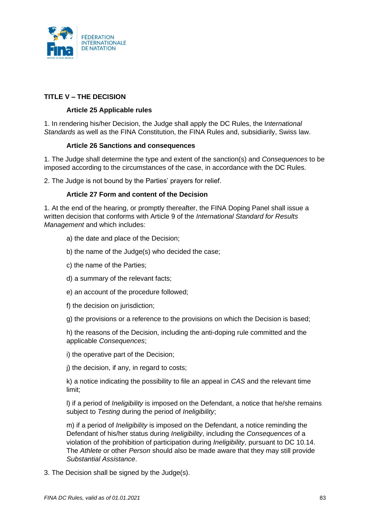

# **TITLE V – THE DECISION**

## **Article 25 Applicable rules**

1. In rendering his/her Decision, the Judge shall apply the DC Rules, the I*nternational Standards* as well as the FINA Constitution, the FINA Rules and, subsidiarily, Swiss law.

### **Article 26 Sanctions and consequences**

1. The Judge shall determine the type and extent of the sanction(s) and *Consequences* to be imposed according to the circumstances of the case, in accordance with the DC Rules.

2. The Judge is not bound by the Parties' prayers for relief.

### **Article 27 Form and content of the Decision**

1. At the end of the hearing, or promptly thereafter, the FINA Doping Panel shall issue a written decision that conforms with Article 9 of the *International Standard for Results Management* and which includes:

- a) the date and place of the Decision;
- b) the name of the Judge(s) who decided the case;
- c) the name of the Parties;
- d) a summary of the relevant facts;
- e) an account of the procedure followed;
- f) the decision on jurisdiction;
- g) the provisions or a reference to the provisions on which the Decision is based;

h) the reasons of the Decision, including the anti-doping rule committed and the applicable *Consequences*;

i) the operative part of the Decision;

j) the decision, if any, in regard to costs;

k) a notice indicating the possibility to file an appeal in *CAS* and the relevant time limit;

l) if a period of *Ineligibility* is imposed on the Defendant, a notice that he/she remains subject to *Testing* during the period of *Ineligibility*;

m) if a period of *Ineligibility* is imposed on the Defendant, a notice reminding the Defendant of his/her status during *Ineligibility*, including the *Consequences* of a violation of the prohibition of participation during *Ineligibility*, pursuant to DC 10.14. The *Athlete* or other *Person* should also be made aware that they may still provide *Substantial Assistance*.

3. The Decision shall be signed by the Judge(s).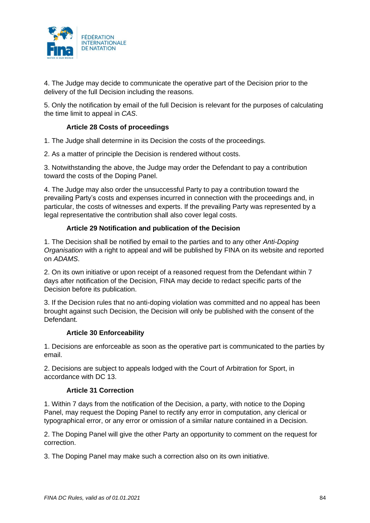

4. The Judge may decide to communicate the operative part of the Decision prior to the delivery of the full Decision including the reasons.

5. Only the notification by email of the full Decision is relevant for the purposes of calculating the time limit to appeal in *CAS*.

### **Article 28 Costs of proceedings**

1. The Judge shall determine in its Decision the costs of the proceedings.

2. As a matter of principle the Decision is rendered without costs.

3. Notwithstanding the above, the Judge may order the Defendant to pay a contribution toward the costs of the Doping Panel.

4. The Judge may also order the unsuccessful Party to pay a contribution toward the prevailing Party's costs and expenses incurred in connection with the proceedings and, in particular, the costs of witnesses and experts. If the prevailing Party was represented by a legal representative the contribution shall also cover legal costs.

## **Article 29 Notification and publication of the Decision**

1. The Decision shall be notified by email to the parties and to any other *Anti-Doping Organisation* with a right to appeal and will be published by FINA on its website and reported on *ADAMS*.

2. On its own initiative or upon receipt of a reasoned request from the Defendant within 7 days after notification of the Decision, FINA may decide to redact specific parts of the Decision before its publication.

3. If the Decision rules that no anti-doping violation was committed and no appeal has been brought against such Decision, the Decision will only be published with the consent of the Defendant.

### **Article 30 Enforceability**

1. Decisions are enforceable as soon as the operative part is communicated to the parties by email.

2. Decisions are subject to appeals lodged with the Court of Arbitration for Sport, in accordance with DC 13.

### **Article 31 Correction**

1. Within 7 days from the notification of the Decision, a party, with notice to the Doping Panel, may request the Doping Panel to rectify any error in computation, any clerical or typographical error, or any error or omission of a similar nature contained in a Decision.

2. The Doping Panel will give the other Party an opportunity to comment on the request for correction.

3. The Doping Panel may make such a correction also on its own initiative.